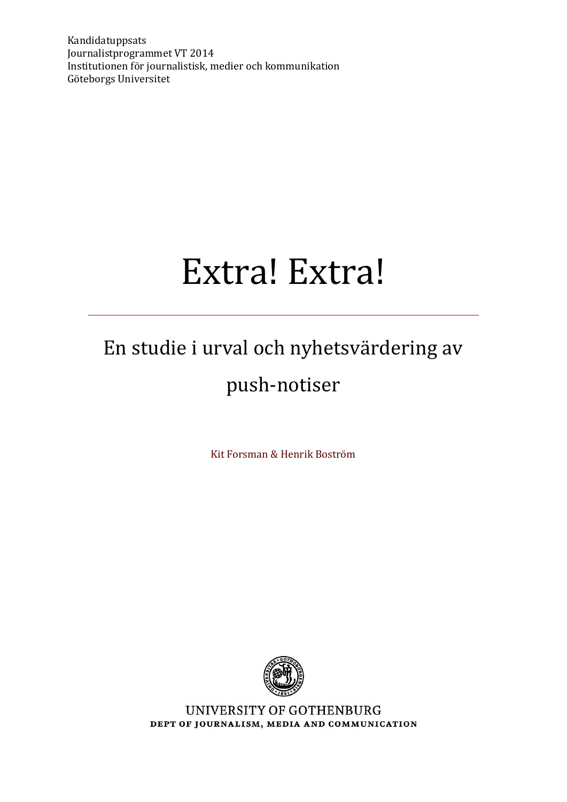Kandidatuppsats Journalistprogrammet VT 2014 Institutionen för journalistisk, medier och kommunikation Göteborgs Universitet

# Extra! Extra!

# En studie i urval och nyhetsvärdering av push-notiser

Kit Forsman & Henrik Boström



UNIVERSITY OF GOTHENBURG DEPT OF JOURNALISM, MEDIA AND COMMUNICATION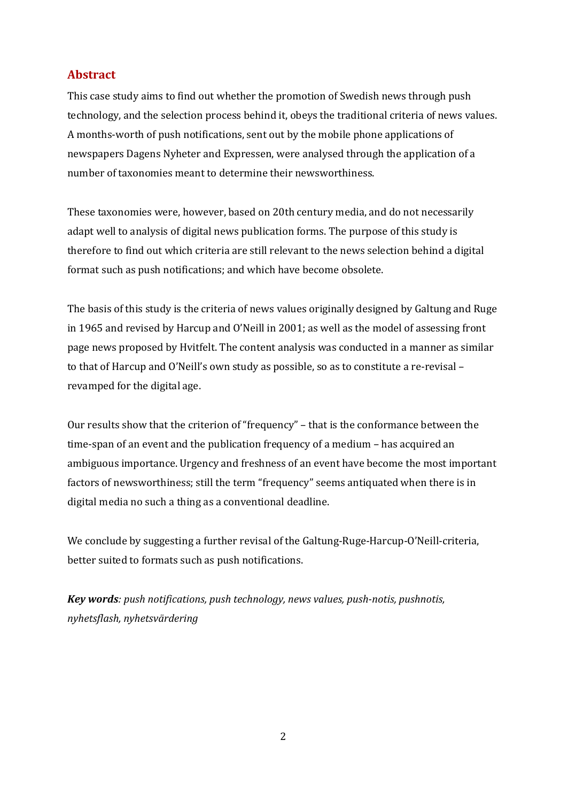### **Abstract**

This case study aims to find out whether the promotion of Swedish news through push technology, and the selection process behind it, obeys the traditional criteria of news values. A months-worth of push notifications, sent out by the mobile phone applications of newspapers Dagens Nyheter and Expressen, were analysed through the application of a number of taxonomies meant to determine their newsworthiness.

These taxonomies were, however, based on 20th century media, and do not necessarily adapt well to analysis of digital news publication forms. The purpose of this study is therefore to find out which criteria are still relevant to the news selection behind a digital format such as push notifications; and which have become obsolete.

The basis of this study is the criteria of news values originally designed by Galtung and Ruge in 1965 and revised by Harcup and O'Neill in 2001; as well as the model of assessing front page news proposed by Hvitfelt. The content analysis was conducted in a manner as similar to that of Harcup and O'Neill's own study as possible, so as to constitute a re-revisal – revamped for the digital age.

Our results show that the criterion of "frequency" – that is the conformance between the time-span of an event and the publication frequency of a medium – has acquired an ambiguous importance. Urgency and freshness of an event have become the most important factors of newsworthiness; still the term "frequency" seems antiquated when there is in digital media no such a thing as a conventional deadline.

We conclude by suggesting a further revisal of the Galtung-Ruge-Harcup-O'Neill-criteria, better suited to formats such as push notifications.

*Key words: push notifications, push technology, news values, push-notis, pushnotis, nyhetsflash, nyhetsvärdering*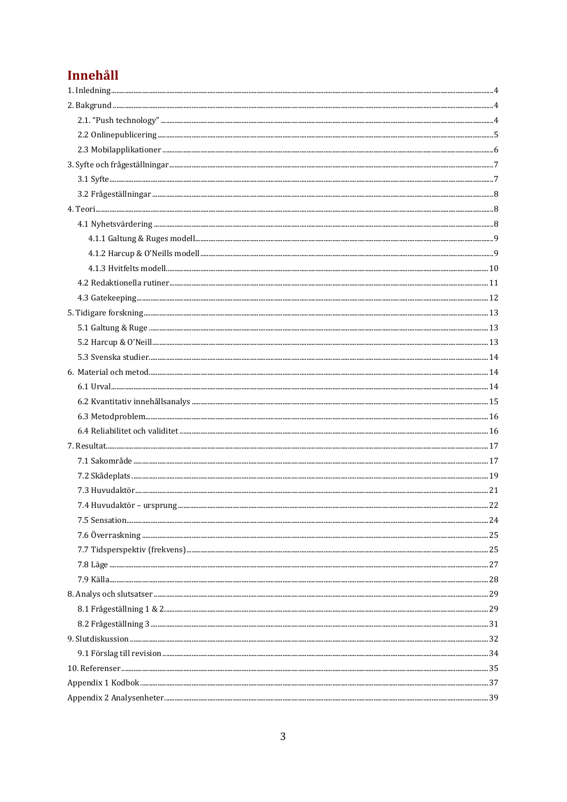# Innehåll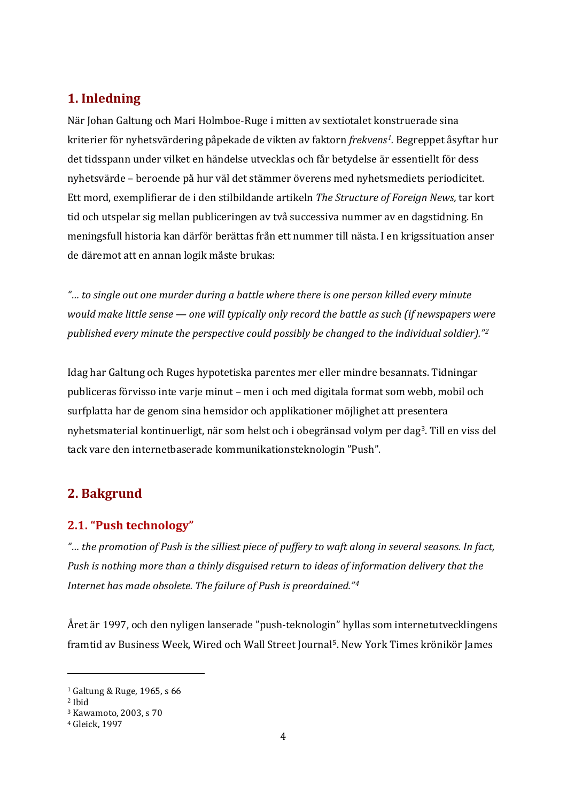# <span id="page-3-0"></span>**1. Inledning**

När Johan Galtung och Mari Holmboe-Ruge i mitten av sextiotalet konstruerade sina kriterier för nyhetsvärdering påpekade de vikten av faktorn *frekvens[1](#page-3-3).* Begreppet åsyftar hur det tidsspann under vilket en händelse utvecklas och får betydelse är essentiellt för dess nyhetsvärde – beroende på hur väl det stämmer överens med nyhetsmediets periodicitet. Ett mord, exemplifierar de i den stilbildande artikeln *The Structure of Foreign News,* tar kort tid och utspelar sig mellan publiceringen av två successiva nummer av en dagstidning. En meningsfull historia kan därför berättas från ett nummer till nästa. I en krigssituation anser de däremot att en annan logik måste brukas:

*"… to single out one murder during a battle where there is one person killed every minute would make little sense — one will typically only record the battle as such (if newspapers were published every minute the perspective could possibly be changed to the individual soldier)."[2](#page-3-4)*

Idag har Galtung och Ruges hypotetiska parentes mer eller mindre besannats. Tidningar publiceras förvisso inte varje minut – men i och med digitala format som webb, mobil och surfplatta har de genom sina hemsidor och applikationer möjlighet att presentera nyhetsmaterial kontinuerligt, när som helst och i obegränsad volym per dag[3.](#page-3-5) Till en viss del tack vare den internetbaserade kommunikationsteknologin "Push".

# <span id="page-3-1"></span>**2. Bakgrund**

### <span id="page-3-2"></span>**2.1. "Push technology"**

*"… the promotion of Push is the silliest piece of puffery to waft along in several seasons. In fact, Push is nothing more than a thinly disguised return to ideas of information delivery that the Internet has made obsolete. The failure of Push is preordained."[4](#page-3-6)*

Året är 1997, och den nyligen lanserade "push-teknologin" hyllas som internetutvecklingens framtid av Business Week, Wired och Wall Street Journa[l5.](#page-3-7) New York Times krönikör James

<span id="page-3-7"></span><span id="page-3-3"></span><sup>1</sup> Galtung & Ruge, 1965, s 66

<span id="page-3-4"></span><sup>2</sup> Ibid

<span id="page-3-5"></span><sup>3</sup> Kawamoto, 2003, s 70

<span id="page-3-6"></span><sup>4</sup> Gleick, 1997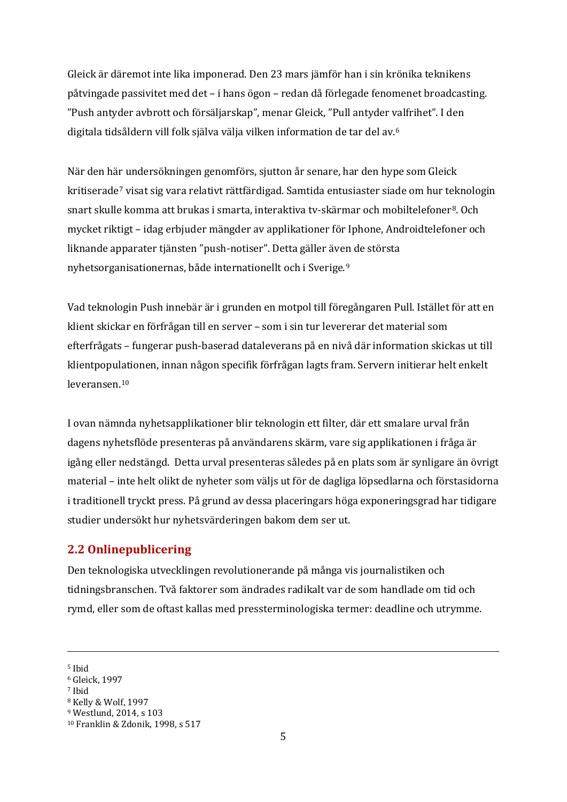Gleick är däremot inte lika imponerad. Den 23 mars jämför han i sin krönika teknikens påtvingade passivitet med det – i hans ögon – redan då förlegade fenomenet broadcasting. "Push antyder avbrott och försäljarskap", menar Gleick, "Pull antyder valfrihet". I den digitala tidsåldern vill folk själva välja vilken information de tar del av.[6](#page-4-1)

När den här undersökningen genomförs, sjutton år senare, har den hype som Gleick kritiserade[7](#page-4-2) visat sig vara relativt rättfärdigad. Samtida entusiaster siade om hur teknologin snart skulle komma att brukas i smarta, interaktiva tv-skärmar och mobiltelefoner<sup>[8](#page-4-3)</sup>. Och mycket riktigt – idag erbjuder mängder av applikationer för Iphone, Androidtelefoner och liknande apparater tjänsten "push-notiser". Detta gäller även de största nyhetsorganisationernas, både internationellt och i Sverige.[9](#page-4-4)

Vad teknologin Push innebär är i grunden en motpol till föregångaren Pull. Istället för att en klient skickar en förfrågan till en server – som i sin tur levererar det material som efterfrågats – fungerar push-baserad dataleverans på en nivå där information skickas ut till klientpopulationen, innan någon specifik förfrågan lagts fram. Servern initierar helt enkelt leveransen.[10](#page-4-5)

I ovan nämnda nyhetsapplikationer blir teknologin ett filter, där ett smalare urval från dagens nyhetsflöde presenteras på användarens skärm, vare sig applikationen i fråga är igång eller nedstängd. Detta urval presenteras således på en plats som är synligare än övrigt material – inte helt olikt de nyheter som väljs ut för de dagliga löpsedlarna och förstasidorna i traditionell tryckt press. På grund av dessa placeringars höga exponeringsgrad har tidigare studier undersökt hur nyhetsvärderingen bakom dem ser ut.

### <span id="page-4-0"></span>**2.2 Onlinepublicering**

Den teknologiska utvecklingen revolutionerande på många vis journalistiken och tidningsbranschen. Två faktorer som ändrades radikalt var de som handlade om tid och rymd, eller som de oftast kallas med pressterminologiska termer: deadline och utrymme.

-

<sup>5</sup> Ibid

<span id="page-4-1"></span><sup>6</sup> Gleick, 1997

<span id="page-4-2"></span><sup>7</sup> Ibid

<span id="page-4-3"></span><sup>8</sup> Kelly & Wolf, 1997

<span id="page-4-4"></span><sup>9</sup> Westlund, 2014, s 103

<span id="page-4-5"></span><sup>10</sup> Franklin & Zdonik, 1998, s 517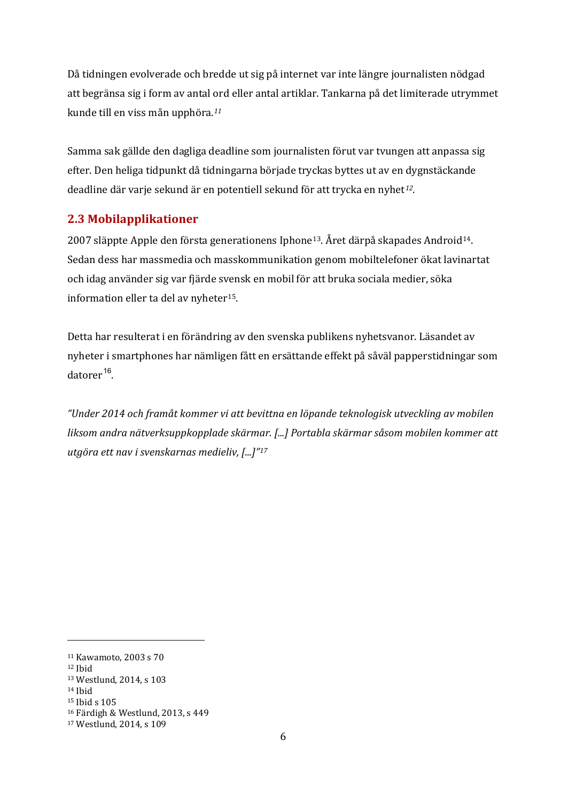Då tidningen evolverade och bredde ut sig på internet var inte längre journalisten nödgad att begränsa sig i form av antal ord eller antal artiklar. Tankarna på det limiterade utrymmet kunde till en viss mån upphöra.*[11](#page-5-1)*

Samma sak gällde den dagliga deadline som journalisten förut var tvungen att anpassa sig efter. Den heliga tidpunkt då tidningarna började tryckas byttes ut av en dygnstäckande deadline där varje sekund är en potentiell sekund för att trycka en nyhet*[12](#page-5-2)*.

# <span id="page-5-0"></span>**2.3 Mobilapplikationer**

2007 släppte Apple den första generationens Iphone[13](#page-5-3). Året därpå skapades Android[14.](#page-5-4) Sedan dess har massmedia och masskommunikation genom mobiltelefoner ökat lavinartat och idag använder sig var fjärde svensk en mobil för att bruka sociala medier, söka information eller ta del av nyheter<sup>15</sup>.

Detta har resulterat i en förändring av den svenska publikens nyhetsvanor. Läsandet av nyheter i smartphones har nämligen fått en ersättande effekt på såväl papperstidningar som  $datorer$ <sup>[16](#page-5-6)</sup>.

*"Under 2014 och framåt kommer vi att bevittna en löpande teknologisk utveckling av mobilen liksom andra nätverksuppkopplade skärmar. [...] Portabla skärmar såsom mobilen kommer att utgöra ett nav i svenskarnas medieliv, [...]"[17](#page-5-7)*

<span id="page-5-1"></span><sup>11</sup> Kawamoto, 2003 s 70

<span id="page-5-2"></span><sup>12</sup> Ibid

<span id="page-5-3"></span><sup>13</sup> Westlund, 2014, s 103

<span id="page-5-4"></span><sup>14</sup> Ibid

<span id="page-5-5"></span><sup>15</sup> Ibid s 105

<span id="page-5-6"></span><sup>16</sup> Färdigh & Westlund, 2013, s 449

<span id="page-5-7"></span><sup>17</sup> Westlund, 2014, s 109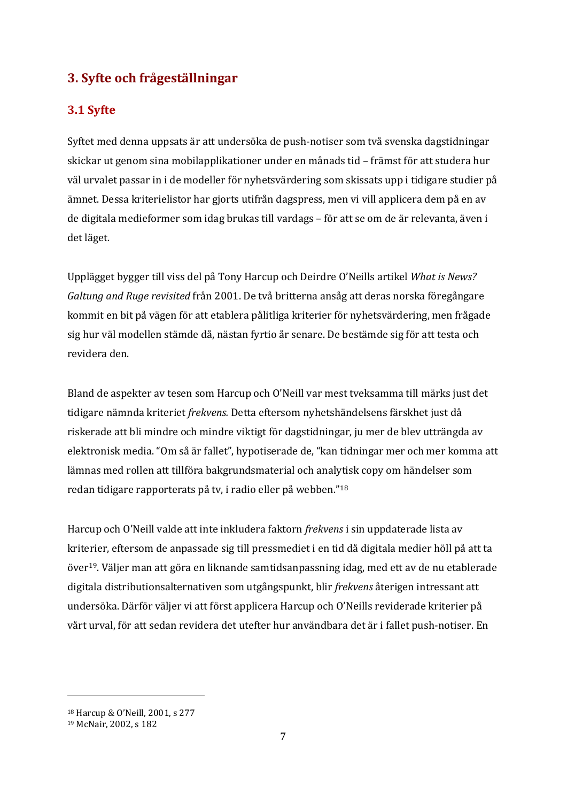# <span id="page-6-0"></span>**3. Syfte och frågeställningar**

### <span id="page-6-1"></span>**3.1 Syfte**

Syftet med denna uppsats är att undersöka de push-notiser som två svenska dagstidningar skickar ut genom sina mobilapplikationer under en månads tid – främst för att studera hur väl urvalet passar in i de modeller för nyhetsvärdering som skissats upp i tidigare studier på ämnet. Dessa kriterielistor har gjorts utifrån dagspress, men vi vill applicera dem på en av de digitala medieformer som idag brukas till vardags – för att se om de är relevanta, även i det läget.

Upplägget bygger till viss del på Tony Harcup och Deirdre O'Neills artikel *What is News? Galtung and Ruge revisited* från 2001. De två britterna ansåg att deras norska föregångare kommit en bit på vägen för att etablera pålitliga kriterier för nyhetsvärdering, men frågade sig hur väl modellen stämde då, nästan fyrtio år senare. De bestämde sig för att testa och revidera den.

Bland de aspekter av tesen som Harcup och O'Neill var mest tveksamma till märks just det tidigare nämnda kriteriet *frekvens.* Detta eftersom nyhetshändelsens färskhet just då riskerade att bli mindre och mindre viktigt för dagstidningar, ju mer de blev utträngda av elektronisk media. "Om så är fallet", hypotiserade de, "kan tidningar mer och mer komma att lämnas med rollen att tillföra bakgrundsmaterial och analytisk copy om händelser som redan tidigare rapporterats på tv, i radio eller på webben."[18](#page-6-2)

Harcup och O'Neill valde att inte inkludera faktorn *frekvens* i sin uppdaterade lista av kriterier, eftersom de anpassade sig till pressmediet i en tid då digitala medier höll på att ta över[19](#page-6-3). Väljer man att göra en liknande samtidsanpassning idag, med ett av de nu etablerade digitala distributionsalternativen som utgångspunkt, blir *frekvens* återigen intressant att undersöka. Därför väljer vi att först applicera Harcup och O'Neills reviderade kriterier på vårt urval, för att sedan revidera det utefter hur användbara det är i fallet push-notiser. En

<span id="page-6-2"></span><sup>18</sup> Harcup & O'Neill, 2001, s 277

<span id="page-6-3"></span><sup>19</sup> McNair, 2002, s 182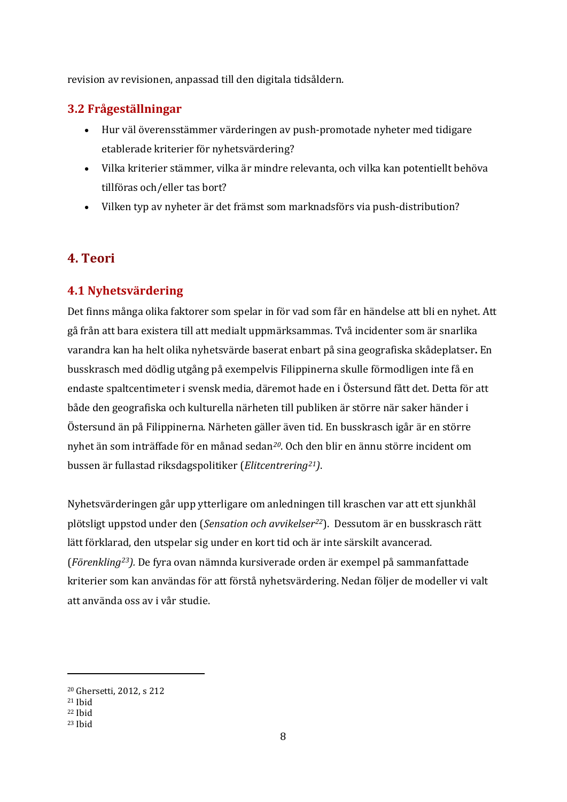revision av revisionen, anpassad till den digitala tidsåldern.

# <span id="page-7-0"></span>**3.2 Frågeställningar**

- Hur väl överensstämmer värderingen av push-promotade nyheter med tidigare etablerade kriterier för nyhetsvärdering?
- x Vilka kriterier stämmer, vilka är mindre relevanta, och vilka kan potentiellt behöva tillföras och/eller tas bort?
- Vilken typ av nyheter är det främst som marknadsförs via push-distribution?

# <span id="page-7-1"></span>**4. Teori**

# <span id="page-7-2"></span>**4.1 Nyhetsvärdering**

Det finns många olika faktorer som spelar in för vad som får en händelse att bli en nyhet. Att gå från att bara existera till att medialt uppmärksammas. Två incidenter som är snarlika varandra kan ha helt olika nyhetsvärde baserat enbart på sina geografiska skådeplatser**.** En busskrasch med dödlig utgång på exempelvis Filippinerna skulle förmodligen inte få en endaste spaltcentimeter i svensk media, däremot hade en i Östersund fått det. Detta för att både den geografiska och kulturella närheten till publiken är större när saker händer i Östersund än på Filippinerna. Närheten gäller även tid. En busskrasch igår är en större nyhet än som inträffade för en månad sedan*[20](#page-7-3)*. Och den blir en ännu större incident om bussen är fullastad riksdagspolitiker (*Elitcentrering[21](#page-7-4))*.

Nyhetsvärderingen går upp ytterligare om anledningen till kraschen var att ett sjunkhål plötsligt uppstod under den (*Sensation och avvikelser[22](#page-7-5)*). Dessutom är en busskrasch rätt lätt förklarad, den utspelar sig under en kort tid och är inte särskilt avancerad. (*Förenkling[23\)](#page-7-6).* De fyra ovan nämnda kursiverade orden är exempel på sammanfattade kriterier som kan användas för att förstå nyhetsvärdering. Nedan följer de modeller vi valt att använda oss av i vår studie.

<span id="page-7-3"></span><sup>20</sup> Ghersetti, 2012, s 212

<span id="page-7-4"></span><sup>21</sup> Ibid

<span id="page-7-5"></span><sup>22</sup> Ibid

<span id="page-7-6"></span><sup>23</sup> Ibid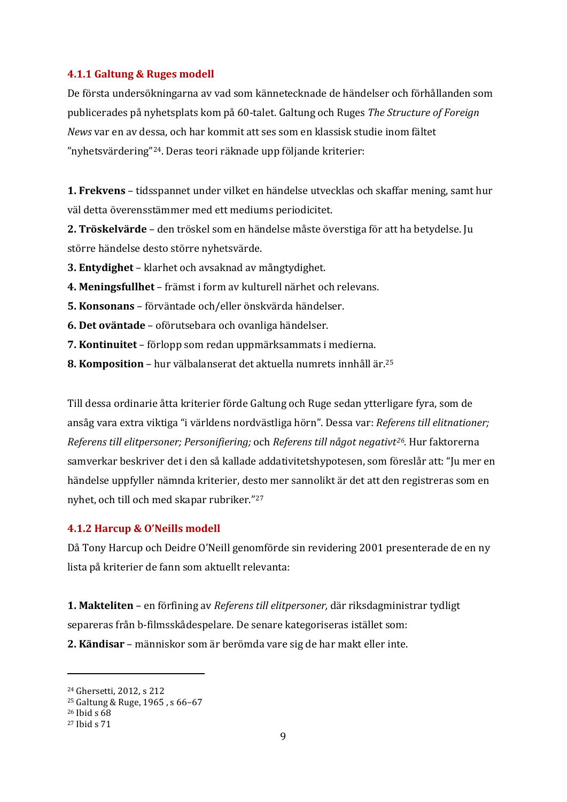### <span id="page-8-0"></span>**4.1.1 Galtung & Ruges modell**

De första undersökningarna av vad som kännetecknade de händelser och förhållanden som publicerades på nyhetsplats kom på 60-talet. Galtung och Ruges *The Structure of Foreign News* var en av dessa, och har kommit att ses som en klassisk studie inom fältet "nyhetsvärdering"[24.](#page-8-2) Deras teori räknade upp följande kriterier:

**1. Frekvens** – tidsspannet under vilket en händelse utvecklas och skaffar mening, samt hur väl detta överensstämmer med ett mediums periodicitet.

**2. Tröskelvärde** – den tröskel som en händelse måste överstiga för att ha betydelse. Ju större händelse desto större nyhetsvärde.

**3. Entydighet** – klarhet och avsaknad av mångtydighet.

- **4. Meningsfullhet**  främst i form av kulturell närhet och relevans.
- **5. Konsonans**  förväntade och/eller önskvärda händelser.
- **6. Det oväntade**  oförutsebara och ovanliga händelser.
- **7. Kontinuitet**  förlopp som redan uppmärksammats i medierna.
- **8. Komposition**  hur välbalanserat det aktuella numrets innhåll är.[25](#page-8-3)

Till dessa ordinarie åtta kriterier förde Galtung och Ruge sedan ytterligare fyra, som de ansåg vara extra viktiga "i världens nordvästliga hörn". Dessa var: *Referens till elitnationer; Referens till elitpersoner; Personifiering;* och *Referens till något negativt[26.](#page-8-4)* Hur faktorerna samverkar beskriver det i den så kallade addativitetshypotesen, som föreslår att: "Ju mer en händelse uppfyller nämnda kriterier, desto mer sannolikt är det att den registreras som en nyhet, och till och med skapar rubriker."[27](#page-8-5)

### <span id="page-8-1"></span>**4.1.2 Harcup & O'Neills modell**

Då Tony Harcup och Deidre O'Neill genomförde sin revidering 2001 presenterade de en ny lista på kriterier de fann som aktuellt relevanta:

**1. Makteliten** – en förfining av *Referens till elitpersoner,* där riksdagministrar tydligt separeras från b-filmsskådespelare. De senare kategoriseras istället som: **2. Kändisar** – människor som är berömda vare sig de har makt eller inte.

<span id="page-8-2"></span><sup>24</sup> Ghersetti, 2012, s 212

<span id="page-8-3"></span><sup>25</sup> Galtung & Ruge, 1965 , s 66–67

<span id="page-8-4"></span><sup>26</sup> Ibid s 68

<span id="page-8-5"></span><sup>27</sup> Ibid s 71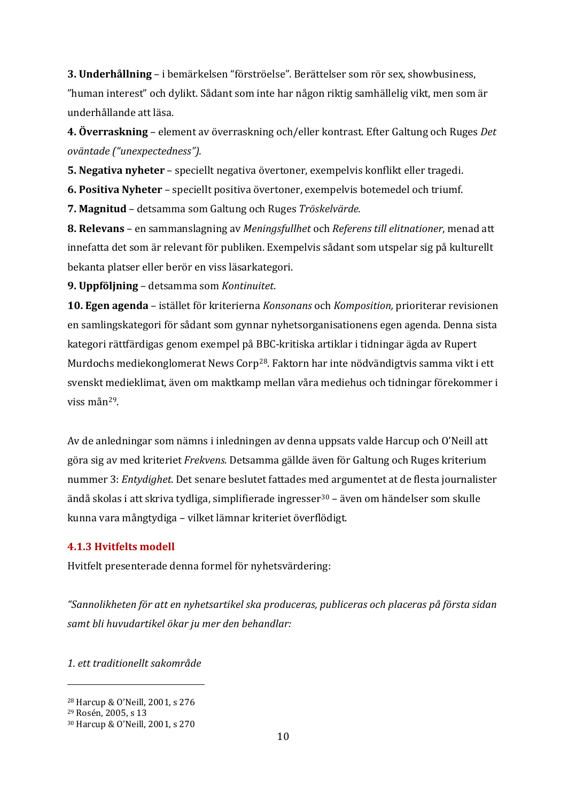**3. Underhållning** – i bemärkelsen "förströelse". Berättelser som rör sex, showbusiness, "human interest" och dylikt. Sådant som inte har någon riktig samhällelig vikt, men som är underhållande att läsa.

**4. Överraskning** – element av överraskning och/eller kontrast. Efter Galtung och Ruges *Det oväntade ("unexpectedness").*

**5. Negativa nyheter** – speciellt negativa övertoner, exempelvis konflikt eller tragedi.

**6. Positiva Nyheter** – speciellt positiva övertoner, exempelvis botemedel och triumf.

**7. Magnitud** – detsamma som Galtung och Ruges *Tröskelvärde.*

**8. Relevans** – en sammanslagning av *Meningsfullhet* och *Referens till elitnationer*, menad att innefatta det som är relevant för publiken. Exempelvis sådant som utspelar sig på kulturellt bekanta platser eller berör en viss läsarkategori.

**9. Uppföljning** – detsamma som *Kontinuitet*.

**10. Egen agenda** – istället för kriterierna *Konsonans* och *Komposition,* prioriterar revisionen en samlingskategori för sådant som gynnar nyhetsorganisationens egen agenda. Denna sista kategori rättfärdigas genom exempel på BBC-kritiska artiklar i tidningar ägda av Rupert Murdochs mediekonglomerat News Corp<sup>28</sup>. Faktorn har inte nödvändigtvis samma vikt i ett svenskt medieklimat, även om maktkamp mellan våra mediehus och tidningar förekommer i viss mån[29.](#page-9-2)

Av de anledningar som nämns i inledningen av denna uppsats valde Harcup och O'Neill att göra sig av med kriteriet *Frekvens.* Detsamma gällde även för Galtung och Ruges kriterium nummer 3: *Entydighet*. Det senare beslutet fattades med argumentet at de flesta journalister ändå skolas i att skriva tydliga, simplifierade ingresser<sup>[30](#page-9-3)</sup> – även om händelser som skulle kunna vara mångtydiga – vilket lämnar kriteriet överflödigt.

### <span id="page-9-0"></span>**4.1.3 Hvitfelts modell**

Hvitfelt presenterade denna formel för nyhetsvärdering:

*"Sannolikheten för att en nyhetsartikel ska produceras, publiceras och placeras på första sidan samt bli huvudartikel ökar ju mer den behandlar:*

*1. ett traditionellt sakområde*

<span id="page-9-1"></span><sup>28</sup> Harcup & O'Neill, 2001, s 276

<span id="page-9-2"></span><sup>29</sup> Rosén, 2005, s 13

<span id="page-9-3"></span><sup>30</sup> Harcup & O'Neill, 2001, s 270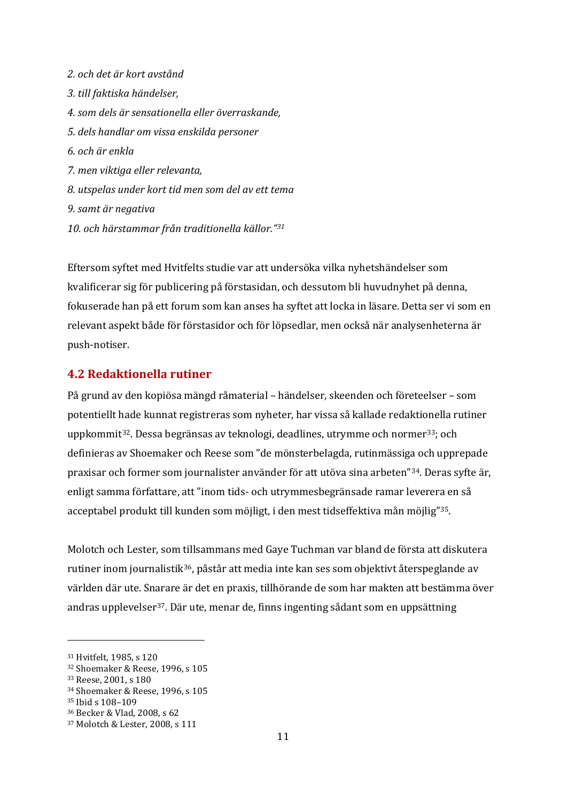*2. och det är kort avstånd 3. till faktiska händelser, 4. som dels är sensationella eller överraskande, 5. dels handlar om vissa enskilda personer 6. och är enkla 7. men viktiga eller relevanta, 8. utspelas under kort tid men som del av ett tema 9. samt är negativa 10. och härstammar från traditionella källor."[31](#page-10-1)*

Eftersom syftet med Hvitfelts studie var att undersöka vilka nyhetshändelser som kvalificerar sig för publicering på förstasidan, och dessutom bli huvudnyhet på denna, fokuserade han på ett forum som kan anses ha syftet att locka in läsare. Detta ser vi som en relevant aspekt både för förstasidor och för löpsedlar, men också när analysenheterna är push-notiser.

### <span id="page-10-0"></span>**4.2 Redaktionella rutiner**

På grund av den kopiösa mängd råmaterial – händelser, skeenden och företeelser – som potentiellt hade kunnat registreras som nyheter, har vissa så kallade redaktionella rutiner uppkommit<sup>[32](#page-10-2)</sup>. Dessa begränsas av teknologi, deadlines, utrymme och normer<sup>[33](#page-10-3)</sup>; och definieras av Shoemaker och Reese som "de mönsterbelagda, rutinmässiga och upprepade praxisar och former som journalister använder för att utöva sina arbeten["34.](#page-10-4) Deras syfte är, enligt samma författare, att "inom tids- och utrymmesbegränsade ramar leverera en så acceptabel produkt till kunden som möjligt, i den mest tidseffektiva mån möjlig"[35](#page-10-5).

Molotch och Lester, som tillsammans med Gaye Tuchman var bland de första att diskutera rutiner inom journalistik[36,](#page-10-6) påstår att media inte kan ses som objektivt återspeglande av världen där ute. Snarare är det en praxis, tillhörande de som har makten att bestämma över andras upplevelser[37.](#page-10-7) Där ute, menar de, finns ingenting sådant som en uppsättning

<span id="page-10-1"></span><sup>31</sup> Hvitfelt, 1985, s 120

<span id="page-10-2"></span><sup>32</sup> Shoemaker & Reese, 1996, s 105

<span id="page-10-3"></span><sup>33</sup> Reese, 2001, s 180

<span id="page-10-4"></span><sup>34</sup> Shoemaker & Reese, 1996, s 105

<span id="page-10-5"></span><sup>35</sup> Ibid s 108–109

<span id="page-10-6"></span><sup>36</sup> Becker & Vlad, 2008, s 62

<span id="page-10-7"></span><sup>37</sup> Molotch & Lester, 2008, s 111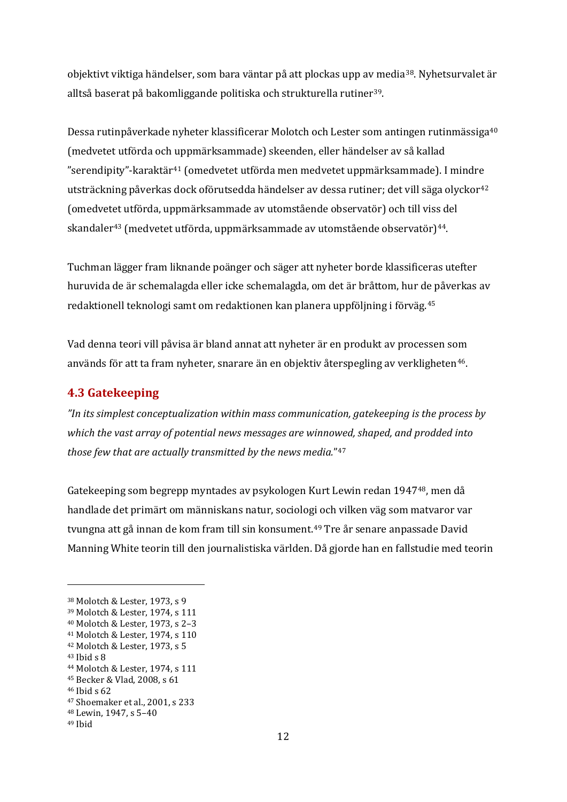objektivt viktiga händelser, som bara väntar på att plockas upp av media[38.](#page-11-1) Nyhetsurvalet är alltså baserat på bakomliggande politiska och strukturella rutiner[39](#page-11-2).

Dessa rutinpåverkade nyheter klassificerar Molotch och Lester som antingen rutinmässiga[40](#page-11-3) (medvetet utförda och uppmärksammade) skeenden, eller händelser av så kallad "serendipity"-karaktär[41](#page-11-4) (omedvetet utförda men medvetet uppmärksammade). I mindre utsträckning påverkas dock oförutsedda händelser av dessa rutiner; det vill säga olyckor<sup>[42](#page-11-5)</sup> (omedvetet utförda, uppmärksammade av utomstående observatör) och till viss del skandaler<sup>[43](#page-11-6)</sup> (medvetet utförda, uppmärksammade av utomstående observatör)<sup>[44](#page-11-7)</sup>.

Tuchman lägger fram liknande poänger och säger att nyheter borde klassificeras utefter huruvida de är schemalagda eller icke schemalagda, om det är bråttom, hur de påverkas av redaktionell teknologi samt om redaktionen kan planera uppföljning i förväg.[45](#page-11-8)

Vad denna teori vill påvisa är bland annat att nyheter är en produkt av processen som används för att ta fram nyheter, snarare än en objektiv återspegling av verkligheten[46.](#page-11-9)

### <span id="page-11-0"></span>**4.3 Gatekeeping**

*"In its simplest conceptualization within mass communication, gatekeeping is the process by which the vast array of potential news messages are winnowed, shaped, and prodded into those few that are actually transmitted by the news media.*"[47](#page-11-10)

Gatekeeping som begrepp myntades av psykologen Kurt Lewin redan 1947[48,](#page-11-11) men då handlade det primärt om människans natur, sociologi och vilken väg som matvaror var tvungna att gå innan de kom fram till sin konsument.<sup>[49](#page-11-12)</sup> Tre år senare anpassade David Manning White teorin till den journalistiska världen. Då gjorde han en fallstudie med teorin

<span id="page-11-1"></span><sup>38</sup> Molotch & Lester, 1973, s 9

<span id="page-11-2"></span><sup>39</sup> Molotch & Lester, 1974, s 111

<span id="page-11-3"></span><sup>40</sup> Molotch & Lester, 1973, s 2–3

<span id="page-11-4"></span><sup>41</sup> Molotch & Lester, 1974, s 110

<span id="page-11-5"></span><sup>42</sup> Molotch & Lester, 1973, s 5  $43$  Ibid s  $8$ 

<span id="page-11-7"></span><span id="page-11-6"></span><sup>44</sup> Molotch & Lester, 1974, s 111 <sup>45</sup> Becker & Vlad, 2008, s 61

<span id="page-11-9"></span><span id="page-11-8"></span><sup>46</sup> Ibid s 62

<span id="page-11-10"></span><sup>47</sup> Shoemaker et al., 2001, s 233

<span id="page-11-11"></span><sup>48</sup> Lewin, 1947, s 5–40

<span id="page-11-12"></span><sup>49</sup> Ibid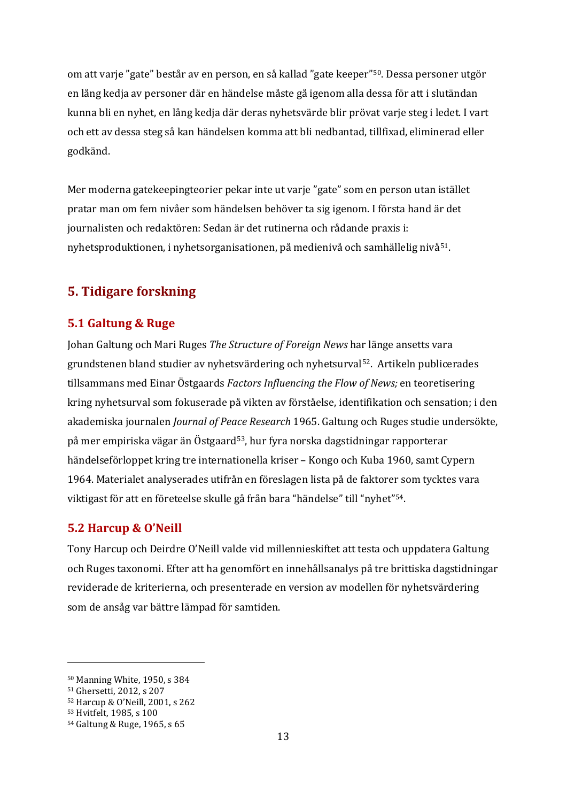om att varje "gate" består av en person, en så kallad "gate keeper"[50.](#page-12-3) Dessa personer utgör en lång kedja av personer där en händelse måste gå igenom alla dessa för att i slutändan kunna bli en nyhet, en lång kedja där deras nyhetsvärde blir prövat varje steg i ledet. I vart och ett av dessa steg så kan händelsen komma att bli nedbantad, tillfixad, eliminerad eller godkänd.

Mer moderna gatekeepingteorier pekar inte ut varje "gate" som en person utan istället pratar man om fem nivåer som händelsen behöver ta sig igenom. I första hand är det journalisten och redaktören: Sedan är det rutinerna och rådande praxis i: nyhetsproduktionen, i nyhetsorganisationen, på medienivå och samhällelig nivå[51](#page-12-4).

# <span id="page-12-0"></span>**5. Tidigare forskning**

### <span id="page-12-1"></span>**5.1 Galtung & Ruge**

Johan Galtung och Mari Ruges *The Structure of Foreign News* har länge ansetts vara grundstenen bland studier av nyhetsvärdering och nyhetsurval[52](#page-12-5). Artikeln publicerades tillsammans med Einar Östgaards *Factors Influencing the Flow of News;* en teoretisering kring nyhetsurval som fokuserade på vikten av förståelse, identifikation och sensation; i den akademiska journalen *Journal of Peace Research* 1965. Galtung och Ruges studie undersökte, på mer empiriska vägar än Östgaard[53,](#page-12-6) hur fyra norska dagstidningar rapporterar händelseförloppet kring tre internationella kriser – Kongo och Kuba 1960, samt Cypern 1964. Materialet analyserades utifrån en föreslagen lista på de faktorer som tycktes vara viktigast för att en företeelse skulle gå från bara "händelse" till "nyhet"[54.](#page-12-7)

### <span id="page-12-2"></span>**5.2 Harcup & O'Neill**

Tony Harcup och Deirdre O'Neill valde vid millennieskiftet att testa och uppdatera Galtung och Ruges taxonomi. Efter att ha genomfört en innehållsanalys på tre brittiska dagstidningar reviderade de kriterierna, och presenterade en version av modellen för nyhetsvärdering som de ansåg var bättre lämpad för samtiden.

<span id="page-12-3"></span><sup>50</sup> Manning White, 1950, s 384

<span id="page-12-4"></span><sup>51</sup> Ghersetti, 2012, s 207

<span id="page-12-5"></span><sup>52</sup> Harcup & O'Neill, 2001, s 262

<span id="page-12-6"></span><sup>53</sup> Hvitfelt, 1985, s 100

<span id="page-12-7"></span><sup>54</sup> Galtung & Ruge, 1965, s 65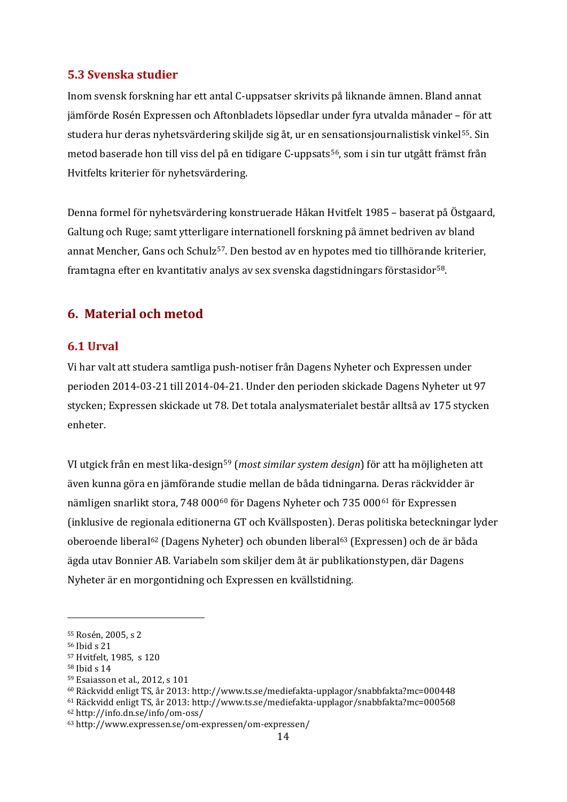### <span id="page-13-0"></span>**5.3 Svenska studier**

Inom svensk forskning har ett antal C-uppsatser skrivits på liknande ämnen. Bland annat jämförde Rosén Expressen och Aftonbladets löpsedlar under fyra utvalda månader – för att studera hur deras nyhetsvärdering skiljde sig åt, ur en sensationsjournalistisk vinkel<sup>55</sup>. Sin metod baserade hon till viss del på en tidigare C-uppsats<sup>[56](#page-13-4)</sup>, som i sin tur utgått främst från Hvitfelts kriterier för nyhetsvärdering.

Denna formel för nyhetsvärdering konstruerade Håkan Hvitfelt 1985 – baserat på Östgaard, Galtung och Ruge; samt ytterligare internationell forskning på ämnet bedriven av bland annat Mencher, Gans och Schulz[57.](#page-13-5) Den bestod av en hypotes med tio tillhörande kriterier, framtagna efter en kvantitativ analys av sex svenska dagstidningars förstasidor<sup>[58](#page-13-6)</sup>.

### <span id="page-13-1"></span>**6. Material och metod**

### <span id="page-13-2"></span>**6.1 Urval**

Vi har valt att studera samtliga push-notiser från Dagens Nyheter och Expressen under perioden 2014-03-21 till 2014-04-21. Under den perioden skickade Dagens Nyheter ut 97 stycken; Expressen skickade ut 78. Det totala analysmaterialet består alltså av 175 stycken enheter.

VI utgick från en mest lika-design[59](#page-13-7) (*most similar system design*) för att ha möjligheten att även kunna göra en jämförande studie mellan de båda tidningarna. Deras räckvidder är nämligen snarlikt stora, 748 000<sup>[60](#page-13-8)</sup> för Dagens Nyheter och 735 000<sup>[61](#page-13-9)</sup> för Expressen (inklusive de regionala editionerna GT och Kvällsposten). Deras politiska beteckningar lyder oberoende libera[l62](#page-13-10) (Dagens Nyheter) och obunden liberal[63](#page-13-11) (Expressen) och de är båda ägda utav Bonnier AB. Variabeln som skiljer dem åt är publikationstypen, där Dagens Nyheter är en morgontidning och Expressen en kvällstidning.

<span id="page-13-3"></span><sup>55</sup> Rosén, 2005, s 2

<span id="page-13-4"></span><sup>56</sup> Ibid s 21

<span id="page-13-5"></span><sup>57</sup> Hvitfelt, 1985, s 120

<span id="page-13-6"></span><sup>58</sup> Ibid s 14

<span id="page-13-7"></span><sup>59</sup> Esaiasson et al., 2012, s 101

<span id="page-13-8"></span><sup>60</sup> Räckvidd enligt TS, år 2013:<http://www.ts.se/mediefakta-upplagor/snabbfakta?mc=000448>

<span id="page-13-9"></span><sup>61</sup> Räckvidd enligt TS, år 2013:<http://www.ts.se/mediefakta-upplagor/snabbfakta?mc=000568>

<span id="page-13-10"></span><sup>62</sup> <http://info.dn.se/info/om-oss/>

<span id="page-13-11"></span><sup>63</sup> http://www.expressen.se/om-expressen/om-expressen/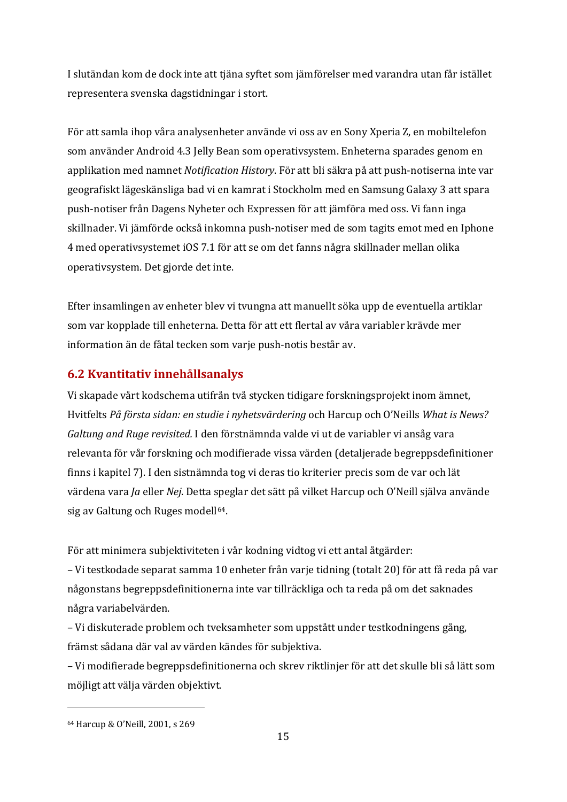I slutändan kom de dock inte att tjäna syftet som jämförelser med varandra utan får istället representera svenska dagstidningar i stort.

För att samla ihop våra analysenheter använde vi oss av en Sony Xperia Z, en mobiltelefon som använder Android 4.3 Jelly Bean som operativsystem. Enheterna sparades genom en applikation med namnet *Notification History*. För att bli säkra på att push-notiserna inte var geografiskt lägeskänsliga bad vi en kamrat i Stockholm med en Samsung Galaxy 3 att spara push-notiser från Dagens Nyheter och Expressen för att jämföra med oss. Vi fann inga skillnader. Vi jämförde också inkomna push-notiser med de som tagits emot med en Iphone 4 med operativsystemet iOS 7.1 för att se om det fanns några skillnader mellan olika operativsystem. Det gjorde det inte.

Efter insamlingen av enheter blev vi tvungna att manuellt söka upp de eventuella artiklar som var kopplade till enheterna. Detta för att ett flertal av våra variabler krävde mer information än de fåtal tecken som varje push-notis består av.

# <span id="page-14-0"></span>**6.2 Kvantitativ innehållsanalys**

Vi skapade vårt kodschema utifrån två stycken tidigare forskningsprojekt inom ämnet, Hvitfelts *På första sidan: en studie i nyhetsvärdering* och Harcup och O'Neills *What is News? Galtung and Ruge revisited.* I den förstnämnda valde vi ut de variabler vi ansåg vara relevanta för vår forskning och modifierade vissa värden (detaljerade begreppsdefinitioner finns i kapitel 7). I den sistnämnda tog vi deras tio kriterier precis som de var och lät värdena vara *Ja* eller *Nej*. Detta speglar det sätt på vilket Harcup och O'Neill själva använde sig av Galtung och Ruges modell<sup>64</sup>.

För att minimera subjektiviteten i vår kodning vidtog vi ett antal åtgärder:

– Vi testkodade separat samma 10 enheter från varje tidning (totalt 20) för att få reda på var någonstans begreppsdefinitionerna inte var tillräckliga och ta reda på om det saknades några variabelvärden.

– Vi diskuterade problem och tveksamheter som uppstått under testkodningens gång, främst sådana där val av värden kändes för subjektiva.

– Vi modifierade begreppsdefinitionerna och skrev riktlinjer för att det skulle bli så lätt som möjligt att välja värden objektivt.

<span id="page-14-1"></span><sup>64</sup> Harcup & O'Neill, 2001, s 269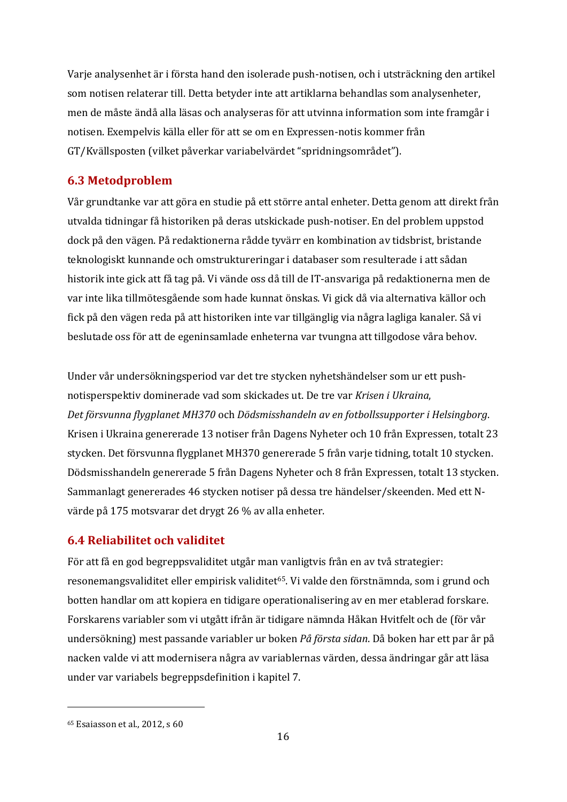Varje analysenhet är i första hand den isolerade push-notisen, och i utsträckning den artikel som notisen relaterar till. Detta betyder inte att artiklarna behandlas som analysenheter, men de måste ändå alla läsas och analyseras för att utvinna information som inte framgår i notisen. Exempelvis källa eller för att se om en Expressen-notis kommer från GT/Kvällsposten (vilket påverkar variabelvärdet "spridningsområdet").

### <span id="page-15-0"></span>**6.3 Metodproblem**

Vår grundtanke var att göra en studie på ett större antal enheter. Detta genom att direkt från utvalda tidningar få historiken på deras utskickade push-notiser. En del problem uppstod dock på den vägen. På redaktionerna rådde tyvärr en kombination av tidsbrist, bristande teknologiskt kunnande och omstruktureringar i databaser som resulterade i att sådan historik inte gick att få tag på. Vi vände oss då till de IT-ansvariga på redaktionerna men de var inte lika tillmötesgående som hade kunnat önskas. Vi gick då via alternativa källor och fick på den vägen reda på att historiken inte var tillgänglig via några lagliga kanaler. Så vi beslutade oss för att de egeninsamlade enheterna var tvungna att tillgodose våra behov.

Under vår undersökningsperiod var det tre stycken nyhetshändelser som ur ett pushnotisperspektiv dominerade vad som skickades ut. De tre var *Krisen i Ukraina*, *Det försvunna flygplanet MH370* och *Dödsmisshandeln av en fotbollssupporter i Helsingborg*. Krisen i Ukraina genererade 13 notiser från Dagens Nyheter och 10 från Expressen, totalt 23 stycken. Det försvunna flygplanet MH370 genererade 5 från varje tidning, totalt 10 stycken. Dödsmisshandeln genererade 5 från Dagens Nyheter och 8 från Expressen, totalt 13 stycken. Sammanlagt genererades 46 stycken notiser på dessa tre händelser/skeenden. Med ett Nvärde på 175 motsvarar det drygt 26 % av alla enheter.

# <span id="page-15-1"></span>**6.4 Reliabilitet och validitet**

För att få en god begreppsvaliditet utgår man vanligtvis från en av två strategier: resonemangsvaliditet eller empirisk validitet<sup>[65](#page-15-2)</sup>. Vi valde den förstnämnda, som i grund och botten handlar om att kopiera en tidigare operationalisering av en mer etablerad forskare. Forskarens variabler som vi utgått ifrån är tidigare nämnda Håkan Hvitfelt och de (för vår undersökning) mest passande variabler ur boken *På första sidan*. Då boken har ett par år på nacken valde vi att modernisera några av variablernas värden, dessa ändringar går att läsa under var variabels begreppsdefinition i kapitel 7.

<span id="page-15-2"></span><sup>65</sup> Esaiasson et al., 2012, s 60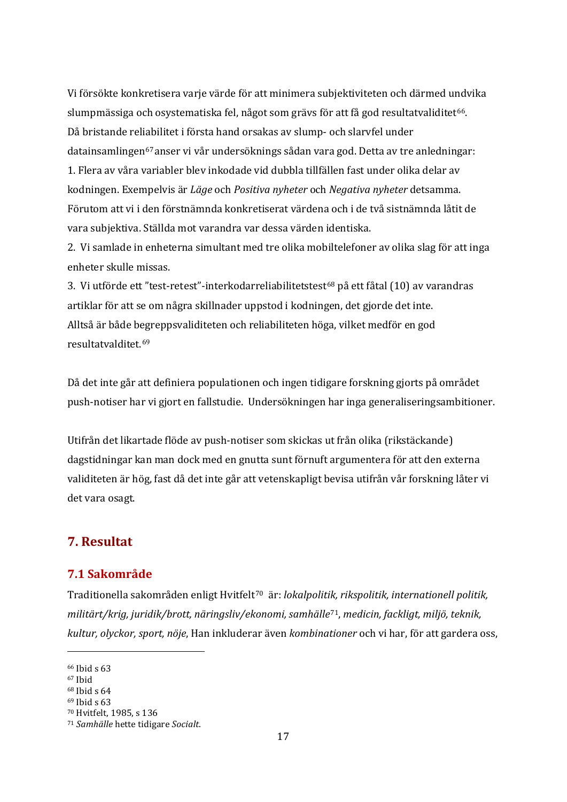Vi försökte konkretisera varje värde för att minimera subjektiviteten och därmed undvika slumpmässiga och osystematiska fel, något som grävs för att få god resultatvaliditet<sup>66</sup>. Då bristande reliabilitet i första hand orsakas av slump- och slarvfel under datainsamlingen[67](#page-16-3)anser vi vår undersöknings sådan vara god. Detta av tre anledningar: 1. Flera av våra variabler blev inkodade vid dubbla tillfällen fast under olika delar av kodningen. Exempelvis är *Läge* och *Positiva nyheter* och *Negativa nyheter* detsamma. Förutom att vi i den förstnämnda konkretiserat värdena och i de två sistnämnda låtit de vara subjektiva. Ställda mot varandra var dessa värden identiska.

2. Vi samlade in enheterna simultant med tre olika mobiltelefoner av olika slag för att inga enheter skulle missas.

3. Vi utförde ett "test-retest"-interkodarreliabilitetstest<sup>[68](#page-16-4)</sup> på ett fåtal (10) av varandras artiklar för att se om några skillnader uppstod i kodningen, det gjorde det inte. Alltså är både begreppsvaliditeten och reliabiliteten höga, vilket medför en god resultatvalditet.[69](#page-16-5)

Då det inte går att definiera populationen och ingen tidigare forskning gjorts på området push-notiser har vi gjort en fallstudie. Undersökningen har inga generaliseringsambitioner.

Utifrån det likartade flöde av push-notiser som skickas ut från olika (rikstäckande) dagstidningar kan man dock med en gnutta sunt förnuft argumentera för att den externa validiteten är hög, fast då det inte går att vetenskapligt bevisa utifrån vår forskning låter vi det vara osagt.

# <span id="page-16-0"></span>**7. Resultat**

### <span id="page-16-1"></span>**7.1 Sakområde**

Traditionella sakområden enligt Hvitfelt[70](#page-16-6) är: *lokalpolitik, rikspolitik, internationell politik, militärt/krig, juridik/brott, näringsliv/ekonomi, samhälle*[71,](#page-16-7) *medicin, fackligt, miljö, teknik, kultur, olyckor, sport, nöje*, Han inkluderar även *kombinationer* och vi har, för att gardera oss,

 $\overline{\phantom{a}}$ 

<span id="page-16-2"></span><sup>66</sup> Ibid s 63

<span id="page-16-3"></span><sup>67</sup> Ibid

<span id="page-16-4"></span><sup>68</sup> Ibid s 64

<span id="page-16-5"></span><sup>69</sup> Ibid s 63

<span id="page-16-6"></span><sup>70</sup> Hvitfelt, 1985, s 136

<span id="page-16-7"></span><sup>71</sup> *Samhälle* hette tidigare *Socialt*.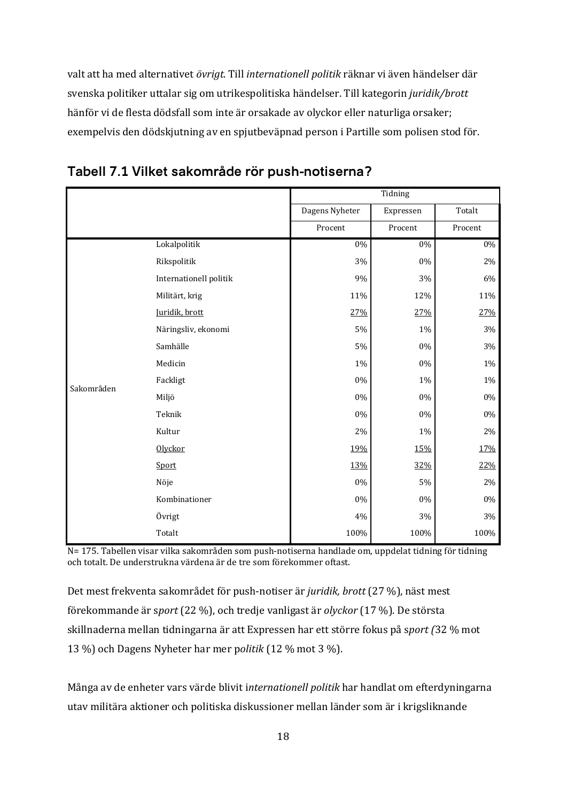valt att ha med alternativet *övrigt*. Till *internationell politik* räknar vi även händelser där svenska politiker uttalar sig om utrikespolitiska händelser. Till kategorin *juridik/brott* hänför vi de flesta dödsfall som inte är orsakade av olyckor eller naturliga orsaker; exempelvis den dödskjutning av en spjutbeväpnad person i Partille som polisen stod för.

|            |                        |                | Tidning   |         |
|------------|------------------------|----------------|-----------|---------|
|            |                        | Dagens Nyheter | Expressen | Totalt  |
|            |                        | Procent        | Procent   | Procent |
|            | Lokalpolitik           | $0\%$          | $0\%$     | $0\%$   |
|            | Rikspolitik            | 3%             | 0%        | $2\%$   |
|            | Internationell politik | 9%             | 3%        | 6%      |
|            | Militärt, krig         | 11%            | 12%       | 11%     |
|            | Juridik, brott         | 27%            | 27%       | 27%     |
|            | Näringsliv, ekonomi    | 5%             | 1%        | 3%      |
|            | Samhälle               | 5%             | $0\%$     | $3\%$   |
|            | Medicin                | 1%             | 0%        | $1\%$   |
| Sakområden | Fackligt               | $0\%$          | 1%        | $1\%$   |
|            | Miljö                  | 0%             | $0\%$     | $0\%$   |
|            | Teknik                 | $0\%$          | 0%        | $0\%$   |
|            | Kultur                 | 2%             | 1%        | $2\%$   |
|            | Olyckor                | 19%            | 15%       | 17%     |
|            | Sport                  | 13%            | 32%       | 22%     |
|            | Nöje                   | 0%             | 5%        | $2\%$   |
|            | Kombinationer          | $0\%$          | $0\%$     | $0\%$   |
|            | Övrigt                 | 4%             | 3%        | 3%      |
|            | Totalt                 | 100%           | 100%      | 100%    |



N= 175. Tabellen visar vilka sakområden som push-notiserna handlade om, uppdelat tidning för tidning och totalt. De understrukna värdena är de tre som förekommer oftast.

Det mest frekventa sakområdet för push-notiser är *juridik, brott* (27 %), näst mest förekommande är s*port* (22 %), och tredje vanligast är *olyckor* (17 %). De största skillnaderna mellan tidningarna är att Expressen har ett större fokus på s*port (*32 % mot 13 %) och Dagens Nyheter har mer p*olitik* (12 % mot 3 %).

Många av de enheter vars värde blivit i*nternationell politik* har handlat om efterdyningarna utav militära aktioner och politiska diskussioner mellan länder som är i krigsliknande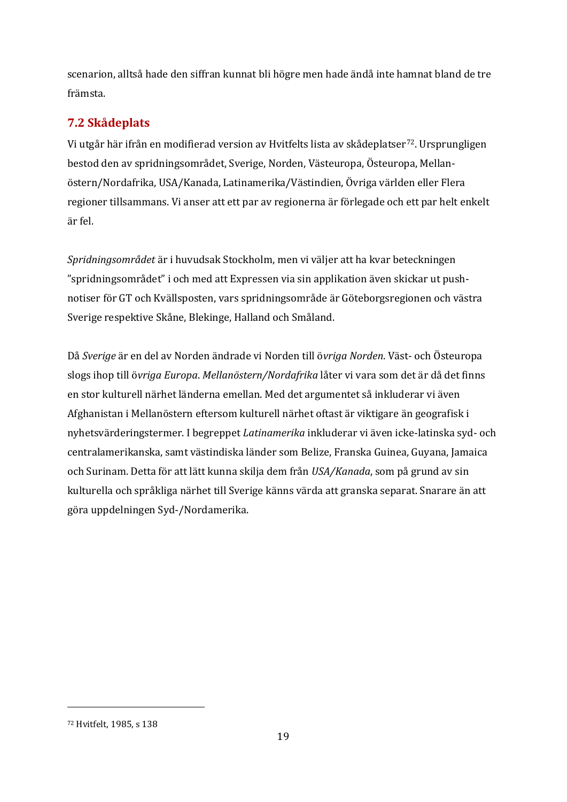scenarion, alltså hade den siffran kunnat bli högre men hade ändå inte hamnat bland de tre främsta.

# <span id="page-18-0"></span>**7.2 Skådeplats**

Vi utgår här ifrån en modifierad version av Hvitfelts lista av skådeplatser[72.](#page-18-1) Ursprungligen bestod den av spridningsområdet, Sverige, Norden, Västeuropa, Östeuropa, Mellanöstern/Nordafrika, USA/Kanada, Latinamerika/Västindien, Övriga världen eller Flera regioner tillsammans. Vi anser att ett par av regionerna är förlegade och ett par helt enkelt är fel.

*Spridningsområdet* är i huvudsak Stockholm, men vi väljer att ha kvar beteckningen "spridningsområdet" i och med att Expressen via sin applikation även skickar ut pushnotiser för GT och Kvällsposten, vars spridningsområde är Göteborgsregionen och västra Sverige respektive Skåne, Blekinge, Halland och Småland.

Då *Sverige* är en del av Norden ändrade vi Norden till ö*vriga Norden*. Väst- och Östeuropa slogs ihop till ö*vriga Europa*. *Mellanöstern/Nordafrika* låter vi vara som det är då det finns en stor kulturell närhet länderna emellan. Med det argumentet så inkluderar vi även Afghanistan i Mellanöstern eftersom kulturell närhet oftast är viktigare än geografisk i nyhetsvärderingstermer. I begreppet *Latinamerika* inkluderar vi även icke-latinska syd- och centralamerikanska, samt västindiska länder som Belize, Franska Guinea, Guyana, Jamaica och Surinam. Detta för att lätt kunna skilja dem från *USA/Kanada*, som på grund av sin kulturella och språkliga närhet till Sverige känns värda att granska separat. Snarare än att göra uppdelningen Syd-/Nordamerika.

<span id="page-18-1"></span><sup>72</sup> Hvitfelt, 1985, s 138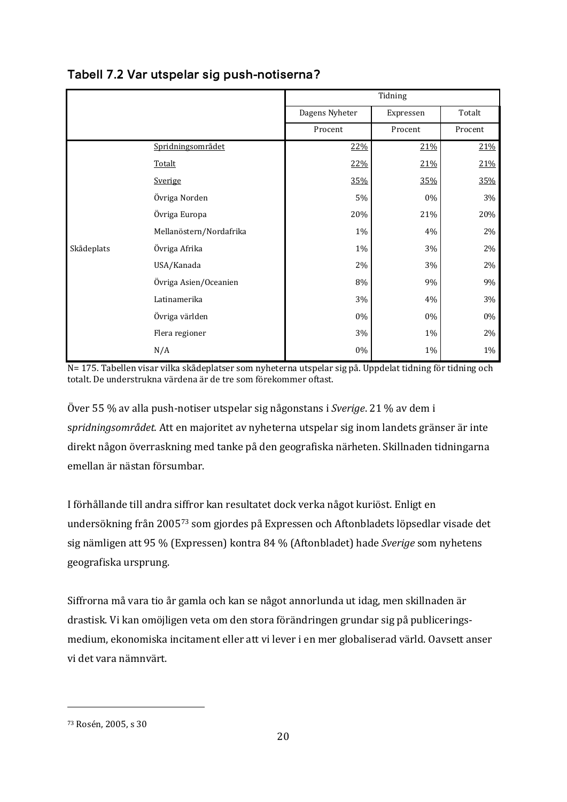|            |                         |                | Tidning   |         |
|------------|-------------------------|----------------|-----------|---------|
|            |                         | Dagens Nyheter | Expressen | Totalt  |
|            |                         | Procent        | Procent   | Procent |
|            | Spridningsområdet       | 22%            | 21%       | 21%     |
|            | Totalt                  | 22%            | 21%       | 21%     |
|            | Sverige                 | 35%            | 35%       | 35%     |
|            | Övriga Norden           | $5\%$          | $0\%$     | 3%      |
|            | Övriga Europa           | 20%            | 21%       | 20%     |
|            | Mellanöstern/Nordafrika | $1\%$          | 4%        | 2%      |
| Skådeplats | Övriga Afrika           | 1%             | 3%        | $2\%$   |
|            | USA/Kanada              | 2%             | 3%        | 2%      |
|            | Övriga Asien/Oceanien   | 8%             | 9%        | 9%      |
|            | Latinamerika            | 3%             | 4%        | 3%      |
|            | Övriga världen          | $0\%$          | $0\%$     | 0%      |
|            | Flera regioner          | 3%             | $1\%$     | 2%      |
|            | N/A                     | $0\%$          | 1%        | $1\%$   |

# **Tabell 7.2 Var utspelar sig push-notiserna?**

N= 175. Tabellen visar vilka skådeplatser som nyheterna utspelar sig på. Uppdelat tidning för tidning och totalt. De understrukna värdena är de tre som förekommer oftast.

Över 55 % av alla push-notiser utspelar sig någonstans i *Sverige*. 21 % av dem i s*pridningsområdet.* Att en majoritet av nyheterna utspelar sig inom landets gränser är inte direkt någon överraskning med tanke på den geografiska närheten. Skillnaden tidningarna emellan är nästan försumbar.

I förhållande till andra siffror kan resultatet dock verka något kuriöst. Enligt en undersökning från 2005[73](#page-19-0) som gjordes på Expressen och Aftonbladets löpsedlar visade det sig nämligen att 95 % (Expressen) kontra 84 % (Aftonbladet) hade *Sverige* som nyhetens geografiska ursprung.

Siffrorna må vara tio år gamla och kan se något annorlunda ut idag, men skillnaden är drastisk. Vi kan omöjligen veta om den stora förändringen grundar sig på publiceringsmedium, ekonomiska incitament eller att vi lever i en mer globaliserad värld. Oavsett anser vi det vara nämnvärt.

<span id="page-19-0"></span><sup>73</sup> Rosén, 2005, s 30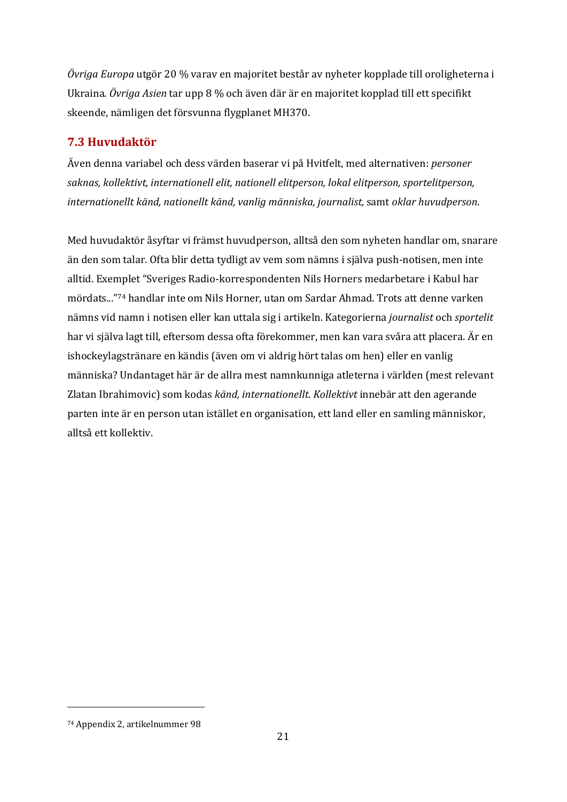*Övriga Europa* utgör 20 % varav en majoritet består av nyheter kopplade till oroligheterna i Ukraina. *Övriga Asien* tar upp 8 % och även där är en majoritet kopplad till ett specifikt skeende, nämligen det försvunna flygplanet MH370.

# <span id="page-20-0"></span>**7.3 Huvudaktör**

Även denna variabel och dess värden baserar vi på Hvitfelt, med alternativen: *personer saknas, kollektivt, internationell elit, nationell elitperson, lokal elitperson, sportelitperson, internationellt känd, nationellt känd, vanlig människa, journalist,* samt *oklar huvudperson*.

Med huvudaktör åsyftar vi främst huvudperson, alltså den som nyheten handlar om, snarare än den som talar. Ofta blir detta tydligt av vem som nämns i själva push-notisen, men inte alltid. Exemplet "Sveriges Radio-korrespondenten Nils Horners medarbetare i Kabul har mördats..."[74](#page-20-1) handlar inte om Nils Horner, utan om Sardar Ahmad. Trots att denne varken nämns vid namn i notisen eller kan uttala sig i artikeln. Kategorierna *journalist* och *sportelit* har vi själva lagt till, eftersom dessa ofta förekommer, men kan vara svåra att placera. Är en ishockeylagstränare en kändis (även om vi aldrig hört talas om hen) eller en vanlig människa? Undantaget här är de allra mest namnkunniga atleterna i världen (mest relevant Zlatan Ibrahimovic) som kodas *känd, internationellt*. *Kollektivt* innebär att den agerande parten inte är en person utan istället en organisation, ett land eller en samling människor, alltså ett kollektiv.

<span id="page-20-1"></span><sup>74</sup> Appendix 2, artikelnummer 98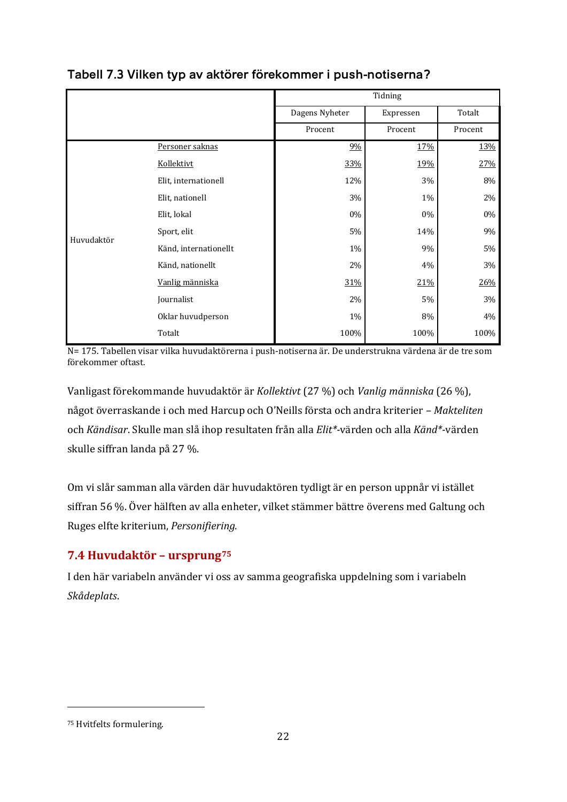|            |                       |                | Tidning   |         |  |
|------------|-----------------------|----------------|-----------|---------|--|
|            |                       | Dagens Nyheter | Expressen | Totalt  |  |
|            |                       | Procent        | Procent   | Procent |  |
|            | Personer saknas       | 9%             | 17%       | 13%     |  |
|            | Kollektivt            | 33%            | 19%       | 27%     |  |
|            | Elit, internationell  | 12%            | 3%        | 8%      |  |
| Huvudaktör | Elit, nationell       | 3%             | 1%        | 2%      |  |
|            | Elit, lokal           | 0%             | $0\%$     | 0%      |  |
|            | Sport, elit           | $5\%$          | 14%       | 9%      |  |
|            | Känd, internationellt | $1\%$          | 9%        | 5%      |  |
|            | Känd, nationellt      | 2%             | 4%        | $3\%$   |  |
|            | Vanlig människa       | 31%            | 21%       | 26%     |  |
|            | Journalist            | 2%             | $5\%$     | 3%      |  |
|            | Oklar huvudperson     | 1%             | 8%        | 4%      |  |
|            | Totalt                | 100%           | 100%      | 100%    |  |

# **Tabell 7.3 Vilken typ av aktörer förekommer i push-notiserna?**

N= 175. Tabellen visar vilka huvudaktörerna i push-notiserna är. De understrukna värdena är de tre som förekommer oftast.

Vanligast förekommande huvudaktör är *Kollektivt* (27 %) och *Vanlig människa* (26 %), något överraskande i och med Harcup och O'Neills första och andra kriterier – *Makteliten*  och *Kändisar*. Skulle man slå ihop resultaten från alla *Elit\*-*värden och alla *Känd\*-*värden skulle siffran landa på 27 %.

Om vi slår samman alla värden där huvudaktören tydligt är en person uppnår vi istället siffran 56 %. Över hälften av alla enheter, vilket stämmer bättre överens med Galtung och Ruges elfte kriterium, *Personifiering.* 

# <span id="page-21-0"></span>**7.4 Huvudaktör – ursprung[75](#page-21-1)**

I den här variabeln använder vi oss av samma geografiska uppdelning som i variabeln *Skådeplats*.

<span id="page-21-1"></span><sup>75</sup> Hvitfelts formulering.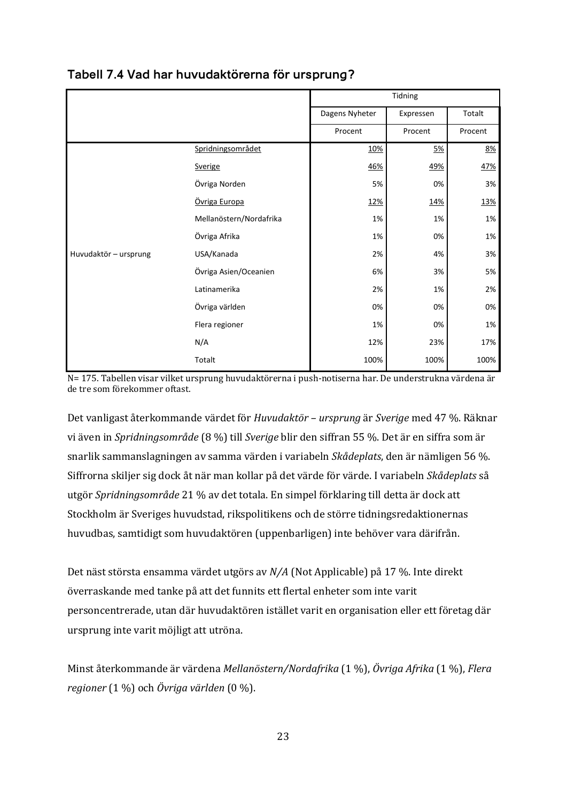|                       |                         |                | Tidning    |         |
|-----------------------|-------------------------|----------------|------------|---------|
|                       |                         | Dagens Nyheter | Expressen  | Totalt  |
|                       |                         | Procent        | Procent    | Procent |
|                       | Spridningsområdet       | 10%            | 5%         | 8%      |
|                       | Sverige                 | 46%            | <u>49%</u> | 47%     |
|                       | Övriga Norden           | 5%             | 0%         | 3%      |
|                       | Övriga Europa           | 12%            | 14%        | 13%     |
|                       | Mellanöstern/Nordafrika | 1%             | 1%         | 1%      |
|                       | Övriga Afrika           | 1%             | 0%         | 1%      |
| Huvudaktör - ursprung | USA/Kanada              | 2%             | 4%         | 3%      |
|                       | Övriga Asien/Oceanien   | 6%             | 3%         | 5%      |
|                       | Latinamerika            | 2%             | 1%         | 2%      |
|                       | Övriga världen          | 0%             | 0%         | 0%      |
|                       | Flera regioner          | 1%             | 0%         | 1%      |
|                       | N/A                     | 12%            | 23%        | 17%     |
|                       | Totalt                  | 100%           | 100%       | 100%    |

# **Tabell 7.4 Vad har huvudaktörerna för ursprung?**

N= 175. Tabellen visar vilket ursprung huvudaktörerna i push-notiserna har. De understrukna värdena är de tre som förekommer oftast.

Det vanligast återkommande värdet för *Huvudaktör – ursprung* är *Sverige* med 47 %. Räknar vi även in *Spridningsområde* (8 %) till *Sverige* blir den siffran 55 %. Det är en siffra som är snarlik sammanslagningen av samma värden i variabeln *Skådeplats*, den är nämligen 56 %. Siffrorna skiljer sig dock åt när man kollar på det värde för värde. I variabeln *Skådeplats* så utgör *Spridningsområde* 21 % av det totala. En simpel förklaring till detta är dock att Stockholm är Sveriges huvudstad, rikspolitikens och de större tidningsredaktionernas huvudbas, samtidigt som huvudaktören (uppenbarligen) inte behöver vara därifrån.

Det näst största ensamma värdet utgörs av *N/A* (Not Applicable) på 17 %. Inte direkt överraskande med tanke på att det funnits ett flertal enheter som inte varit personcentrerade, utan där huvudaktören istället varit en organisation eller ett företag där ursprung inte varit möjligt att utröna.

Minst återkommande är värdena *Mellanöstern/Nordafrika* (1 %), *Övriga Afrika* (1 %), *Flera regioner* (1 %) och *Övriga världen* (0 %).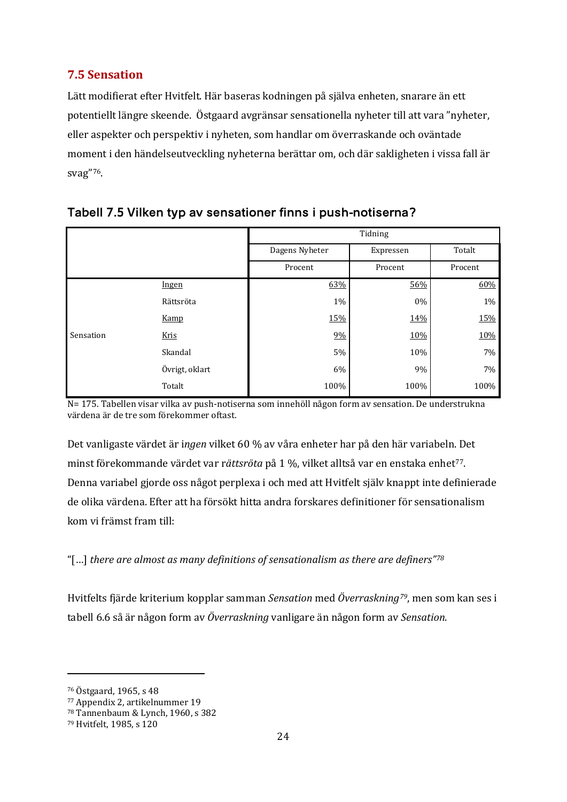# <span id="page-23-0"></span>**7.5 Sensation**

Lätt modifierat efter Hvitfelt. Här baseras kodningen på själva enheten, snarare än ett potentiellt längre skeende. Östgaard avgränsar sensationella nyheter till att vara "nyheter, eller aspekter och perspektiv i nyheten, som handlar om överraskande och oväntade moment i den händelseutveckling nyheterna berättar om, och där sakligheten i vissa fall är svag"[76](#page-23-1).

|           |                | Tidning        |           |         |  |
|-----------|----------------|----------------|-----------|---------|--|
|           |                | Dagens Nyheter | Expressen | Totalt  |  |
|           |                | Procent        | Procent   | Procent |  |
|           | <u>Ingen</u>   | 63%            | 56%       | 60%     |  |
|           | Rättsröta      | 1%             | 0%        | $1\%$   |  |
|           | Kamp           | 15%            | 14%       | 15%     |  |
| Sensation | Kris           | 9%             | 10%       | 10%     |  |
|           | Skandal        | 5%             | 10%       | 7%      |  |
|           | Övrigt, oklart | 6%             | 9%        | 7%      |  |
|           | Totalt         | 100%           | 100%      | 100%    |  |

### **Tabell 7.5 Vilken typ av sensationer finns i push-notiserna?**

N= 175. Tabellen visar vilka av push-notiserna som innehöll någon form av sensation. De understrukna värdena är de tre som förekommer oftast.

Det vanligaste värdet är i*ngen* vilket 60 % av våra enheter har på den här variabeln. Det minst förekommande värdet var rättsröta på 1 %, vilket alltså var en enstaka enhet<sup>[77](#page-23-2)</sup>. Denna variabel gjorde oss något perplexa i och med att Hvitfelt själv knappt inte definierade de olika värdena. Efter att ha försökt hitta andra forskares definitioner för sensationalism kom vi främst fram till:

"[…] *there are almost as many definitions of sensationalism as there are definers"[78](#page-23-3)*

Hvitfelts fjärde kriterium kopplar samman *Sensation* med *Överraskning[79](#page-23-4)*, men som kan ses i tabell 6.6 så är någon form av *Överraskning* vanligare än någon form av *Sensation*.

<span id="page-23-1"></span><sup>76</sup> Östgaard, 1965, s 48

<span id="page-23-2"></span><sup>77</sup> Appendix 2, artikelnummer 19

<span id="page-23-3"></span><sup>78</sup> Tannenbaum & Lynch, 1960, s 382

<span id="page-23-4"></span><sup>79</sup> Hvitfelt, 1985, s 120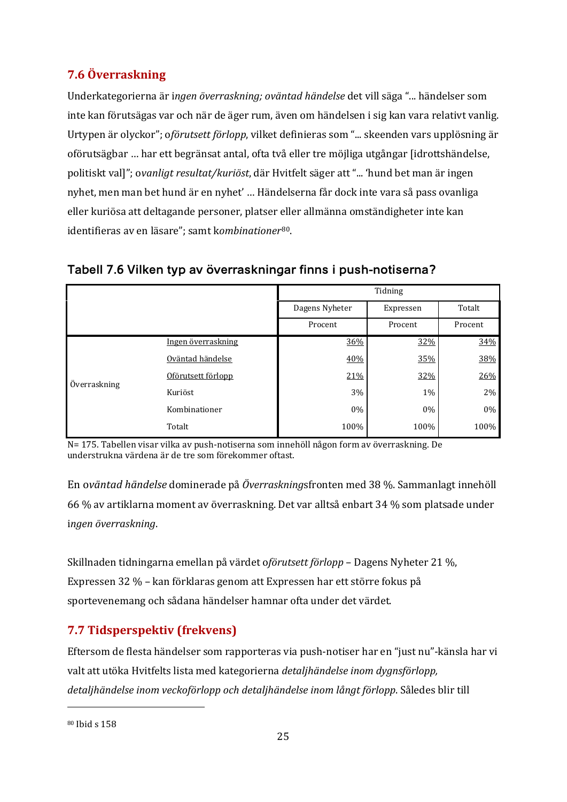# <span id="page-24-0"></span>**7.6 Överraskning**

Underkategorierna är i*ngen överraskning; oväntad händelse* det vill säga "... händelser som inte kan förutsägas var och när de äger rum, även om händelsen i sig kan vara relativt vanlig. Urtypen är olyckor"; o*förutsett förlopp*, vilket definieras som "... skeenden vars upplösning är oförutsägbar … har ett begränsat antal, ofta två eller tre möjliga utgångar [idrottshändelse, politiskt val]"; o*vanligt resultat/kuriöst*, där Hvitfelt säger att "... 'hund bet man är ingen nyhet, men man bet hund är en nyhet' … Händelserna får dock inte vara så pass ovanliga eller kuriösa att deltagande personer, platser eller allmänna omständigheter inte kan identifieras av en läsare"; samt k*ombinationer*[80.](#page-24-2)

|              |                    |                | Tidning   |         |
|--------------|--------------------|----------------|-----------|---------|
|              |                    | Dagens Nyheter | Expressen | Totalt  |
|              |                    | Procent        | Procent   | Procent |
|              | Ingen överraskning | 36%            | 32%       | 34%     |
| Överraskning | Oväntad händelse   | 40%            | 35%       | 38%     |
|              | Oförutsett förlopp | 21%            | 32%       | 26%     |
|              | Kuriöst            | $3\%$          | $1\%$     | 2%      |
|              | Kombinationer      | $0\%$          | 0%        | $0\%$   |
|              | Totalt             | 100%           | 100%      | 100%    |

# **Tabell 7.6 Vilken typ av överraskningar finns i push-notiserna?**

N= 175. Tabellen visar vilka av push-notiserna som innehöll någon form av överraskning. De understrukna värdena är de tre som förekommer oftast.

En o*väntad händelse* dominerade på *Överraskning*sfronten med 38 %. Sammanlagt innehöll 66 % av artiklarna moment av överraskning. Det var alltså enbart 34 % som platsade under i*ngen överraskning*.

Skillnaden tidningarna emellan på värdet o*förutsett förlopp* – Dagens Nyheter 21 %, Expressen 32 % – kan förklaras genom att Expressen har ett större fokus på sportevenemang och sådana händelser hamnar ofta under det värdet.

# <span id="page-24-1"></span>**7.7 Tidsperspektiv (frekvens)**

Eftersom de flesta händelser som rapporteras via push-notiser har en "just nu"-känsla har vi valt att utöka Hvitfelts lista med kategorierna *detaljhändelse inom dygnsförlopp, detaljhändelse inom veckoförlopp och detaljhändelse inom långt förlopp*. Således blir till

<span id="page-24-2"></span><sup>80</sup> Ibid s 158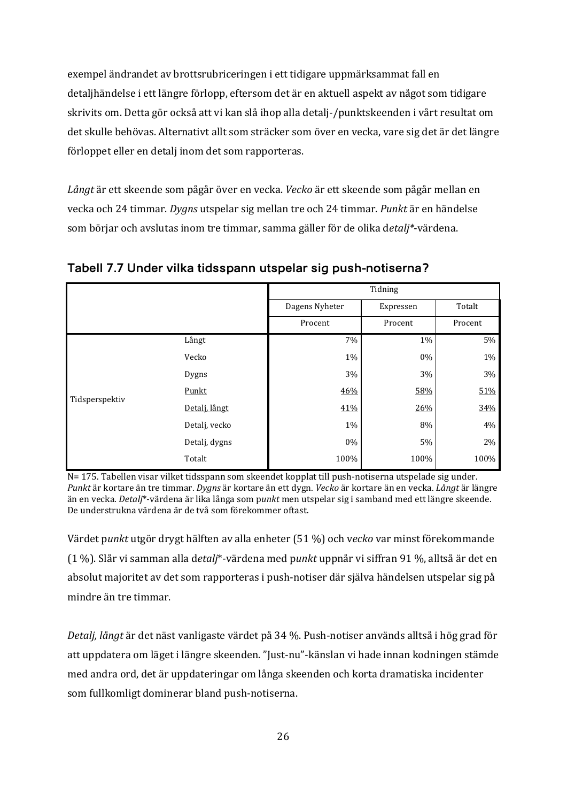exempel ändrandet av brottsrubriceringen i ett tidigare uppmärksammat fall en detaljhändelse i ett längre förlopp, eftersom det är en aktuell aspekt av något som tidigare skrivits om. Detta gör också att vi kan slå ihop alla detalj-/punktskeenden i vårt resultat om det skulle behövas. Alternativt allt som sträcker som över en vecka, vare sig det är det längre förloppet eller en detalj inom det som rapporteras.

*Långt* är ett skeende som pågår över en vecka. *Vecko* är ett skeende som pågår mellan en vecka och 24 timmar. *Dygns* utspelar sig mellan tre och 24 timmar. *Punkt* är en händelse som börjar och avslutas inom tre timmar, samma gäller för de olika d*etalj\**-värdena.

|                |               | Tidning        |           |         |
|----------------|---------------|----------------|-----------|---------|
|                |               | Dagens Nyheter | Expressen | Totalt  |
|                |               | Procent        | Procent   | Procent |
|                | Långt         | 7%             | $1\%$     | 5%      |
|                | Vecko         | 1%             | 0%        | $1\%$   |
|                | Dygns         | 3%             | 3%        | 3%      |
| Tidsperspektiv | Punkt         | 46%            | 58%       | 51%     |
|                | Detalj, långt | 41%            | 26%       | 34%     |
|                | Detalj, vecko | $1\%$          | $8\%$     | $4\%$   |
|                | Detalj, dygns | 0%             | 5%        | 2%      |
|                | Totalt        | 100%           | 100%      | 100%    |

**Tabell 7.7 Under vilka tidsspann utspelar sig push-notiserna?**

N= 175. Tabellen visar vilket tidsspann som skeendet kopplat till push-notiserna utspelade sig under. *Punkt* är kortare än tre timmar. *Dygns* är kortare än ett dygn. *Vecko* är kortare än en vecka. *Långt* är längre än en vecka. *Detalj*\*-värdena är lika långa som p*unkt* men utspelar sig i samband med ett längre skeende. De understrukna värdena är de två som förekommer oftast.

Värdet p*unkt* utgör drygt hälften av alla enheter (51 %) och v*ecko* var minst förekommande (1 %). Slår vi samman alla d*etalj*\*-värdena med p*unkt* uppnår vi siffran 91 %, alltså är det en absolut majoritet av det som rapporteras i push-notiser där själva händelsen utspelar sig på mindre än tre timmar.

*Detalj, långt* är det näst vanligaste värdet på 34 %. Push-notiser används alltså i hög grad för att uppdatera om läget i längre skeenden. "Just-nu"-känslan vi hade innan kodningen stämde med andra ord, det är uppdateringar om långa skeenden och korta dramatiska incidenter som fullkomligt dominerar bland push-notiserna.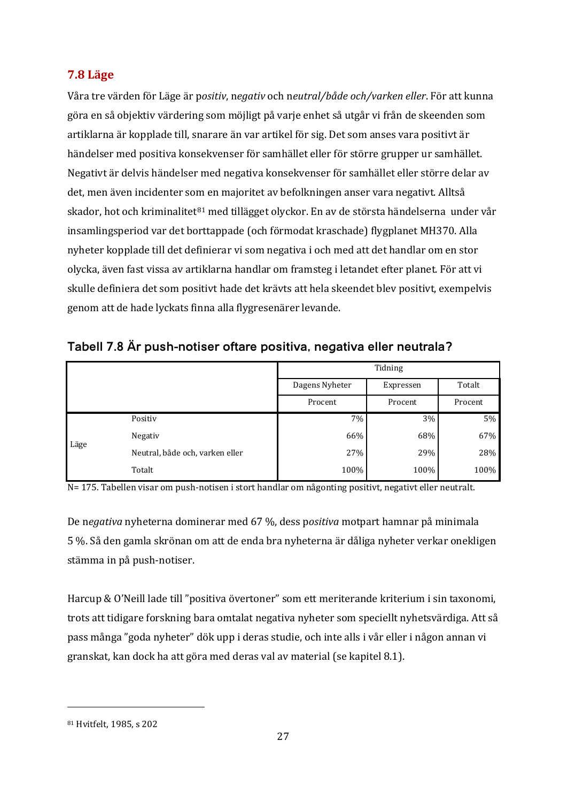# <span id="page-26-0"></span>**7.8 Läge**

Våra tre värden för Läge är p*ositiv*, n*egativ* och n*eutral/både och/varken eller*. För att kunna göra en så objektiv värdering som möjligt på varje enhet så utgår vi från de skeenden som artiklarna är kopplade till, snarare än var artikel för sig. Det som anses vara positivt är händelser med positiva konsekvenser för samhället eller för större grupper ur samhället. Negativt är delvis händelser med negativa konsekvenser för samhället eller större delar av det, men även incidenter som en majoritet av befolkningen anser vara negativt. Alltså skador, hot och kriminalitet $81 \text{ med }$  $81 \text{ med }$ tillägget olyckor. En av de största händelserna under vår insamlingsperiod var det borttappade (och förmodat kraschade) flygplanet MH370. Alla nyheter kopplade till det definierar vi som negativa i och med att det handlar om en stor olycka, även fast vissa av artiklarna handlar om framsteg i letandet efter planet. För att vi skulle definiera det som positivt hade det krävts att hela skeendet blev positivt, exempelvis genom att de hade lyckats finna alla flygresenärer levande.

| Tabell 7.8 Är push-notiser oftare positiva, negativa eller neutrala? |
|----------------------------------------------------------------------|
|----------------------------------------------------------------------|

|      |                                 |                | Tidning   |         |
|------|---------------------------------|----------------|-----------|---------|
|      |                                 | Dagens Nyheter | Expressen | Totalt  |
|      |                                 | Procent        | Procent   | Procent |
|      | Positiv                         | 7%             | 3%        | 5%      |
| Läge | Negativ                         | 66%            | 68%       | 67%     |
|      | Neutral, både och, varken eller | 27%            | 29%       | 28%     |
|      | Totalt                          | 100%           | 100%      | 100%    |

N= 175. Tabellen visar om push-notisen i stort handlar om någonting positivt, negativt eller neutralt.

De n*egativa* nyheterna dominerar med 67 %, dess p*ositiva* motpart hamnar på minimala 5 %. Så den gamla skrönan om att de enda bra nyheterna är dåliga nyheter verkar onekligen stämma in på push-notiser.

Harcup & O'Neill lade till "positiva övertoner" som ett meriterande kriterium i sin taxonomi, trots att tidigare forskning bara omtalat negativa nyheter som speciellt nyhetsvärdiga. Att så pass många "goda nyheter" dök upp i deras studie, och inte alls i vår eller i någon annan vi granskat, kan dock ha att göra med deras val av material (se kapitel 8.1).

<span id="page-26-1"></span><sup>81</sup> Hvitfelt, 1985, s 202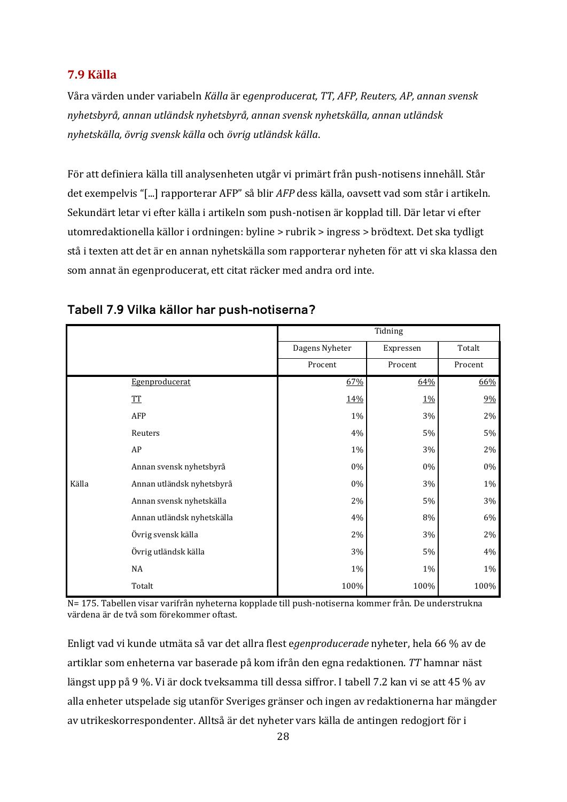### <span id="page-27-0"></span>**7.9 Källa**

Våra värden under variabeln *Källa* är e*genproducerat, TT, AFP, Reuters, AP, annan svensk nyhetsbyrå, annan utländsk nyhetsbyrå, annan svensk nyhetskälla, annan utländsk nyhetskälla, övrig svensk källa* och *övrig utländsk källa*.

För att definiera källa till analysenheten utgår vi primärt från push-notisens innehåll. Står det exempelvis "[...] rapporterar AFP" så blir *AFP* dess källa, oavsett vad som står i artikeln. Sekundärt letar vi efter källa i artikeln som push-notisen är kopplad till. Där letar vi efter utomredaktionella källor i ordningen: byline > rubrik > ingress > brödtext. Det ska tydligt stå i texten att det är en annan nyhetskälla som rapporterar nyheten för att vi ska klassa den som annat än egenproducerat, ett citat räcker med andra ord inte.

|       |                            |                | Tidning   |         |
|-------|----------------------------|----------------|-----------|---------|
|       |                            | Dagens Nyheter | Expressen | Totalt  |
|       |                            | Procent        | Procent   | Procent |
|       | Egenproducerat             | 67%            | 64%       | 66%     |
|       | ${\underline{\rm TT}}$     | 14%            | 1%        | 9%      |
|       | AFP                        | 1%             | 3%        | $2\%$   |
|       | Reuters                    | 4%             | $5\%$     | $5\%$   |
|       | ${\sf AP}$                 | 1%             | 3%        | $2\%$   |
|       | Annan svensk nyhetsbyrå    | 0%             | $0\%$     | 0%      |
| Källa | Annan utländsk nyhetsbyrå  | $0\%$          | 3%        | $1\%$   |
|       | Annan svensk nyhetskälla   | 2%             | $5\%$     | 3%      |
|       | Annan utländsk nyhetskälla | $4\%$          | $8\%$     | $6\%$   |
|       | Övrig svensk källa         | 2%             | 3%        | $2\%$   |
|       | Övrig utländsk källa       | 3%             | $5\%$     | 4%      |
|       | NA                         | 1%             | $1\%$     | $1\%$   |
|       | Totalt                     | 100%           | 100%      | 100%    |

### **Tabell 7.9 Vilka källor har push-notiserna?**

N= 175. Tabellen visar varifrån nyheterna kopplade till push-notiserna kommer från. De understrukna värdena är de två som förekommer oftast.

Enligt vad vi kunde utmäta så var det allra flest e*genproducerade* nyheter, hela 66 % av de artiklar som enheterna var baserade på kom ifrån den egna redaktionen. *TT* hamnar näst längst upp på 9 %. Vi är dock tveksamma till dessa siffror. I tabell 7.2 kan vi se att 45 % av alla enheter utspelade sig utanför Sveriges gränser och ingen av redaktionerna har mängder av utrikeskorrespondenter. Alltså är det nyheter vars källa de antingen redogjort för i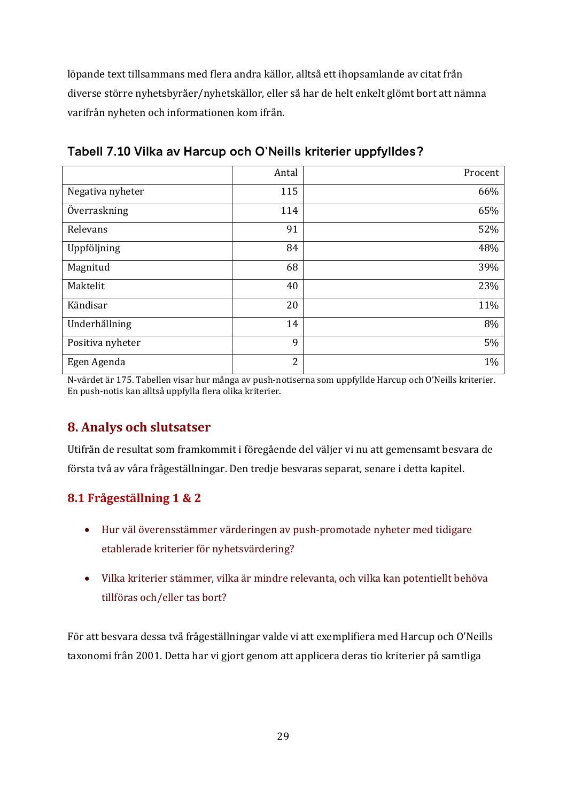löpande text tillsammans med flera andra källor, alltså ett ihopsamlande av citat från diverse större nyhetsbyråer/nyhetskällor, eller så har de helt enkelt glömt bort att nämna varifrån nyheten och informationen kom ifrån.

|                  | Antal          | Procent |
|------------------|----------------|---------|
| Negativa nyheter | 115            | 66%     |
| Överraskning     | 114            | 65%     |
| Relevans         | 91             | 52%     |
| Uppföljning      | 84             | 48%     |
| Magnitud         | 68             | 39%     |
| Maktelit         | 40             | 23%     |
| Kändisar         | 20             | 11%     |
| Underhållning    | 14             | 8%      |
| Positiva nyheter | 9              | 5%      |
| Egen Agenda      | $\overline{c}$ | 1%      |

**Tabell 7.10 Vilka av Harcup och O'Neills kriterier uppfylldes?**

<span id="page-28-0"></span>N-värdet är 175. Tabellen visar hur många av push-notiserna som uppfyllde Harcup och O'Neills kriterier. En push-notis kan alltså uppfylla flera olika kriterier.

# **8. Analys och slutsatser**

Utifrån de resultat som framkommit i föregående del väljer vi nu att gemensamt besvara de första två av våra frågeställningar. Den tredje besvaras separat, senare i detta kapitel.

# <span id="page-28-1"></span>**8.1 Frågeställning 1 & 2**

- Hur väl överensstämmer värderingen av push-promotade nyheter med tidigare etablerade kriterier för nyhetsvärdering?
- x Vilka kriterier stämmer, vilka är mindre relevanta, och vilka kan potentiellt behöva tillföras och/eller tas bort?

För att besvara dessa två frågeställningar valde vi att exemplifiera med Harcup och O'Neills taxonomi från 2001. Detta har vi gjort genom att applicera deras tio kriterier på samtliga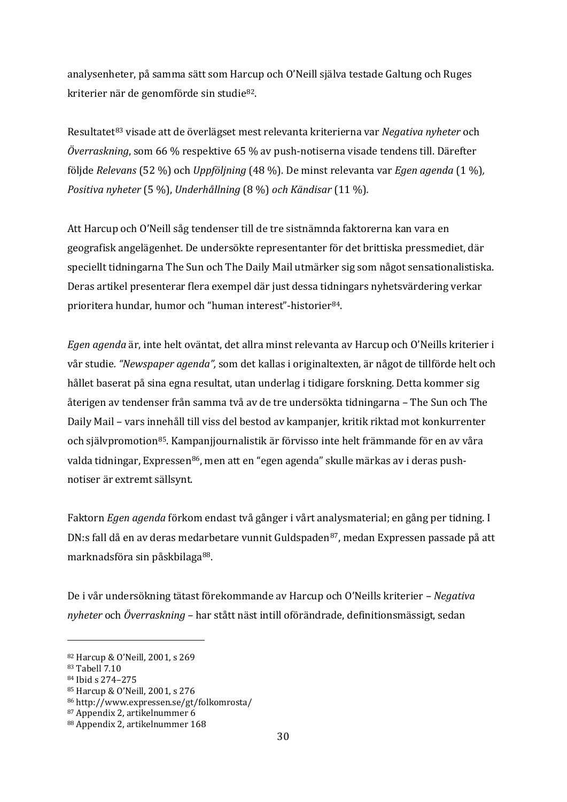analysenheter, på samma sätt som Harcup och O'Neill själva testade Galtung och Ruges kriterier när de genomförde sin studie[82.](#page-29-0)

Resultatet[83](#page-29-1) visade att de överlägset mest relevanta kriterierna var *Negativa nyheter* och *Överraskning*, som 66 % respektive 65 % av push-notiserna visade tendens till. Därefter följde *Relevans* (52 %) och *Uppföljning* (48 %)*.* De minst relevanta var *Egen agenda* (1 %)*, Positiva nyheter* (5 %), *Underhållning* (8 %) *och Kändisar* (11 %)*.* 

Att Harcup och O'Neill såg tendenser till de tre sistnämnda faktorerna kan vara en geografisk angelägenhet. De undersökte representanter för det brittiska pressmediet, där speciellt tidningarna The Sun och The Daily Mail utmärker sig som något sensationalistiska. Deras artikel presenterar flera exempel där just dessa tidningars nyhetsvärdering verkar prioritera hundar, humor och "human interest"-historier[84](#page-29-2).

*Egen agenda* är, inte helt oväntat, det allra minst relevanta av Harcup och O'Neills kriterier i vår studie*. "Newspaper agenda",* som det kallas i originaltexten, är något de tillförde helt och hållet baserat på sina egna resultat, utan underlag i tidigare forskning. Detta kommer sig återigen av tendenser från samma två av de tre undersökta tidningarna – The Sun och The Daily Mail – vars innehåll till viss del bestod av kampanjer, kritik riktad mot konkurrenter och självpromotion<sup>85</sup>. Kampanjjournalistik är förvisso inte helt främmande för en av våra valda tidningar, Expressen<sup>[86](#page-29-4)</sup>, men att en "egen agenda" skulle märkas av i deras pushnotiser är extremt sällsynt.

Faktorn *Egen agenda* förkom endast två gånger i vårt analysmaterial; en gång per tidning. I DN:s fall då en av deras medarbetare vunnit Guldspaden<sup>[87](#page-29-5)</sup>, medan Expressen passade på att marknadsföra sin påskbilaga<sup>[88](#page-29-6)</sup>.

De i vår undersökning tätast förekommande av Harcup och O'Neills kriterier – *Negativa nyheter* och *Överraskning –* har stått näst intill oförändrade, definitionsmässigt, sedan

l

<span id="page-29-3"></span><sup>85</sup> Harcup & O'Neill, 2001, s 276

<span id="page-29-0"></span><sup>82</sup> Harcup & O'Neill, 2001, s 269

<span id="page-29-1"></span><sup>83</sup> Tabell 7.10

<span id="page-29-2"></span><sup>84</sup> Ibid s 274–275

<span id="page-29-4"></span><sup>86</sup> http://www.expressen.se/gt/folkomrosta/

<span id="page-29-5"></span><sup>87</sup> Appendix 2, artikelnummer 6

<span id="page-29-6"></span><sup>88</sup> Appendix 2, artikelnummer 168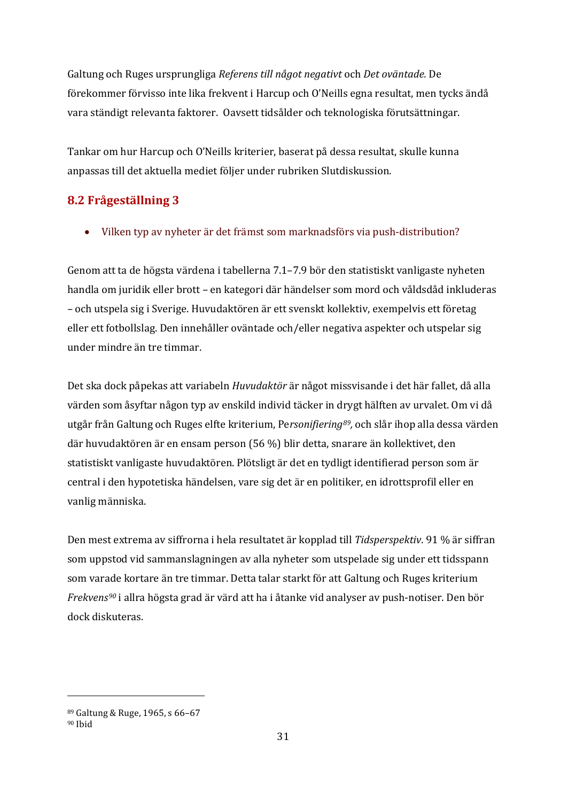Galtung och Ruges ursprungliga *Referens till något negativt* och *Det oväntade.* De förekommer förvisso inte lika frekvent i Harcup och O'Neills egna resultat, men tycks ändå vara ständigt relevanta faktorer. Oavsett tidsålder och teknologiska förutsättningar.

Tankar om hur Harcup och O'Neills kriterier, baserat på dessa resultat, skulle kunna anpassas till det aktuella mediet följer under rubriken Slutdiskussion.

# <span id="page-30-0"></span>**8.2 Frågeställning 3**

• Vilken typ av nyheter är det främst som marknadsförs via push-distribution?

Genom att ta de högsta värdena i tabellerna 7.1–7.9 bör den statistiskt vanligaste nyheten handla om juridik eller brott – en kategori där händelser som mord och våldsdåd inkluderas – och utspela sig i Sverige. Huvudaktören är ett svenskt kollektiv, exempelvis ett företag eller ett fotbollslag. Den innehåller oväntade och/eller negativa aspekter och utspelar sig under mindre än tre timmar.

Det ska dock påpekas att variabeln *Huvudaktör* är något missvisande i det här fallet, då alla värden som åsyftar någon typ av enskild individ täcker in drygt hälften av urvalet. Om vi då utgår från Galtung och Ruges elfte kriterium, Pe*rsonifierin[g89](#page-30-1),* och slår ihop alla dessa värden där huvudaktören är en ensam person (56 %) blir detta, snarare än kollektivet, den statistiskt vanligaste huvudaktören. Plötsligt är det en tydligt identifierad person som är central i den hypotetiska händelsen, vare sig det är en politiker, en idrottsprofil eller en vanlig människa.

Den mest extrema av siffrorna i hela resultatet är kopplad till *Tidsperspektiv*. 91 % är siffran som uppstod vid sammanslagningen av alla nyheter som utspelade sig under ett tidsspann som varade kortare än tre timmar. Detta talar starkt för att Galtung och Ruges kriterium *Frekvens[90](#page-30-2)* i allra högsta grad är värd att ha i åtanke vid analyser av push-notiser. Den bör dock diskuteras.

<span id="page-30-1"></span><sup>89</sup> Galtung & Ruge, 1965, s 66–67

<span id="page-30-2"></span><sup>90</sup> Ibid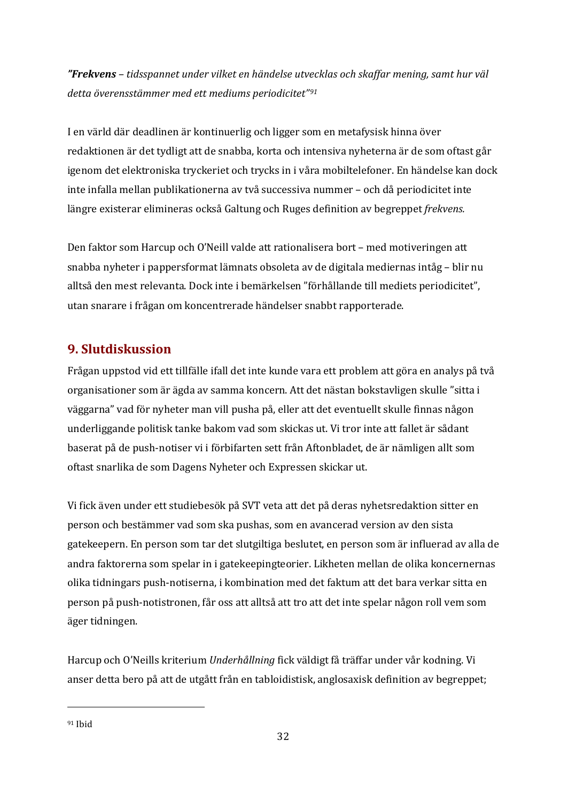*"Frekvens – tidsspannet under vilket en händelse utvecklas och skaffar mening, samt hur väl detta överensstämmer med ett mediums periodicitet"[91](#page-31-1)*

I en värld där deadlinen är kontinuerlig och ligger som en metafysisk hinna över redaktionen är det tydligt att de snabba, korta och intensiva nyheterna är de som oftast går igenom det elektroniska tryckeriet och trycks in i våra mobiltelefoner. En händelse kan dock inte infalla mellan publikationerna av två successiva nummer – och då periodicitet inte längre existerar elimineras också Galtung och Ruges definition av begreppet *frekvens.*

Den faktor som Harcup och O'Neill valde att rationalisera bort – med motiveringen att snabba nyheter i pappersformat lämnats obsoleta av de digitala mediernas intåg – blir nu alltså den mest relevanta. Dock inte i bemärkelsen "förhållande till mediets periodicitet", utan snarare i frågan om koncentrerade händelser snabbt rapporterade.

# <span id="page-31-0"></span>**9. Slutdiskussion**

Frågan uppstod vid ett tillfälle ifall det inte kunde vara ett problem att göra en analys på två organisationer som är ägda av samma koncern. Att det nästan bokstavligen skulle "sitta i väggarna" vad för nyheter man vill pusha på, eller att det eventuellt skulle finnas någon underliggande politisk tanke bakom vad som skickas ut. Vi tror inte att fallet är sådant baserat på de push-notiser vi i förbifarten sett från Aftonbladet, de är nämligen allt som oftast snarlika de som Dagens Nyheter och Expressen skickar ut.

Vi fick även under ett studiebesök på SVT veta att det på deras nyhetsredaktion sitter en person och bestämmer vad som ska pushas, som en avancerad version av den sista gatekeepern. En person som tar det slutgiltiga beslutet, en person som är influerad av alla de andra faktorerna som spelar in i gatekeepingteorier. Likheten mellan de olika koncernernas olika tidningars push-notiserna, i kombination med det faktum att det bara verkar sitta en person på push-notistronen, får oss att alltså att tro att det inte spelar någon roll vem som äger tidningen.

Harcup och O'Neills kriterium *Underhållning* fick väldigt få träffar under vår kodning. Vi anser detta bero på att de utgått från en tabloidistisk, anglosaxisk definition av begreppet;

<span id="page-31-1"></span><sup>91</sup> Ibid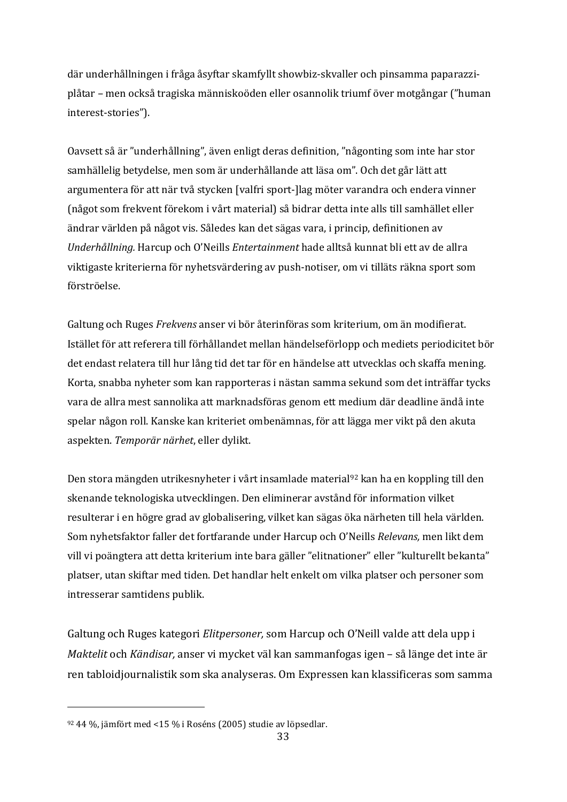där underhållningen i fråga åsyftar skamfyllt showbiz-skvaller och pinsamma paparazziplåtar – men också tragiska människoöden eller osannolik triumf över motgångar ("human interest-stories").

Oavsett så är "underhållning", även enligt deras definition, "någonting som inte har stor samhällelig betydelse, men som är underhållande att läsa om". Och det går lätt att argumentera för att när två stycken [valfri sport-]lag möter varandra och endera vinner (något som frekvent förekom i vårt material) så bidrar detta inte alls till samhället eller ändrar världen på något vis. Således kan det sägas vara, i princip, definitionen av *Underhållning.* Harcup och O'Neills *Entertainment* hade alltså kunnat bli ett av de allra viktigaste kriterierna för nyhetsvärdering av push-notiser, om vi tilläts räkna sport som förströelse.

Galtung och Ruges *Frekvens* anser vi bör återinföras som kriterium, om än modifierat. Istället för att referera till förhållandet mellan händelseförlopp och mediets periodicitet bör det endast relatera till hur lång tid det tar för en händelse att utvecklas och skaffa mening. Korta, snabba nyheter som kan rapporteras i nästan samma sekund som det inträffar tycks vara de allra mest sannolika att marknadsföras genom ett medium där deadline ändå inte spelar någon roll. Kanske kan kriteriet ombenämnas, för att lägga mer vikt på den akuta aspekten. *Temporär närhet*, eller dylikt.

Den stora mängden utrikesnyheter i vårt insamlade material<sup>[92](#page-32-0)</sup> kan ha en koppling till den skenande teknologiska utvecklingen. Den eliminerar avstånd för information vilket resulterar i en högre grad av globalisering, vilket kan sägas öka närheten till hela världen. Som nyhetsfaktor faller det fortfarande under Harcup och O'Neills *Relevans,* men likt dem vill vi poängtera att detta kriterium inte bara gäller "elitnationer" eller "kulturellt bekanta" platser, utan skiftar med tiden. Det handlar helt enkelt om vilka platser och personer som intresserar samtidens publik.

Galtung och Ruges kategori *Elitpersoner,* som Harcup och O'Neill valde att dela upp i *Maktelit* och *Kändisar,* anser vi mycket väl kan sammanfogas igen – så länge det inte är ren tabloidjournalistik som ska analyseras. Om Expressen kan klassificeras som samma

<span id="page-32-0"></span><sup>92</sup> 44 %, jämfört med <15 % i Roséns (2005) studie av löpsedlar.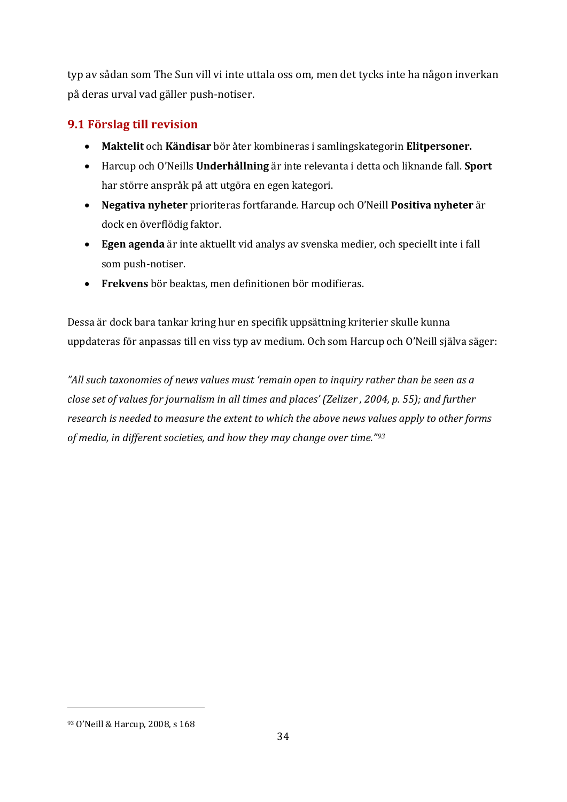typ av sådan som The Sun vill vi inte uttala oss om, men det tycks inte ha någon inverkan på deras urval vad gäller push-notiser.

# <span id="page-33-0"></span>**9.1 Förslag till revision**

- x **Maktelit** och **Kändisar** bör åter kombineras i samlingskategorin **Elitpersoner.**
- x Harcup och O'Neills **Underhållning** är inte relevanta i detta och liknande fall. **Sport**  har större anspråk på att utgöra en egen kategori.
- x **Negativa nyheter** prioriteras fortfarande. Harcup och O'Neill **Positiva nyheter** är dock en överflödig faktor.
- **Egen agenda** är inte aktuellt vid analys av svenska medier, och speciellt inte i fall som push-notiser.
- **Frekvens** bör beaktas, men definitionen bör modifieras.

Dessa är dock bara tankar kring hur en specifik uppsättning kriterier skulle kunna uppdateras för anpassas till en viss typ av medium. Och som Harcup och O'Neill själva säger:

<span id="page-33-1"></span>*"All such taxonomies of news values must 'remain open to inquiry rather than be seen as a close set of values for journalism in all times and places' (Zelizer , 2004, p. 55); and further research is needed to measure the extent to which the above news values apply to other forms of media, in different societies, and how they may change over time."[93](#page-33-2)*

<span id="page-33-2"></span><sup>93</sup> O'Neill & Harcup, 2008, s 168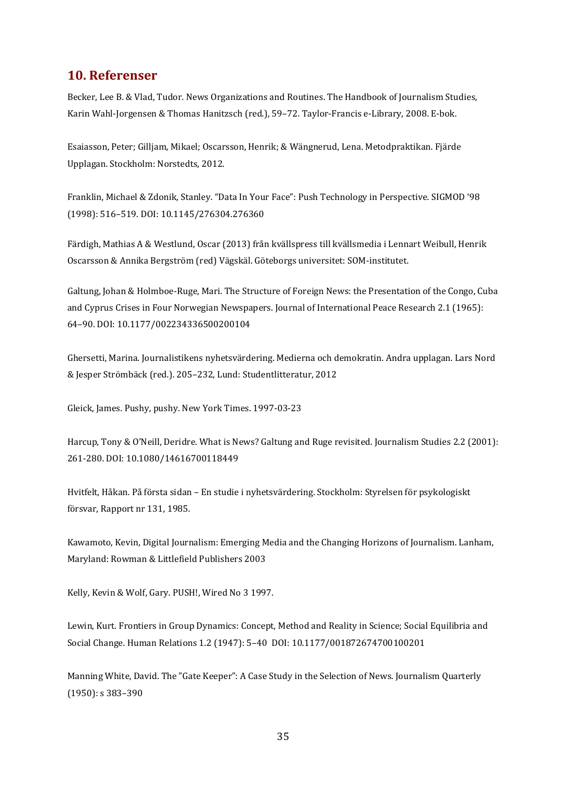### **10. Referenser**

Becker, Lee B. & Vlad, Tudor. News Organizations and Routines. The Handbook of Journalism Studies, Karin Wahl-Jorgensen & Thomas Hanitzsch (red.), 59–72. Taylor-Francis e-Library, 2008. E-bok.

Esaiasson, Peter; Gilljam, Mikael; Oscarsson, Henrik; & Wängnerud, Lena. Metodpraktikan. Fjärde Upplagan. Stockholm: Norstedts, 2012.

Franklin, Michael & Zdonik, Stanley. "Data In Your Face": Push Technology in Perspective. SIGMOD '98 (1998): 516–519. DOI: 10.1145/276304.276360

Färdigh, Mathias A & Westlund, Oscar (2013) från kvällspress till kvällsmedia i Lennart Weibull, Henrik Oscarsson & Annika Bergström (red) Vägskäl. Göteborgs universitet: SOM-institutet.

Galtung, Johan & Holmboe-Ruge, Mari. The Structure of Foreign News: the Presentation of the Congo, Cuba and Cyprus Crises in Four Norwegian Newspapers. Journal of International Peace Research 2.1 (1965): 64–90. DOI: 10.1177/002234336500200104

Ghersetti, Marina. Journalistikens nyhetsvärdering. Medierna och demokratin. Andra upplagan. Lars Nord & Jesper Strömbäck (red.). 205–232, Lund: Studentlitteratur, 2012

Gleick, James. Pushy, pushy. New York Times. 1997-03-23

Harcup, Tony & O'Neill, Deridre. What is News? Galtung and Ruge revisited. Journalism Studies 2.2 (2001): 261-280. DOI: 10.1080/14616700118449

Hvitfelt, Håkan. På första sidan – En studie i nyhetsvärdering. Stockholm: Styrelsen för psykologiskt försvar, Rapport nr 131, 1985.

Kawamoto, Kevin, Digital Journalism: Emerging Media and the Changing Horizons of Journalism. Lanham, Maryland: Rowman & Littlefield Publishers 2003

Kelly, Kevin & Wolf, Gary. PUSH!, Wired No 3 1997.

Lewin, Kurt. Frontiers in Group Dynamics: Concept, Method and Reality in Science; Social Equilibria and Social Change. Human Relations 1.2 (1947): 5–40 DOI: 10.1177/001872674700100201

Manning White, David. The "Gate Keeper": A Case Study in the Selection of News. Journalism Quarterly (1950): s 383–390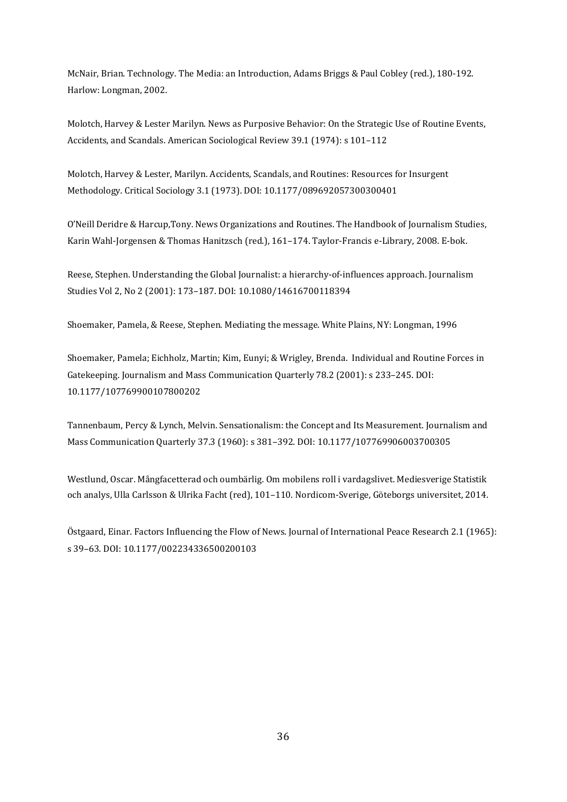McNair, Brian. Technology. The Media: an Introduction, Adams Briggs & Paul Cobley (red.), 180-192. Harlow: Longman, 2002.

Molotch, Harvey & Lester Marilyn. News as Purposive Behavior: On the Strategic Use of Routine Events, Accidents, and Scandals. American Sociological Review 39.1 (1974): s 101–112

Molotch, Harvey & Lester, Marilyn. Accidents, Scandals, and Routines: Resources for Insurgent Methodology. Critical Sociology 3.1 (1973). DOI: 10.1177/089692057300300401

O'Neill Deridre & Harcup,Tony. News Organizations and Routines. The Handbook of Journalism Studies, Karin Wahl-Jorgensen & Thomas Hanitzsch (red.), 161–174. Taylor-Francis e-Library, 2008. E-bok.

Reese, Stephen. Understanding the Global Journalist: a hierarchy-of-influences approach. Journalism Studies Vol 2, No 2 (2001): 173–187. DOI: 10.1080/14616700118394

Shoemaker, Pamela, & Reese, Stephen. Mediating the message. White Plains, NY: Longman, 1996

Shoemaker, Pamela; Eichholz, Martin; Kim, Eunyi; & Wrigley, Brenda. Individual and Routine Forces in Gatekeeping. Journalism and Mass Communication Quarterly 78.2 (2001): s 233–245. DOI: 10.1177/107769900107800202

Tannenbaum, Percy & Lynch, Melvin. Sensationalism: the Concept and Its Measurement. Journalism and Mass Communication Quarterly 37.3 (1960): s 381–392. DOI: 10.1177/107769906003700305

Westlund, Oscar. Mångfacetterad och oumbärlig. Om mobilens roll i vardagslivet. Mediesverige Statistik och analys, Ulla Carlsson & Ulrika Facht (red), 101–110. Nordicom-Sverige, Göteborgs universitet, 2014.

Östgaard, Einar. Factors Influencing the Flow of News. Journal of International Peace Research 2.1 (1965): s 39–63. DOI: 10.1177/002234336500200103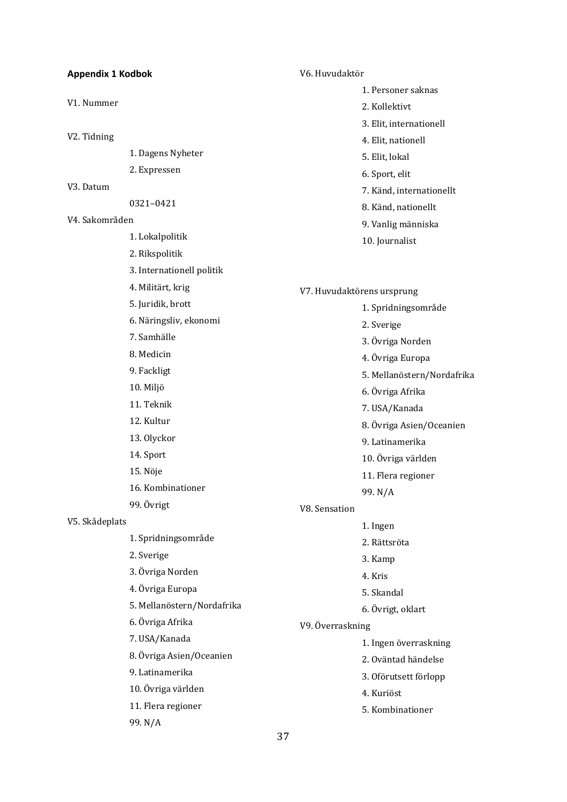<span id="page-36-0"></span>

| <b>Appendix 1 Kodbok</b> |                            |                  | V6. Huvudaktör             |  |
|--------------------------|----------------------------|------------------|----------------------------|--|
|                          |                            |                  | 1. Personer saknas         |  |
| V1. Nummer               |                            |                  | 2. Kollektivt              |  |
|                          |                            |                  | 3. Elit, internationell    |  |
| V2. Tidning              |                            |                  | 4. Elit, nationell         |  |
|                          | 1. Dagens Nyheter          |                  | 5. Elit, lokal             |  |
|                          | 2. Expressen               |                  | 6. Sport, elit             |  |
| V <sub>3</sub> . Datum   |                            |                  | 7. Känd, internationellt   |  |
|                          | 0321-0421                  |                  | 8. Känd, nationellt        |  |
| V4. Sakområden           |                            |                  | 9. Vanlig människa         |  |
|                          | 1. Lokalpolitik            |                  | 10. Journalist             |  |
|                          | 2. Rikspolitik             |                  |                            |  |
|                          | 3. Internationell politik  |                  |                            |  |
|                          | 4. Militärt, krig          |                  | V7. Huvudaktörens ursprung |  |
|                          | 5. Juridik, brott          |                  | 1. Spridningsområde        |  |
|                          | 6. Näringsliv, ekonomi     |                  | 2. Sverige                 |  |
|                          | 7. Samhälle                |                  | 3. Övriga Norden           |  |
|                          | 8. Medicin                 |                  | 4. Övriga Europa           |  |
|                          | 9. Fackligt                |                  | 5. Mellanöstern/Nordafrika |  |
|                          | 10. Miljö                  |                  | 6. Övriga Afrika           |  |
|                          | 11. Teknik                 |                  | 7. USA/Kanada              |  |
|                          | 12. Kultur                 |                  | 8. Övriga Asien/Oceanien   |  |
|                          | 13. Olyckor                |                  | 9. Latinamerika            |  |
|                          | 14. Sport                  |                  | 10. Övriga världen         |  |
|                          | 15. Nöje                   |                  | 11. Flera regioner         |  |
|                          | 16. Kombinationer          |                  | 99. N/A                    |  |
|                          | 99. Övrigt                 | V8. Sensation    |                            |  |
| V5. Skådeplats           |                            |                  | 1. Ingen                   |  |
|                          | 1. Spridningsområde        |                  | 2. Rättsröta               |  |
|                          | 2. Sverige                 |                  | 3. Kamp                    |  |
|                          | 3. Övriga Norden           |                  | 4. Kris                    |  |
|                          | 4. Övriga Europa           |                  | 5. Skandal                 |  |
|                          | 5. Mellanöstern/Nordafrika |                  | 6. Övrigt, oklart          |  |
|                          | 6. Övriga Afrika           | V9. Överraskning |                            |  |
|                          | 7. USA/Kanada              |                  | 1. Ingen överraskning      |  |
|                          | 8. Övriga Asien/Oceanien   |                  | 2. Oväntad händelse        |  |
|                          | 9. Latinamerika            |                  | 3. Oförutsett förlopp      |  |
|                          | 10. Övriga världen         |                  | 4. Kuriöst                 |  |
|                          | 11. Flera regioner         |                  | 5. Kombinationer           |  |
|                          | 99. N/A                    |                  |                            |  |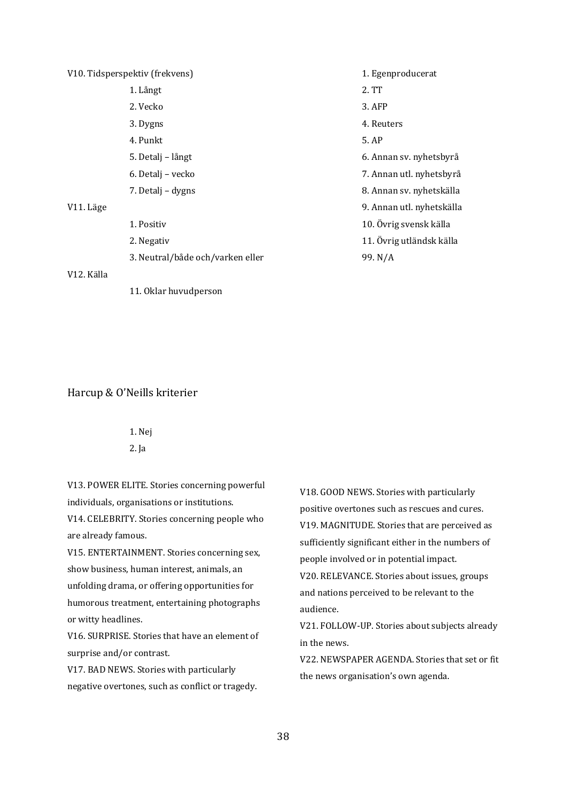| V10. Tidsperspektiv (frekvens) |                                  | 1. Egenproducerat         |
|--------------------------------|----------------------------------|---------------------------|
|                                | 1. Långt                         | 2. TT                     |
|                                | 2. Vecko                         | $3.$ AFP                  |
|                                | 3. Dygns                         | 4. Reuters                |
|                                | 4. Punkt                         | 5. AP                     |
|                                | 5. Detalj - långt                | 6. Annan sv. nyhetsbyrå   |
|                                | 6. Detalj – vecko                | 7. Annan utl. nyhetsbyrå  |
|                                | 7. Detalj – dygns                | 8. Annan sv. nyhetskälla  |
| V11. Läge                      |                                  | 9. Annan utl. nyhetskälla |
|                                | 1. Positiv                       | 10. Övrig svensk källa    |
|                                | 2. Negativ                       | 11. Övrig utländsk källa  |
|                                | 3. Neutral/både och/varken eller | 99. N/A                   |
| V12. Källa                     |                                  |                           |
|                                | 11. Oklar huvudperson            |                           |

#### Harcup & O'Neills kriterier

1. Nej 2. Ja

V13. POWER ELITE. Stories concerning powerful individuals, organisations or institutions.

V14. CELEBRITY. Stories concerning people who are already famous.

V15. ENTERTAINMENT. Stories concerning sex, show business, human interest, animals, an unfolding drama, or offering opportunities for humorous treatment, entertaining photographs or witty headlines.

V16. SURPRISE. Stories that have an element of surprise and/or contrast.

V17. BAD NEWS. Stories with particularly negative overtones, such as conflict or tragedy. V18. GOOD NEWS. Stories with particularly positive overtones such as rescues and cures. V19. MAGNITUDE. Stories that are perceived as sufficiently significant either in the numbers of people involved or in potential impact. V20. RELEVANCE. Stories about issues, groups and nations perceived to be relevant to the audience.

V21. FOLLOW-UP. Stories about subjects already in the news.

<span id="page-37-0"></span>V22. NEWSPAPER AGENDA. Stories that set or fit the news organisation's own agenda.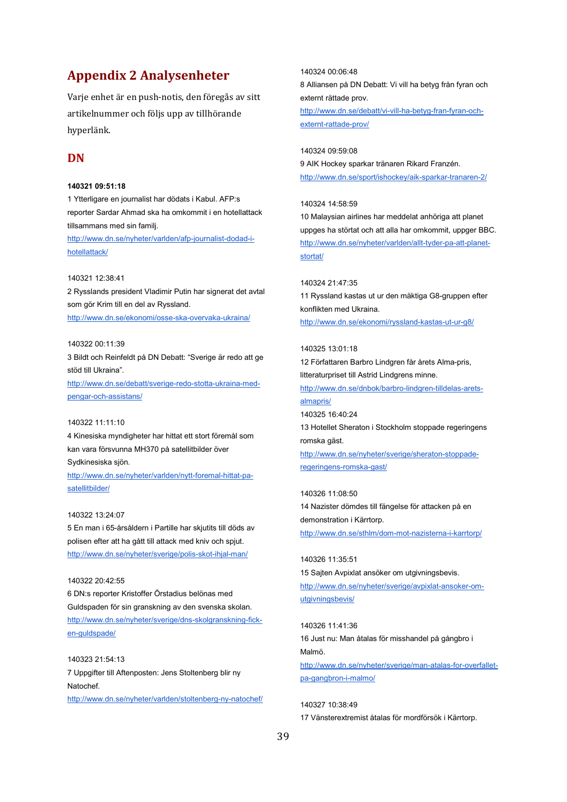# **Appendix 2 Analysenheter**

Varje enhet är en push-notis, den föregås av sitt artikelnummer och följs upp av tillhörande hyperlänk.

### **DN**

#### **140321 09:51:18**

1 Ytterligare en journalist har dödats i Kabul. AFP:s reporter Sardar Ahmad ska ha omkommit i en hotellattack tillsammans med sin familj.

[http://www.dn.se/nyheter/varlden/afp-journalist-dodad-i](http://www.dn.se/nyheter/varlden/afp-journalist-dodad-i-hotellattack/)[hotellattack/](http://www.dn.se/nyheter/varlden/afp-journalist-dodad-i-hotellattack/)

#### 140321 12:38:41

2 Rysslands president Vladimir Putin har signerat det avtal som gör Krim till en del av Ryssland.

<http://www.dn.se/ekonomi/osse-ska-overvaka-ukraina/>

#### 140322 00:11:39

3 Bildt och Reinfeldt på DN Debatt: "Sverige är redo att ge stöd till Ukraina".

[http://www.dn.se/debatt/sverige-redo-stotta-ukraina-med](http://www.dn.se/debatt/sverige-redo-stotta-ukraina-med-pengar-och-assistans/)[pengar-och-assistans/](http://www.dn.se/debatt/sverige-redo-stotta-ukraina-med-pengar-och-assistans/)

#### 140322 11:11:10

4 Kinesiska myndigheter har hittat ett stort föremål som kan vara försvunna MH370 på satellitbilder över Sydkinesiska sjön.

[http://www.dn.se/nyheter/varlden/nytt-foremal-hittat-pa](http://www.dn.se/nyheter/varlden/nytt-foremal-hittat-pa-satellitbilder/)[satellitbilder/](http://www.dn.se/nyheter/varlden/nytt-foremal-hittat-pa-satellitbilder/)

#### 140322 13:24:07

5 En man i 65-årsåldern i Partille har skjutits till döds av polisen efter att ha gått till attack med kniv och spjut. <http://www.dn.se/nyheter/sverige/polis-skot-ihjal-man/>

#### 140322 20:42:55

6 DN:s reporter Kristoffer Örstadius belönas med Guldspaden för sin granskning av den svenska skolan. [http://www.dn.se/nyheter/sverige/dns-skolgranskning-fick](http://www.dn.se/nyheter/sverige/dns-skolgranskning-fick-en-guldspade/)[en-guldspade/](http://www.dn.se/nyheter/sverige/dns-skolgranskning-fick-en-guldspade/)

140323 21:54:13 7 Uppgifter till Aftenposten: Jens Stoltenberg blir ny Natochef.

<http://www.dn.se/nyheter/varlden/stoltenberg-ny-natochef/>

140324 00:06:48

8 Alliansen på DN Debatt: Vi vill ha betyg från fyran och externt rättade prov.

[http://www.dn.se/debatt/vi-vill-ha-betyg-fran-fyran-och](http://www.dn.se/debatt/vi-vill-ha-betyg-fran-fyran-och-externt-rattade-prov/)[externt-rattade-prov/](http://www.dn.se/debatt/vi-vill-ha-betyg-fran-fyran-och-externt-rattade-prov/)

140324 09:59:08

9 AIK Hockey sparkar tränaren Rikard Franzén. <http://www.dn.se/sport/ishockey/aik-sparkar-tranaren-2/>

#### 140324 14:58:59

10 Malaysian airlines har meddelat anhöriga att planet uppges ha störtat och att alla har omkommit, uppger BBC. [http://www.dn.se/nyheter/varlden/allt-tyder-pa-att-planet](http://www.dn.se/nyheter/varlden/allt-tyder-pa-att-planet-stortat/)[stortat/](http://www.dn.se/nyheter/varlden/allt-tyder-pa-att-planet-stortat/)

#### 140324 21:47:35

11 Ryssland kastas ut ur den mäktiga G8-gruppen efter konflikten med Ukraina. <http://www.dn.se/ekonomi/ryssland-kastas-ut-ur-g8/>

#### 140325 13:01:18

12 Författaren Barbro Lindgren får årets Alma-pris, litteraturpriset till Astrid Lindgrens minne.

[http://www.dn.se/dnbok/barbro-lindgren-tilldelas-arets](http://www.dn.se/dnbok/barbro-lindgren-tilldelas-arets-almapris/)[almapris/](http://www.dn.se/dnbok/barbro-lindgren-tilldelas-arets-almapris/)

140325 16:40:24

13 Hotellet Sheraton i Stockholm stoppade regeringens romska gäst.

[http://www.dn.se/nyheter/sverige/sheraton-stoppade](http://www.dn.se/nyheter/sverige/sheraton-stoppade-regeringens-romska-gast/)[regeringens-romska-gast/](http://www.dn.se/nyheter/sverige/sheraton-stoppade-regeringens-romska-gast/)

140326 11:08:50 14 Nazister dömdes till fängelse för attacken på en demonstration i Kärrtorp.

<http://www.dn.se/sthlm/dom-mot-nazisterna-i-karrtorp/>

### 140326 11:35:51

15 Sajten Avpixlat ansöker om utgivningsbevis. [http://www.dn.se/nyheter/sverige/avpixlat-ansoker-om](http://www.dn.se/nyheter/sverige/avpixlat-ansoker-om-utgivningsbevis/)[utgivningsbevis/](http://www.dn.se/nyheter/sverige/avpixlat-ansoker-om-utgivningsbevis/)

140326 11:41:36 16 Just nu: Man åtalas för misshandel på gångbro i Malmö. [http://www.dn.se/nyheter/sverige/man-atalas-for-overfallet](http://www.dn.se/nyheter/sverige/man-atalas-for-overfallet-pa-gangbron-i-malmo/)[pa-gangbron-i-malmo/](http://www.dn.se/nyheter/sverige/man-atalas-for-overfallet-pa-gangbron-i-malmo/)

140327 10:38:49 17 Vänsterextremist åtalas för mordförsök i Kärrtorp.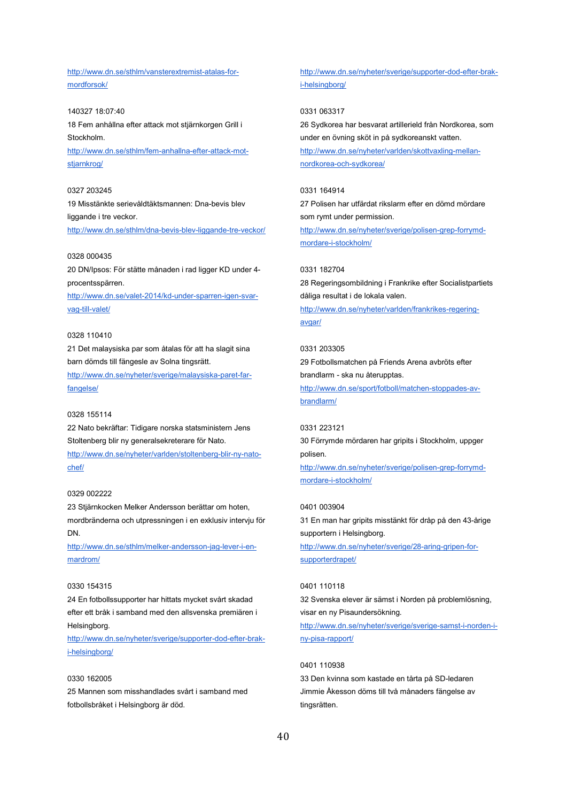[http://www.dn.se/sthlm/vansterextremist-atalas-for](http://www.dn.se/sthlm/vansterextremist-atalas-for-mordforsok/)[mordforsok/](http://www.dn.se/sthlm/vansterextremist-atalas-for-mordforsok/)

140327 18:07:40 18 Fem anhållna efter attack mot stjärnkorgen Grill i Stockholm.

[http://www.dn.se/sthlm/fem-anhallna-efter-attack-mot](http://www.dn.se/sthlm/fem-anhallna-efter-attack-mot-stjarnkrog/)[stjarnkrog/](http://www.dn.se/sthlm/fem-anhallna-efter-attack-mot-stjarnkrog/)

#### 0327 203245

19 Misstänkte serievåldtäktsmannen: Dna-bevis blev liggande i tre veckor.

<http://www.dn.se/sthlm/dna-bevis-blev-liggande-tre-veckor/>

#### 0328 000435

20 DN/Ipsos: För stätte månaden i rad ligger KD under 4 procentsspärren.

[http://www.dn.se/valet-2014/kd-under-sparren-igen-svar](http://www.dn.se/valet-2014/kd-under-sparren-igen-svar-vag-till-valet/)[vag-till-valet/](http://www.dn.se/valet-2014/kd-under-sparren-igen-svar-vag-till-valet/)

#### 0328 110410

21 Det malaysiska par som åtalas för att ha slagit sina barn dömds till fängesle av Solna tingsrätt.

[http://www.dn.se/nyheter/sverige/malaysiska-paret-far](http://www.dn.se/nyheter/sverige/malaysiska-paret-far-fangelse/)[fangelse/](http://www.dn.se/nyheter/sverige/malaysiska-paret-far-fangelse/)

#### 0328 155114

22 Nato bekräftar: Tidigare norska statsministern Jens Stoltenberg blir ny generalsekreterare för Nato.

[http://www.dn.se/nyheter/varlden/stoltenberg-blir-ny-nato](http://www.dn.se/nyheter/varlden/stoltenberg-blir-ny-nato-chef/)[chef/](http://www.dn.se/nyheter/varlden/stoltenberg-blir-ny-nato-chef/)

#### 0329 002222

23 Stjärnkocken Melker Andersson berättar om hoten, mordbränderna och utpressningen i en exklusiv intervju för DN.

[http://www.dn.se/sthlm/melker-andersson-jag-lever-i-en](http://www.dn.se/sthlm/melker-andersson-jag-lever-i-en-mardrom/)[mardrom/](http://www.dn.se/sthlm/melker-andersson-jag-lever-i-en-mardrom/)

#### 0330 154315

24 En fotbollssupporter har hittats mycket svårt skadad efter ett bråk i samband med den allsvenska premiären i Helsingborg.

[http://www.dn.se/nyheter/sverige/supporter-dod-efter-brak](http://www.dn.se/nyheter/sverige/supporter-dod-efter-brak-i-helsingborg/)[i-helsingborg/](http://www.dn.se/nyheter/sverige/supporter-dod-efter-brak-i-helsingborg/)

#### 0330 162005

25 Mannen som misshandlades svårt i samband med fotbollsbråket i Helsingborg är död.

[http://www.dn.se/nyheter/sverige/supporter-dod-efter-brak](http://www.dn.se/nyheter/sverige/supporter-dod-efter-brak-i-helsingborg/)[i-helsingborg/](http://www.dn.se/nyheter/sverige/supporter-dod-efter-brak-i-helsingborg/)

#### 0331 063317

26 Sydkorea har besvarat artillerield från Nordkorea, som under en övning sköt in på sydkoreanskt vatten. [http://www.dn.se/nyheter/varlden/skottvaxling-mellan](http://www.dn.se/nyheter/varlden/skottvaxling-mellan-nordkorea-och-sydkorea/)[nordkorea-och-sydkorea/](http://www.dn.se/nyheter/varlden/skottvaxling-mellan-nordkorea-och-sydkorea/)

#### 0331 164914

27 Polisen har utfärdat rikslarm efter en dömd mördare som rymt under permission.

[http://www.dn.se/nyheter/sverige/polisen-grep-forrymd](http://www.dn.se/nyheter/sverige/polisen-grep-forrymd-mordare-i-stockholm/)[mordare-i-stockholm/](http://www.dn.se/nyheter/sverige/polisen-grep-forrymd-mordare-i-stockholm/)

#### 0331 182704

28 Regeringsombildning i Frankrike efter Socialistpartiets dåliga resultat i de lokala valen.

[http://www.dn.se/nyheter/varlden/frankrikes-regering](http://www.dn.se/nyheter/varlden/frankrikes-regering-avgar/)[avgar/](http://www.dn.se/nyheter/varlden/frankrikes-regering-avgar/)

#### 0331 203305

29 Fotbollsmatchen på Friends Arena avbröts efter brandlarm - ska nu återupptas. [http://www.dn.se/sport/fotboll/matchen-stoppades-av-](http://www.dn.se/sport/fotboll/matchen-stoppades-av-brandlarm/)

[brandlarm/](http://www.dn.se/sport/fotboll/matchen-stoppades-av-brandlarm/)

#### 0331 223121

30 Förrymde mördaren har gripits i Stockholm, uppger polisen.

[http://www.dn.se/nyheter/sverige/polisen-grep-forrymd](http://www.dn.se/nyheter/sverige/polisen-grep-forrymd-mordare-i-stockholm/)[mordare-i-stockholm/](http://www.dn.se/nyheter/sverige/polisen-grep-forrymd-mordare-i-stockholm/)

#### 0401 003904

31 En man har gripits misstänkt för dråp på den 43-årige supportern i Helsingborg. [http://www.dn.se/nyheter/sverige/28-aring-gripen-for](http://www.dn.se/nyheter/sverige/28-aring-gripen-for-supporterdrapet/)[supporterdrapet/](http://www.dn.se/nyheter/sverige/28-aring-gripen-for-supporterdrapet/)

#### 0401 110118

32 Svenska elever är sämst i Norden på problemlösning, visar en ny Pisaundersökning.

[http://www.dn.se/nyheter/sverige/sverige-samst-i-norden-i](http://www.dn.se/nyheter/sverige/sverige-samst-i-norden-i-ny-pisa-rapport/)[ny-pisa-rapport/](http://www.dn.se/nyheter/sverige/sverige-samst-i-norden-i-ny-pisa-rapport/)

#### 0401 110938

33 Den kvinna som kastade en tårta på SD-ledaren Jimmie Åkesson döms till två månaders fängelse av tingsrätten.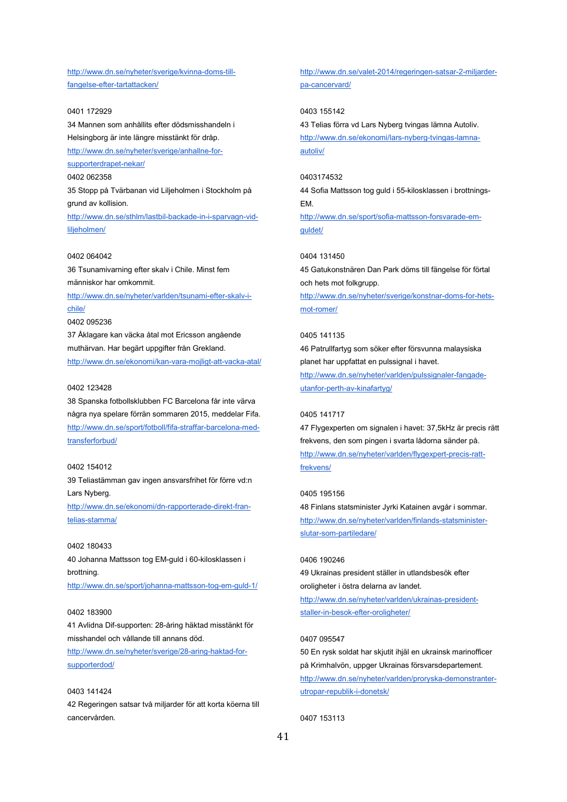[http://www.dn.se/nyheter/sverige/kvinna-doms-till](http://www.dn.se/nyheter/sverige/kvinna-doms-till-fangelse-efter-tartattacken/)[fangelse-efter-tartattacken/](http://www.dn.se/nyheter/sverige/kvinna-doms-till-fangelse-efter-tartattacken/)

0401 172929 34 Mannen som anhållits efter dödsmisshandeln i Helsingborg är inte längre misstänkt för dråp. [http://www.dn.se/nyheter/sverige/anhallne-for](http://www.dn.se/nyheter/sverige/anhallne-for-supporterdrapet-nekar/)[supporterdrapet-nekar/](http://www.dn.se/nyheter/sverige/anhallne-for-supporterdrapet-nekar/) 0402 062358 35 Stopp på Tvärbanan vid Liljeholmen i Stockholm på grund av kollision. [http://www.dn.se/sthlm/lastbil-backade-in-i-sparvagn-vid-](http://www.dn.se/sthlm/lastbil-backade-in-i-sparvagn-vid-liljeholmen/)

0402 064042

[liljeholmen/](http://www.dn.se/sthlm/lastbil-backade-in-i-sparvagn-vid-liljeholmen/)

36 Tsunamivarning efter skalv i Chile. Minst fem människor har omkommit.

[http://www.dn.se/nyheter/varlden/tsunami-efter-skalv-i](http://www.dn.se/nyheter/varlden/tsunami-efter-skalv-i-chile/)[chile/](http://www.dn.se/nyheter/varlden/tsunami-efter-skalv-i-chile/)

0402 095236

37 Åklagare kan väcka åtal mot Ericsson angående muthärvan. Har begärt uppgifter från Grekland. <http://www.dn.se/ekonomi/kan-vara-mojligt-att-vacka-atal/>

#### 0402 123428

38 Spanska fotbollsklubben FC Barcelona får inte värva några nya spelare förrän sommaren 2015, meddelar Fifa. [http://www.dn.se/sport/fotboll/fifa-straffar-barcelona-med](http://www.dn.se/sport/fotboll/fifa-straffar-barcelona-med-transferforbud/)[transferforbud/](http://www.dn.se/sport/fotboll/fifa-straffar-barcelona-med-transferforbud/)

#### 0402 154012

39 Teliastämman gav ingen ansvarsfrihet för förre vd:n Lars Nyberg.

[http://www.dn.se/ekonomi/dn-rapporterade-direkt-fran](http://www.dn.se/ekonomi/dn-rapporterade-direkt-fran-telias-stamma/)[telias-stamma/](http://www.dn.se/ekonomi/dn-rapporterade-direkt-fran-telias-stamma/)

#### 0402 180433

40 Johanna Mattsson tog EM-guld i 60-kilosklassen i brottning. <http://www.dn.se/sport/johanna-mattsson-tog-em-guld-1/>

#### 0402 183900

41 Avlidna Dif-supporten: 28-åring häktad misstänkt för misshandel och vållande till annans död.

[http://www.dn.se/nyheter/sverige/28-aring-haktad-for](http://www.dn.se/nyheter/sverige/28-aring-haktad-for-supporterdod/)[supporterdod/](http://www.dn.se/nyheter/sverige/28-aring-haktad-for-supporterdod/)

0403 141424 42 Regeringen satsar två miljarder för att korta köerna till cancervården.

[http://www.dn.se/valet-2014/regeringen-satsar-2-miljarder](http://www.dn.se/valet-2014/regeringen-satsar-2-miljarder-pa-cancervard/)[pa-cancervard/](http://www.dn.se/valet-2014/regeringen-satsar-2-miljarder-pa-cancervard/)

0403 155142 43 Telias förra vd Lars Nyberg tvingas lämna Autoliv. [http://www.dn.se/ekonomi/lars-nyberg-tvingas-lamna](http://www.dn.se/ekonomi/lars-nyberg-tvingas-lamna-autoliv/)[autoliv/](http://www.dn.se/ekonomi/lars-nyberg-tvingas-lamna-autoliv/)

#### 0403174532

44 Sofia Mattsson tog guld i 55-kilosklassen i brottnings-EM. [http://www.dn.se/sport/sofia-mattsson-forsvarade-em](http://www.dn.se/sport/sofia-mattsson-forsvarade-em-guldet/)[guldet/](http://www.dn.se/sport/sofia-mattsson-forsvarade-em-guldet/)

#### 0404 131450

45 Gatukonstnären Dan Park döms till fängelse för förtal och hets mot folkgrupp. [http://www.dn.se/nyheter/sverige/konstnar-doms-for-hets](http://www.dn.se/nyheter/sverige/konstnar-doms-for-hets-mot-romer/)[mot-romer/](http://www.dn.se/nyheter/sverige/konstnar-doms-for-hets-mot-romer/)

#### 0405 141135

46 Patrullfartyg som söker efter försvunna malaysiska planet har uppfattat en pulssignal i havet. [http://www.dn.se/nyheter/varlden/pulssignaler-fangade](http://www.dn.se/nyheter/varlden/pulssignaler-fangade-utanfor-perth-av-kinafartyg/)[utanfor-perth-av-kinafartyg/](http://www.dn.se/nyheter/varlden/pulssignaler-fangade-utanfor-perth-av-kinafartyg/)

#### 0405 141717

47 Flygexperten om signalen i havet: 37,5kHz är precis rätt frekvens, den som pingen i svarta lådorna sänder på. [http://www.dn.se/nyheter/varlden/flygexpert-precis-ratt](http://www.dn.se/nyheter/varlden/flygexpert-precis-ratt-frekvens/)[frekvens/](http://www.dn.se/nyheter/varlden/flygexpert-precis-ratt-frekvens/)

#### 0405 195156

48 Finlans statsminister Jyrki Katainen avgår i sommar. [http://www.dn.se/nyheter/varlden/finlands-statsminister](http://www.dn.se/nyheter/varlden/finlands-statsminister-slutar-som-partiledare/)[slutar-som-partiledare/](http://www.dn.se/nyheter/varlden/finlands-statsminister-slutar-som-partiledare/)

#### 0406 190246

49 Ukrainas president ställer in utlandsbesök efter oroligheter i östra delarna av landet. [http://www.dn.se/nyheter/varlden/ukrainas-president-](http://www.dn.se/nyheter/varlden/ukrainas-president-staller-in-besok-efter-oroligheter/)

[staller-in-besok-efter-oroligheter/](http://www.dn.se/nyheter/varlden/ukrainas-president-staller-in-besok-efter-oroligheter/)

#### 0407 095547

50 En rysk soldat har skjutit ihjäl en ukrainsk marinofficer på Krimhalvön, uppger Ukrainas försvarsdepartement. [http://www.dn.se/nyheter/varlden/proryska-demonstranter](http://www.dn.se/nyheter/varlden/proryska-demonstranter-utropar-republik-i-donetsk/)[utropar-republik-i-donetsk/](http://www.dn.se/nyheter/varlden/proryska-demonstranter-utropar-republik-i-donetsk/)

0407 153113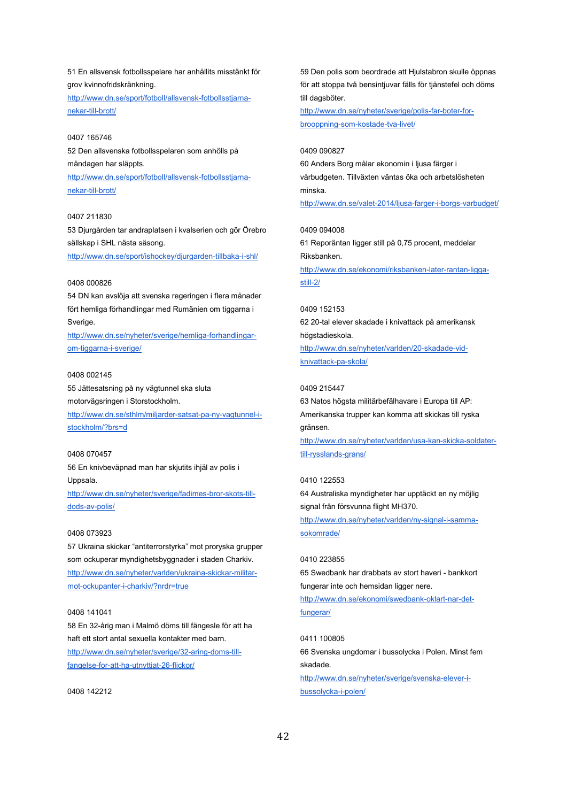51 En allsvensk fotbollsspelare har anhållits misstänkt för grov kvinnofridskränkning.

[http://www.dn.se/sport/fotboll/allsvensk-fotbollsstjarna](http://www.dn.se/sport/fotboll/allsvensk-fotbollsstjarna-nekar-till-brott/)[nekar-till-brott/](http://www.dn.se/sport/fotboll/allsvensk-fotbollsstjarna-nekar-till-brott/)

0407 165746 52 Den allsvenska fotbollsspelaren som anhölls på måndagen har släppts. [http://www.dn.se/sport/fotboll/allsvensk-fotbollsstjarna](http://www.dn.se/sport/fotboll/allsvensk-fotbollsstjarna-nekar-till-brott/)[nekar-till-brott/](http://www.dn.se/sport/fotboll/allsvensk-fotbollsstjarna-nekar-till-brott/)

#### 0407 211830

53 Djurgården tar andraplatsen i kvalserien och gör Örebro sällskap i SHL nästa säsong.

<http://www.dn.se/sport/ishockey/djurgarden-tillbaka-i-shl/>

#### 0408 000826

54 DN kan avslöja att svenska regeringen i flera månader fört hemliga förhandlingar med Rumänien om tiggarna i Sverige.

[http://www.dn.se/nyheter/sverige/hemliga-forhandlingar](http://www.dn.se/nyheter/sverige/hemliga-forhandlingar-om-tiggarna-i-sverige/)[om-tiggarna-i-sverige/](http://www.dn.se/nyheter/sverige/hemliga-forhandlingar-om-tiggarna-i-sverige/)

#### 0408 002145

55 Jättesatsning på ny vägtunnel ska sluta motorvägsringen i Storstockholm. [http://www.dn.se/sthlm/miljarder-satsat-pa-ny-vagtunnel-i-](http://www.dn.se/sthlm/miljarder-satsat-pa-ny-vagtunnel-i-stockholm/?brs=d)

[stockholm/?brs=d](http://www.dn.se/sthlm/miljarder-satsat-pa-ny-vagtunnel-i-stockholm/?brs=d)

#### 0408 070457

56 En knivbeväpnad man har skjutits ihjäl av polis i Uppsala.

[http://www.dn.se/nyheter/sverige/fadimes-bror-skots-till](http://www.dn.se/nyheter/sverige/fadimes-bror-skots-till-dods-av-polis/)[dods-av-polis/](http://www.dn.se/nyheter/sverige/fadimes-bror-skots-till-dods-av-polis/)

#### 0408 073923

57 Ukraina skickar "antiterrorstyrka" mot proryska grupper som ockuperar myndighetsbyggnader i staden Charkiv. [http://www.dn.se/nyheter/varlden/ukraina-skickar-militar](http://www.dn.se/nyheter/varlden/ukraina-skickar-militar-mot-ockupanter-i-charkiv/?nrdr=true)[mot-ockupanter-i-charkiv/?nrdr=true](http://www.dn.se/nyheter/varlden/ukraina-skickar-militar-mot-ockupanter-i-charkiv/?nrdr=true)

#### 0408 141041

58 En 32-årig man i Malmö döms till fängesle för att ha haft ett stort antal sexuella kontakter med barn.

[http://www.dn.se/nyheter/sverige/32-aring-doms-till](http://www.dn.se/nyheter/sverige/32-aring-doms-till-fangelse-for-att-ha-utnyttjat-26-flickor/)[fangelse-for-att-ha-utnyttjat-26-flickor/](http://www.dn.se/nyheter/sverige/32-aring-doms-till-fangelse-for-att-ha-utnyttjat-26-flickor/)

0408 142212

59 Den polis som beordrade att Hjulstabron skulle öppnas för att stoppa två bensintjuvar fälls för tjänstefel och döms till dagsböter.

[http://www.dn.se/nyheter/sverige/polis-far-boter-for](http://www.dn.se/nyheter/sverige/polis-far-boter-for-brooppning-som-kostade-tva-livet/)[brooppning-som-kostade-tva-livet/](http://www.dn.se/nyheter/sverige/polis-far-boter-for-brooppning-som-kostade-tva-livet/)

#### 0409 090827

60 Anders Borg målar ekonomin i ljusa färger i vårbudgeten. Tillväxten väntas öka och arbetslösheten minska.

<http://www.dn.se/valet-2014/ljusa-farger-i-borgs-varbudget/>

#### 0409 094008

61 Reporäntan ligger still på 0,75 procent, meddelar Riksbanken. [http://www.dn.se/ekonomi/riksbanken-later-rantan-ligga-](http://www.dn.se/ekonomi/riksbanken-later-rantan-ligga-still-2/)

#### [still-2/](http://www.dn.se/ekonomi/riksbanken-later-rantan-ligga-still-2/)

#### 0409 152153

62 20-tal elever skadade i knivattack på amerikansk högstadieskola.

[http://www.dn.se/nyheter/varlden/20-skadade-vid](http://www.dn.se/nyheter/varlden/20-skadade-vid-knivattack-pa-skola/)[knivattack-pa-skola/](http://www.dn.se/nyheter/varlden/20-skadade-vid-knivattack-pa-skola/)

#### 0409 215447

63 Natos högsta militärbefälhavare i Europa till AP: Amerikanska trupper kan komma att skickas till ryska gränsen.

[http://www.dn.se/nyheter/varlden/usa-kan-skicka-soldater](http://www.dn.se/nyheter/varlden/usa-kan-skicka-soldater-till-rysslands-grans/)[till-rysslands-grans/](http://www.dn.se/nyheter/varlden/usa-kan-skicka-soldater-till-rysslands-grans/)

#### 0410 122553

64 Australiska myndigheter har upptäckt en ny möjlig signal från försvunna flight MH370.

[http://www.dn.se/nyheter/varlden/ny-signal-i-samma](http://www.dn.se/nyheter/varlden/ny-signal-i-samma-sokomrade/)[sokomrade/](http://www.dn.se/nyheter/varlden/ny-signal-i-samma-sokomrade/)

#### 0410 223855

65 Swedbank har drabbats av stort haveri - bankkort fungerar inte och hemsidan ligger nere.

[http://www.dn.se/ekonomi/swedbank-oklart-nar-det](http://www.dn.se/ekonomi/swedbank-oklart-nar-det-fungerar/)[fungerar/](http://www.dn.se/ekonomi/swedbank-oklart-nar-det-fungerar/)

#### 0411 100805

66 Svenska ungdomar i bussolycka i Polen. Minst fem skadade. [http://www.dn.se/nyheter/sverige/svenska-elever-i](http://www.dn.se/nyheter/sverige/svenska-elever-i-bussolycka-i-polen/)[bussolycka-i-polen/](http://www.dn.se/nyheter/sverige/svenska-elever-i-bussolycka-i-polen/)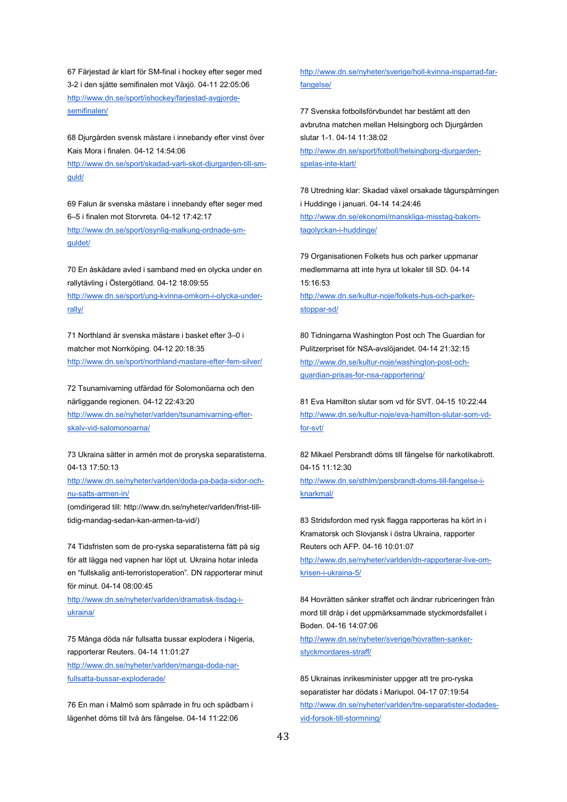67 Färjestad är klart för SM-final i hockey efter seger med 3-2 i den sjätte semifinalen mot Växjö. 04-11 22:05:06 [http://www.dn.se/sport/ishockey/farjestad-avgjorde](http://www.dn.se/sport/ishockey/farjestad-avgjorde-semifinalen/)[semifinalen/](http://www.dn.se/sport/ishockey/farjestad-avgjorde-semifinalen/)

68 Djurgården svensk mästare i innebandy efter vinst över Kais Mora i finalen. 04-12 14:54:06 [http://www.dn.se/sport/skadad-varli-skot-djurgarden-till-sm](http://www.dn.se/sport/skadad-varli-skot-djurgarden-till-sm-guld/)[guld/](http://www.dn.se/sport/skadad-varli-skot-djurgarden-till-sm-guld/)

69 Falun är svenska mästare i innebandy efter seger med 6–5 i finalen mot Storvreta. 04-12 17:42:17 [http://www.dn.se/sport/osynlig-malkung-ordnade-sm](http://www.dn.se/sport/osynlig-malkung-ordnade-sm-guldet/)[guldet/](http://www.dn.se/sport/osynlig-malkung-ordnade-sm-guldet/)

70 En åskådare avled i samband med en olycka under en rallytävling i Östergötland. 04-12 18:09:55 [http://www.dn.se/sport/ung-kvinna-omkom-i-olycka-under](http://www.dn.se/sport/ung-kvinna-omkom-i-olycka-under-rally/)[rally/](http://www.dn.se/sport/ung-kvinna-omkom-i-olycka-under-rally/)

71 Northland är svenska mästare i basket efter 3–0 i matcher mot Norrköping. 04-12 20:18:35 <http://www.dn.se/sport/northland-mastare-efter-fem-silver/>

72 Tsunamivarning utfärdad för Solomonöarna och den närliggande regionen. 04-12 22:43:20 [http://www.dn.se/nyheter/varlden/tsunamivarning-efter-](http://www.dn.se/nyheter/varlden/tsunamivarning-efter-skalv-vid-salomonoarna/)

[skalv-vid-salomonoarna/](http://www.dn.se/nyheter/varlden/tsunamivarning-efter-skalv-vid-salomonoarna/)

73 Ukraina sätter in armén mot de proryska separatisterna. 04-13 17:50:13

[http://www.dn.se/nyheter/varlden/doda-pa-bada-sidor-och](http://www.dn.se/nyheter/varlden/doda-pa-bada-sidor-och-nu-satts-armen-in/)[nu-satts-armen-in/](http://www.dn.se/nyheter/varlden/doda-pa-bada-sidor-och-nu-satts-armen-in/)

(omdirigerad till: http://www.dn.se/nyheter/varlden/frist-tilltidig-mandag-sedan-kan-armen-ta-vid/)

74 Tidsfristen som de pro-ryska separatisterna fått på sig för att lägga ned vapnen har löpt ut. Ukraina hotar inleda en "fullskalig anti-terroristoperation". DN rapporterar minut för minut. 04-14 08:00:45

[http://www.dn.se/nyheter/varlden/dramatisk-tisdag-i](http://www.dn.se/nyheter/varlden/dramatisk-tisdag-i-ukraina/)[ukraina/](http://www.dn.se/nyheter/varlden/dramatisk-tisdag-i-ukraina/)

75 Många döda när fullsatta bussar explodera i Nigeria, rapporterar Reuters. 04-14 11:01:27 [http://www.dn.se/nyheter/varlden/manga-doda-nar](http://www.dn.se/nyheter/varlden/manga-doda-nar-fullsatta-bussar-exploderade/)[fullsatta-bussar-exploderade/](http://www.dn.se/nyheter/varlden/manga-doda-nar-fullsatta-bussar-exploderade/)

76 En man i Malmö som spärrade in fru och spädbarn i lägenhet döms till två års fängelse. 04-14 11:22:06

[http://www.dn.se/nyheter/sverige/holl-kvinna-insparrad-far](http://www.dn.se/nyheter/sverige/holl-kvinna-insparrad-far-fangelse/)[fangelse/](http://www.dn.se/nyheter/sverige/holl-kvinna-insparrad-far-fangelse/)

77 Svenska fotbollsförvbundet har bestämt att den avbrutna matchen mellan Helsingborg och Djurgården slutar 1-1. 04-14 11:38:02 [http://www.dn.se/sport/fotboll/helsingborg-djurgarden](http://www.dn.se/sport/fotboll/helsingborg-djurgarden-spelas-inte-klart/)[spelas-inte-klart/](http://www.dn.se/sport/fotboll/helsingborg-djurgarden-spelas-inte-klart/)

78 Utredning klar: Skadad växel orsakade tågurspårningen i Huddinge i januari. 04-14 14:24:46 [http://www.dn.se/ekonomi/manskliga-misstag-bakom](http://www.dn.se/ekonomi/manskliga-misstag-bakom-tagolyckan-i-huddinge/)[tagolyckan-i-huddinge/](http://www.dn.se/ekonomi/manskliga-misstag-bakom-tagolyckan-i-huddinge/)

79 Organisationen Folkets hus och parker uppmanar medlemmarna att inte hyra ut lokaler till SD. 04-14 15:16:53

[http://www.dn.se/kultur-noje/folkets-hus-och-parker](http://www.dn.se/kultur-noje/folkets-hus-och-parker-stoppar-sd/)[stoppar-sd/](http://www.dn.se/kultur-noje/folkets-hus-och-parker-stoppar-sd/)

80 Tidningarna Washington Post och The Guardian for Pulitzerpriset för NSA-avslöjandet. 04-14 21:32:15 [http://www.dn.se/kultur-noje/washington-post-och](http://www.dn.se/kultur-noje/washington-post-och-guardian-prisas-for-nsa-rapportering/)[guardian-prisas-for-nsa-rapportering/](http://www.dn.se/kultur-noje/washington-post-och-guardian-prisas-for-nsa-rapportering/)

81 Eva Hamilton slutar som vd för SVT. 04-15 10:22:44 [http://www.dn.se/kultur-noje/eva-hamilton-slutar-som-vd](http://www.dn.se/kultur-noje/eva-hamilton-slutar-som-vd-for-svt/)[for-svt/](http://www.dn.se/kultur-noje/eva-hamilton-slutar-som-vd-for-svt/)

82 Mikael Persbrandt döms till fängelse för narkotikabrott. 04-15 11:12:30 [http://www.dn.se/sthlm/persbrandt-doms-till-fangelse-i](http://www.dn.se/sthlm/persbrandt-doms-till-fangelse-i-knarkmal/)[knarkmal/](http://www.dn.se/sthlm/persbrandt-doms-till-fangelse-i-knarkmal/)

83 Stridsfordon med rysk flagga rapporteras ha kört in i Kramatorsk och Slovjansk i östra Ukraina, rapporter Reuters och AFP. 04-16 10:01:07

[http://www.dn.se/nyheter/varlden/dn-rapporterar-live-om](http://www.dn.se/nyheter/varlden/dn-rapporterar-live-om-krisen-i-ukraina-5/)[krisen-i-ukraina-5/](http://www.dn.se/nyheter/varlden/dn-rapporterar-live-om-krisen-i-ukraina-5/)

84 Hovrätten sänker straffet och ändrar rubriceringen från mord till dråp i det uppmärksammade styckmordsfallet i Boden. 04-16 14:07:06

[http://www.dn.se/nyheter/sverige/hovratten-sanker](http://www.dn.se/nyheter/sverige/hovratten-sanker-styckmordares-straff/)[styckmordares-straff/](http://www.dn.se/nyheter/sverige/hovratten-sanker-styckmordares-straff/)

85 Ukrainas inrikesminister uppger att tre pro-ryska separatister har dödats i Mariupol. 04-17 07:19:54 [http://www.dn.se/nyheter/varlden/tre-separatister-dodades](http://www.dn.se/nyheter/varlden/tre-separatister-dodades-vid-forsok-till-stormning/)[vid-forsok-till-stormning/](http://www.dn.se/nyheter/varlden/tre-separatister-dodades-vid-forsok-till-stormning/)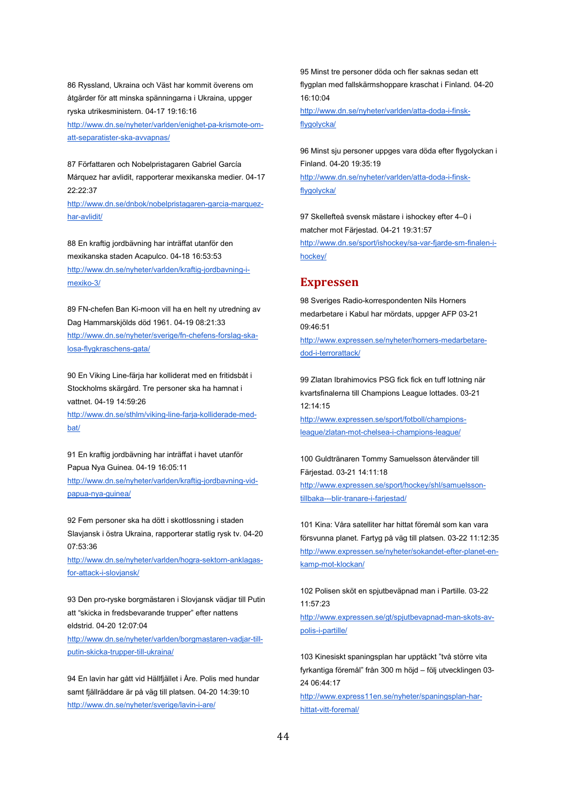86 Ryssland, Ukraina och Väst har kommit överens om åtgärder för att minska spänningarna i Ukraina, uppger ryska utrikesministern. 04-17 19:16:16 [http://www.dn.se/nyheter/varlden/enighet-pa-krismote-om](http://www.dn.se/nyheter/varlden/enighet-pa-krismote-om-att-separatister-ska-avvapnas/)[att-separatister-ska-avvapnas/](http://www.dn.se/nyheter/varlden/enighet-pa-krismote-om-att-separatister-ska-avvapnas/)

87 Författaren och Nobelpristagaren Gabriel García Márquez har avlidit, rapporterar mexikanska medier. 04-17 22:22:37

[http://www.dn.se/dnbok/nobelpristagaren-garcia-marquez](http://www.dn.se/dnbok/nobelpristagaren-garcia-marquez-har-avlidit/)[har-avlidit/](http://www.dn.se/dnbok/nobelpristagaren-garcia-marquez-har-avlidit/)

88 En kraftig jordbävning har inträffat utanför den mexikanska staden Acapulco. 04-18 16:53:53 [http://www.dn.se/nyheter/varlden/kraftig-jordbavning-i](http://www.dn.se/nyheter/varlden/kraftig-jordbavning-i-mexiko-3/)[mexiko-3/](http://www.dn.se/nyheter/varlden/kraftig-jordbavning-i-mexiko-3/)

89 FN-chefen Ban Ki-moon vill ha en helt ny utredning av Dag Hammarskjölds död 1961. 04-19 08:21:33 [http://www.dn.se/nyheter/sverige/fn-chefens-forslag-ska](http://www.dn.se/nyheter/sverige/fn-chefens-forslag-ska-losa-flygkraschens-gata/)[losa-flygkraschens-gata/](http://www.dn.se/nyheter/sverige/fn-chefens-forslag-ska-losa-flygkraschens-gata/)

90 En Viking Line-färja har kolliderat med en fritidsbåt i Stockholms skärgård. Tre personer ska ha hamnat i vattnet. 04-19 14:59:26

[http://www.dn.se/sthlm/viking-line-farja-kolliderade-med](http://www.dn.se/sthlm/viking-line-farja-kolliderade-med-bat/)[bat/](http://www.dn.se/sthlm/viking-line-farja-kolliderade-med-bat/)

91 En kraftig jordbävning har inträffat i havet utanför Papua Nya Guinea. 04-19 16:05:11 [http://www.dn.se/nyheter/varlden/kraftig-jordbavning-vid](http://www.dn.se/nyheter/varlden/kraftig-jordbavning-vid-papua-nya-guinea/)[papua-nya-guinea/](http://www.dn.se/nyheter/varlden/kraftig-jordbavning-vid-papua-nya-guinea/)

92 Fem personer ska ha dött i skottlossning i staden Slavjansk i östra Ukraina, rapporterar statlig rysk tv. 04-20 07:53:36

[http://www.dn.se/nyheter/varlden/hogra-sektorn-anklagas](http://www.dn.se/nyheter/varlden/hogra-sektorn-anklagas-for-attack-i-slovjansk/)[for-attack-i-slovjansk/](http://www.dn.se/nyheter/varlden/hogra-sektorn-anklagas-for-attack-i-slovjansk/)

93 Den pro-ryske borgmästaren i Slovjansk vädjar till Putin att "skicka in fredsbevarande trupper" efter nattens eldstrid. 04-20 12:07:04

[http://www.dn.se/nyheter/varlden/borgmastaren-vadjar-till](http://www.dn.se/nyheter/varlden/borgmastaren-vadjar-till-putin-skicka-trupper-till-ukraina/)[putin-skicka-trupper-till-ukraina/](http://www.dn.se/nyheter/varlden/borgmastaren-vadjar-till-putin-skicka-trupper-till-ukraina/)

94 En lavin har gått vid Hällfjället i Åre. Polis med hundar samt fjällräddare är på väg till platsen. 04-20 14:39:10 <http://www.dn.se/nyheter/sverige/lavin-i-are/>

95 Minst tre personer döda och fler saknas sedan ett flygplan med fallskärmshoppare kraschat i Finland. 04-20 16:10:04

[http://www.dn.se/nyheter/varlden/atta-doda-i-finsk](http://www.dn.se/nyheter/varlden/atta-doda-i-finsk-flygolycka/)[flygolycka/](http://www.dn.se/nyheter/varlden/atta-doda-i-finsk-flygolycka/)

96 Minst sju personer uppges vara döda efter flygolyckan i Finland. 04-20 19:35:19 [http://www.dn.se/nyheter/varlden/atta-doda-i-finsk](http://www.dn.se/nyheter/varlden/atta-doda-i-finsk-flygolycka/)[flygolycka/](http://www.dn.se/nyheter/varlden/atta-doda-i-finsk-flygolycka/)

97 Skellefteå svensk mästare i ishockey efter 4–0 i matcher mot Färjestad. 04-21 19:31:57 [http://www.dn.se/sport/ishockey/sa-var-fjarde-sm-finalen-i](http://www.dn.se/sport/ishockey/sa-var-fjarde-sm-finalen-i-hockey/)[hockey/](http://www.dn.se/sport/ishockey/sa-var-fjarde-sm-finalen-i-hockey/)

#### **Expressen**

98 Sveriges Radio-korrespondenten Nils Horners medarbetare i Kabul har mördats, uppger AFP 03-21 09:46:51

[http://www.expressen.se/nyheter/horners-medarbetare](http://www.expressen.se/nyheter/horners-medarbetare-dod-i-terrorattack/)[dod-i-terrorattack/](http://www.expressen.se/nyheter/horners-medarbetare-dod-i-terrorattack/)

99 Zlatan Ibrahimovics PSG fick fick en tuff lottning när kvartsfinalerna till Champions League lottades. 03-21 12:14:15

[http://www.expressen.se/sport/fotboll/champions](http://www.expressen.se/sport/fotboll/champions-league/zlatan-mot-chelsea-i-champions-league/)[league/zlatan-mot-chelsea-i-champions-league/](http://www.expressen.se/sport/fotboll/champions-league/zlatan-mot-chelsea-i-champions-league/)

100 Guldtränaren Tommy Samuelsson återvänder till Färjestad. 03-21 14:11:18 [http://www.expressen.se/sport/hockey/shl/samuelsson](http://www.expressen.se/sport/hockey/shl/samuelsson-tillbaka---blir-tranare-i-farjestad/)[tillbaka---blir-tranare-i-farjestad/](http://www.expressen.se/sport/hockey/shl/samuelsson-tillbaka---blir-tranare-i-farjestad/)

101 Kina: Våra satelliter har hittat föremål som kan vara försvunna planet. Fartyg på väg till platsen. 03-22 11:12:35 [http://www.expressen.se/nyheter/sokandet-efter-planet-en](http://www.expressen.se/nyheter/sokandet-efter-planet-en-kamp-mot-klockan/)[kamp-mot-klockan/](http://www.expressen.se/nyheter/sokandet-efter-planet-en-kamp-mot-klockan/)

102 Polisen sköt en spjutbeväpnad man i Partille. 03-22 11:57:23 [http://www.expressen.se/gt/spjutbevapnad-man-skots-av](http://www.expressen.se/gt/spjutbevapnad-man-skots-av-polis-i-partille/)[polis-i-partille/](http://www.expressen.se/gt/spjutbevapnad-man-skots-av-polis-i-partille/)

103 Kinesiskt spaningsplan har upptäckt "två större vita fyrkantiga föremål" från 300 m höjd – följ utvecklingen 03- 24 06:44:17

[http://www.express11en.se/nyheter/spaningsplan-har](http://www.expressen.se/nyheter/spaningsplan-har-hittat-vitt-foremal/)[hittat-vitt-foremal/](http://www.expressen.se/nyheter/spaningsplan-har-hittat-vitt-foremal/)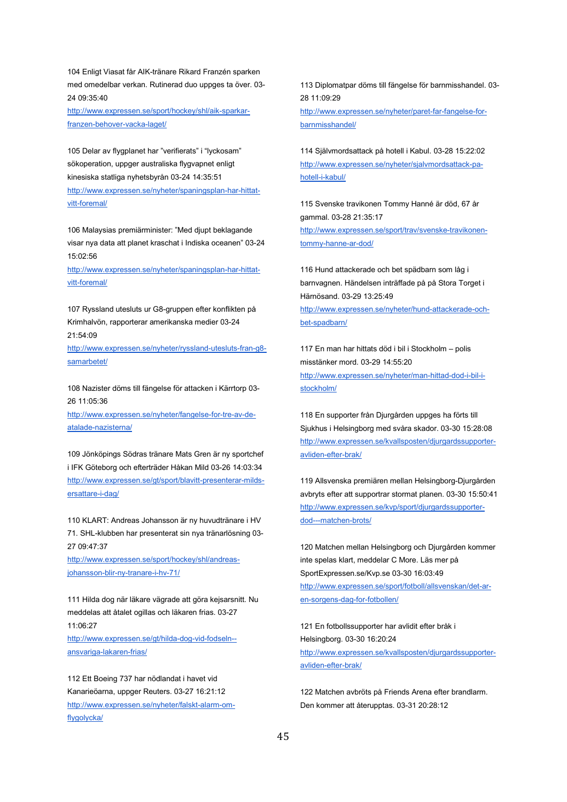104 Enligt Viasat får AIK-tränare Rikard Franzén sparken med omedelbar verkan. Rutinerad duo uppges ta över. 03- 24 09:35:40

[http://www.expressen.se/sport/hockey/shl/aik-sparkar](http://www.expressen.se/sport/hockey/shl/aik-sparkar-franzen-behover-vacka-laget/)[franzen-behover-vacka-laget/](http://www.expressen.se/sport/hockey/shl/aik-sparkar-franzen-behover-vacka-laget/)

105 Delar av flygplanet har "verifierats" i "lyckosam" sökoperation, uppger australiska flygvapnet enligt kinesiska statliga nyhetsbyrån 03-24 14:35:51 [http://www.expressen.se/nyheter/spaningsplan-har-hittat](http://www.expressen.se/nyheter/spaningsplan-har-hittat-vitt-foremal/)[vitt-foremal/](http://www.expressen.se/nyheter/spaningsplan-har-hittat-vitt-foremal/)

106 Malaysias premiärminister: "Med djupt beklagande visar nya data att planet kraschat i Indiska oceanen" 03-24 15:02:56

[http://www.expressen.se/nyheter/spaningsplan-har-hittat](http://www.expressen.se/nyheter/spaningsplan-har-hittat-vitt-foremal/)[vitt-foremal/](http://www.expressen.se/nyheter/spaningsplan-har-hittat-vitt-foremal/)

107 Ryssland utesluts ur G8-gruppen efter konflikten på Krimhalvön, rapporterar amerikanska medier 03-24 21:54:09

[http://www.expressen.se/nyheter/ryssland-utesluts-fran-g8](http://www.expressen.se/nyheter/ryssland-utesluts-fran-g8-samarbetet/) [samarbetet/](http://www.expressen.se/nyheter/ryssland-utesluts-fran-g8-samarbetet/)

108 Nazister döms till fängelse för attacken i Kärrtorp 03- 26 11:05:36 [http://www.expressen.se/nyheter/fangelse-for-tre-av-de](http://www.expressen.se/nyheter/fangelse-for-tre-av-de-atalade-nazisterna/)[atalade-nazisterna/](http://www.expressen.se/nyheter/fangelse-for-tre-av-de-atalade-nazisterna/)

109 Jönköpings Södras tränare Mats Gren är ny sportchef i IFK Göteborg och efterträder Håkan Mild 03-26 14:03:34 [http://www.expressen.se/gt/sport/blavitt-presenterar-milds](http://www.expressen.se/gt/sport/blavitt-presenterar-milds-ersattare-i-dag/)[ersattare-i-dag/](http://www.expressen.se/gt/sport/blavitt-presenterar-milds-ersattare-i-dag/)

110 KLART: Andreas Johansson är ny huvudtränare i HV 71. SHL-klubben har presenterat sin nya tränarlösning 03- 27 09:47:37

[http://www.expressen.se/sport/hockey/shl/andreas](http://www.expressen.se/sport/hockey/shl/andreas-johansson-blir-ny-tranare-i-hv-71/)[johansson-blir-ny-tranare-i-hv-71/](http://www.expressen.se/sport/hockey/shl/andreas-johansson-blir-ny-tranare-i-hv-71/)

111 Hilda dog när läkare vägrade att göra kejsarsnitt. Nu meddelas att åtalet ogillas och läkaren frias. 03-27 11:06:27 [http://www.expressen.se/gt/hilda-dog-vid-fodseln--](http://www.expressen.se/gt/hilda-dog-vid-fodseln--ansvariga-lakaren-frias/)

[ansvariga-lakaren-frias/](http://www.expressen.se/gt/hilda-dog-vid-fodseln--ansvariga-lakaren-frias/)

112 Ett Boeing 737 har nödlandat i havet vid Kanarieöarna, uppger Reuters. 03-27 16:21:12 [http://www.expressen.se/nyheter/falskt-alarm-om](http://www.expressen.se/nyheter/falskt-alarm-om-flygolycka/)[flygolycka/](http://www.expressen.se/nyheter/falskt-alarm-om-flygolycka/)

113 Diplomatpar döms till fängelse för barnmisshandel. 03- 28 11:09:29

[http://www.expressen.se/nyheter/paret-far-fangelse-for](http://www.expressen.se/nyheter/paret-far-fangelse-for-barnmisshandel/)[barnmisshandel/](http://www.expressen.se/nyheter/paret-far-fangelse-for-barnmisshandel/)

114 Självmordsattack på hotell i Kabul. 03-28 15:22:02 [http://www.expressen.se/nyheter/sjalvmordsattack-pa](http://www.expressen.se/nyheter/sjalvmordsattack-pa-hotell-i-kabul/)[hotell-i-kabul/](http://www.expressen.se/nyheter/sjalvmordsattack-pa-hotell-i-kabul/)

115 Svenske travikonen Tommy Hanné är död, 67 år gammal. 03-28 21:35:17 [http://www.expressen.se/sport/trav/svenske-travikonen](http://www.expressen.se/sport/trav/svenske-travikonen-tommy-hanne-ar-dod/)[tommy-hanne-ar-dod/](http://www.expressen.se/sport/trav/svenske-travikonen-tommy-hanne-ar-dod/)

116 Hund attackerade och bet spädbarn som låg i barnvagnen. Händelsen inträffade på på Stora Torget i Härnösand. 03-29 13:25:49 [http://www.expressen.se/nyheter/hund-attackerade-och](http://www.expressen.se/nyheter/hund-attackerade-och-bet-spadbarn/)[bet-spadbarn/](http://www.expressen.se/nyheter/hund-attackerade-och-bet-spadbarn/)

117 En man har hittats död i bil i Stockholm – polis misstänker mord. 03-29 14:55:20 [http://www.expressen.se/nyheter/man-hittad-dod-i-bil-i](http://www.expressen.se/nyheter/man-hittad-dod-i-bil-i-stockholm/)[stockholm/](http://www.expressen.se/nyheter/man-hittad-dod-i-bil-i-stockholm/)

118 En supporter från Djurgården uppges ha förts till Sjukhus i Helsingborg med svåra skador. 03-30 15:28:08 [http://www.expressen.se/kvallsposten/djurgardssupporter](http://www.expressen.se/kvallsposten/djurgardssupporter-avliden-efter-brak/)[avliden-efter-brak/](http://www.expressen.se/kvallsposten/djurgardssupporter-avliden-efter-brak/)

119 Allsvenska premiären mellan Helsingborg-Djurgården avbryts efter att supportrar stormat planen. 03-30 15:50:41 [http://www.expressen.se/kvp/sport/djurgardssupporter](http://www.expressen.se/kvp/sport/djurgardssupporter-dod---matchen-brots/)[dod---matchen-brots/](http://www.expressen.se/kvp/sport/djurgardssupporter-dod---matchen-brots/)

120 Matchen mellan Helsingborg och Djurgården kommer inte spelas klart, meddelar C More. Läs mer på SportExpressen.se/Kvp.se 03-30 16:03:49 [http://www.expressen.se/sport/fotboll/allsvenskan/det-ar](http://www.expressen.se/sport/fotboll/allsvenskan/det-ar-en-sorgens-dag-for-fotbollen/)[en-sorgens-dag-for-fotbollen/](http://www.expressen.se/sport/fotboll/allsvenskan/det-ar-en-sorgens-dag-for-fotbollen/)

121 En fotbollssupporter har avlidit efter bråk i Helsingborg. 03-30 16:20:24 [http://www.expressen.se/kvallsposten/djurgardssupporter](http://www.expressen.se/kvallsposten/djurgardssupporter-avliden-efter-brak/)[avliden-efter-brak/](http://www.expressen.se/kvallsposten/djurgardssupporter-avliden-efter-brak/)

122 Matchen avbröts på Friends Arena efter brandlarm. Den kommer att återupptas. 03-31 20:28:12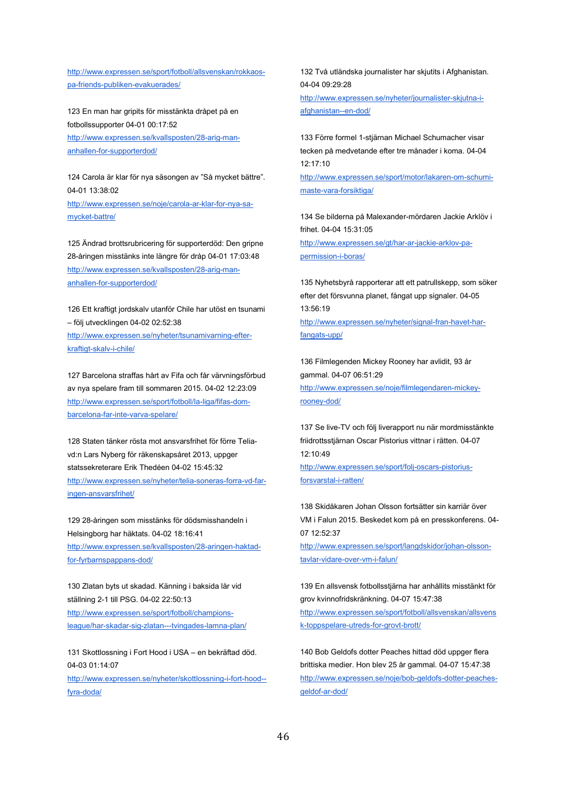[http://www.expressen.se/sport/fotboll/allsvenskan/rokkaos](http://www.expressen.se/sport/fotboll/allsvenskan/rokkaos-pa-friends-publiken-evakuerades/)[pa-friends-publiken-evakuerades/](http://www.expressen.se/sport/fotboll/allsvenskan/rokkaos-pa-friends-publiken-evakuerades/)

123 En man har gripits för misstänkta dråpet på en fotbollssupporter 04-01 00:17:52 [http://www.expressen.se/kvallsposten/28-arig-man](http://www.expressen.se/kvallsposten/28-arig-man-anhallen-for-supporterdod/)[anhallen-for-supporterdod/](http://www.expressen.se/kvallsposten/28-arig-man-anhallen-for-supporterdod/)

124 Carola är klar för nya säsongen av "Så mycket bättre". 04-01 13:38:02 [http://www.expressen.se/noje/carola-ar-klar-for-nya-sa](http://www.expressen.se/noje/carola-ar-klar-for-nya-sa-mycket-battre/)[mycket-battre/](http://www.expressen.se/noje/carola-ar-klar-for-nya-sa-mycket-battre/)

125 Ändrad brottsrubricering för supporterdöd: Den gripne 28-åringen misstänks inte längre för dråp 04-01 17:03:48 [http://www.expressen.se/kvallsposten/28-arig-man](http://www.expressen.se/kvallsposten/28-arig-man-anhallen-for-supporterdod/)[anhallen-for-supporterdod/](http://www.expressen.se/kvallsposten/28-arig-man-anhallen-for-supporterdod/)

126 Ett kraftigt jordskalv utanför Chile har utöst en tsunami – följ utvecklingen 04-02 02:52:38 [http://www.expressen.se/nyheter/tsunamivarning-efter](http://www.expressen.se/nyheter/tsunamivarning-efter-kraftigt-skalv-i-chile/)[kraftigt-skalv-i-chile/](http://www.expressen.se/nyheter/tsunamivarning-efter-kraftigt-skalv-i-chile/)

127 Barcelona straffas hårt av Fifa och får värvningsförbud av nya spelare fram till sommaren 2015. 04-02 12:23:09 [http://www.expressen.se/sport/fotboll/la-liga/fifas-dom](http://www.expressen.se/sport/fotboll/la-liga/fifas-dom-barcelona-far-inte-varva-spelare/)[barcelona-far-inte-varva-spelare/](http://www.expressen.se/sport/fotboll/la-liga/fifas-dom-barcelona-far-inte-varva-spelare/)

128 Staten tänker rösta mot ansvarsfrihet för förre Teliavd:n Lars Nyberg för räkenskapsåret 2013, uppger statssekreterare Erik Thedéen 04-02 15:45:32 [http://www.expressen.se/nyheter/telia-soneras-forra-vd-far](http://www.expressen.se/nyheter/telia-soneras-forra-vd-far-ingen-ansvarsfrihet/)[ingen-ansvarsfrihet/](http://www.expressen.se/nyheter/telia-soneras-forra-vd-far-ingen-ansvarsfrihet/)

129 28-åringen som misstänks för dödsmisshandeln i Helsingborg har häktats. 04-02 18:16:41 [http://www.expressen.se/kvallsposten/28-aringen-haktad](http://www.expressen.se/kvallsposten/28-aringen-haktad-for-fyrbarnspappans-dod/)[for-fyrbarnspappans-dod/](http://www.expressen.se/kvallsposten/28-aringen-haktad-for-fyrbarnspappans-dod/)

130 Zlatan byts ut skadad. Känning i baksida lår vid ställning 2-1 till PSG. 04-02 22:50:13 [http://www.expressen.se/sport/fotboll/champions](http://www.expressen.se/sport/fotboll/champions-league/har-skadar-sig-zlatan---tvingades-lamna-plan/)[league/har-skadar-sig-zlatan---tvingades-lamna-plan/](http://www.expressen.se/sport/fotboll/champions-league/har-skadar-sig-zlatan---tvingades-lamna-plan/)

131 Skottlossning i Fort Hood i USA – en bekräftad död. 04-03 01:14:07 [http://www.expressen.se/nyheter/skottlossning-i-fort-hood--](http://www.expressen.se/nyheter/skottlossning-i-fort-hood--fyra-doda/)

[fyra-doda/](http://www.expressen.se/nyheter/skottlossning-i-fort-hood--fyra-doda/)

132 Två utländska journalister har skjutits i Afghanistan. 04-04 09:29:28

[http://www.expressen.se/nyheter/journalister-skjutna-i](http://www.expressen.se/nyheter/journalister-skjutna-i-afghanistan--en-dod/)[afghanistan--en-dod/](http://www.expressen.se/nyheter/journalister-skjutna-i-afghanistan--en-dod/)

133 Förre formel 1-stjärnan Michael Schumacher visar tecken på medvetande efter tre månader i koma. 04-04 12:17:10

[http://www.expressen.se/sport/motor/lakaren-om-schumi](http://www.expressen.se/sport/motor/lakaren-om-schumi-maste-vara-forsiktiga/)[maste-vara-forsiktiga/](http://www.expressen.se/sport/motor/lakaren-om-schumi-maste-vara-forsiktiga/)

134 Se bilderna på Malexander-mördaren Jackie Arklöv i frihet. 04-04 15:31:05 [http://www.expressen.se/gt/har-ar-jackie-arklov-pa](http://www.expressen.se/gt/har-ar-jackie-arklov-pa-permission-i-boras/)[permission-i-boras/](http://www.expressen.se/gt/har-ar-jackie-arklov-pa-permission-i-boras/)

135 Nyhetsbyrå rapporterar att ett patrullskepp, som söker efter det försvunna planet, fångat upp signaler. 04-05 13:56:19

[http://www.expressen.se/nyheter/signal-fran-havet-har](http://www.expressen.se/nyheter/signal-fran-havet-har-fangats-upp/)[fangats-upp/](http://www.expressen.se/nyheter/signal-fran-havet-har-fangats-upp/)

136 Filmlegenden Mickey Rooney har avlidit, 93 år gammal. 04-07 06:51:29 [http://www.expressen.se/noje/filmlegendaren-mickey](http://www.expressen.se/noje/filmlegendaren-mickey-rooney-dod/)[rooney-dod/](http://www.expressen.se/noje/filmlegendaren-mickey-rooney-dod/)

137 Se live-TV och följ liverapport nu när mordmisstänkte friidrottsstjärnan Oscar Pistorius vittnar i rätten. 04-07 12:10:49

[http://www.expressen.se/sport/folj-oscars-pistorius](http://www.expressen.se/sport/folj-oscars-pistorius-forsvarstal-i-ratten/)[forsvarstal-i-ratten/](http://www.expressen.se/sport/folj-oscars-pistorius-forsvarstal-i-ratten/)

138 Skidåkaren Johan Olsson fortsätter sin karriär över VM i Falun 2015. Beskedet kom på en presskonferens. 04- 07 12:52:37

[http://www.expressen.se/sport/langdskidor/johan-olsson](http://www.expressen.se/sport/langdskidor/johan-olsson-tavlar-vidare-over-vm-i-falun/)[tavlar-vidare-over-vm-i-falun/](http://www.expressen.se/sport/langdskidor/johan-olsson-tavlar-vidare-over-vm-i-falun/)

139 En allsvensk fotbollsstjärna har anhållits misstänkt för grov kvinnofridskränkning. 04-07 15:47:38 [http://www.expressen.se/sport/fotboll/allsvenskan/allsvens](http://www.expressen.se/sport/fotboll/allsvenskan/allsvensk-toppspelare-utreds-for-grovt-brott/) [k-toppspelare-utreds-for-grovt-brott/](http://www.expressen.se/sport/fotboll/allsvenskan/allsvensk-toppspelare-utreds-for-grovt-brott/)

140 Bob Geldofs dotter Peaches hittad död uppger flera brittiska medier. Hon blev 25 år gammal. 04-07 15:47:38 [http://www.expressen.se/noje/bob-geldofs-dotter-peaches](http://www.expressen.se/noje/bob-geldofs-dotter-peaches-geldof-ar-dod/)[geldof-ar-dod/](http://www.expressen.se/noje/bob-geldofs-dotter-peaches-geldof-ar-dod/)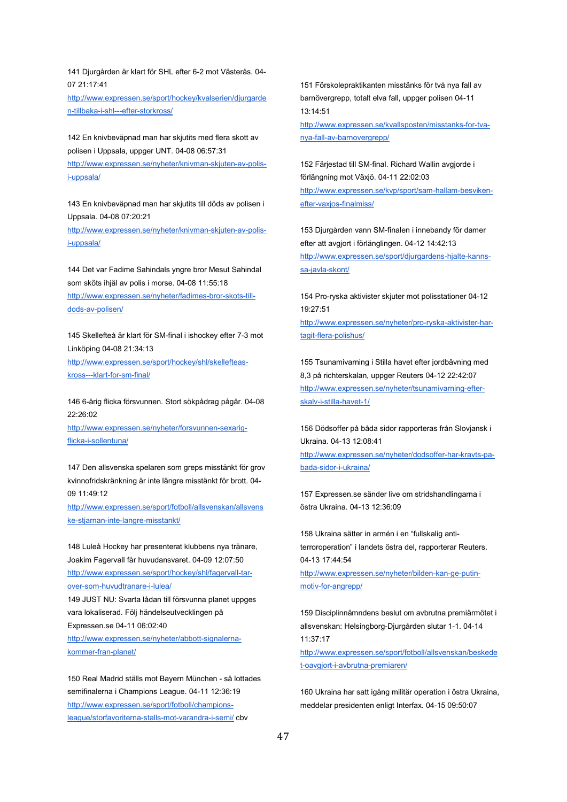141 Djurgården är klart för SHL efter 6-2 mot Västerås. 04- 07 21:17:41

[http://www.expressen.se/sport/hockey/kvalserien/djurgarde](http://www.expressen.se/sport/hockey/kvalserien/djurgarden-tillbaka-i-shl---efter-storkross/) [n-tillbaka-i-shl---efter-storkross/](http://www.expressen.se/sport/hockey/kvalserien/djurgarden-tillbaka-i-shl---efter-storkross/)

142 En knivbeväpnad man har skjutits med flera skott av polisen i Uppsala, uppger UNT. 04-08 06:57:31

[http://www.expressen.se/nyheter/knivman-skjuten-av-polis](http://www.expressen.se/nyheter/knivman-skjuten-av-polis-i-uppsala/)[i-uppsala/](http://www.expressen.se/nyheter/knivman-skjuten-av-polis-i-uppsala/)

143 En knivbeväpnad man har skjutits till döds av polisen i Uppsala. 04-08 07:20:21

[http://www.expressen.se/nyheter/knivman-skjuten-av-polis](http://www.expressen.se/nyheter/knivman-skjuten-av-polis-i-uppsala/)[i-uppsala/](http://www.expressen.se/nyheter/knivman-skjuten-av-polis-i-uppsala/)

144 Det var Fadime Sahindals yngre bror Mesut Sahindal som sköts ihjäl av polis i morse. 04-08 11:55:18 [http://www.expressen.se/nyheter/fadimes-bror-skots-till](http://www.expressen.se/nyheter/fadimes-bror-skots-till-dods-av-polisen/)[dods-av-polisen/](http://www.expressen.se/nyheter/fadimes-bror-skots-till-dods-av-polisen/)

145 Skellefteå är klart för SM-final i ishockey efter 7-3 mot Linköping 04-08 21:34:13

[http://www.expressen.se/sport/hockey/shl/skellefteas](http://www.expressen.se/sport/hockey/shl/skellefteas-kross---klart-for-sm-final/)[kross---klart-for-sm-final/](http://www.expressen.se/sport/hockey/shl/skellefteas-kross---klart-for-sm-final/)

146 6-årig flicka försvunnen. Stort sökpådrag pågår. 04-08 22:26:02

[http://www.expressen.se/nyheter/forsvunnen-sexarig](http://www.expressen.se/nyheter/forsvunnen-sexarig-flicka-i-sollentuna/)[flicka-i-sollentuna/](http://www.expressen.se/nyheter/forsvunnen-sexarig-flicka-i-sollentuna/)

147 Den allsvenska spelaren som greps misstänkt för grov kvinnofridskränkning är inte längre misstänkt för brott. 04- 09 11:49:12

[http://www.expressen.se/sport/fotboll/allsvenskan/allsvens](http://www.expressen.se/sport/fotboll/allsvenskan/allsvenske-stjarnan-inte-langre-misstankt/) [ke-stjarnan-inte-langre-misstankt/](http://www.expressen.se/sport/fotboll/allsvenskan/allsvenske-stjarnan-inte-langre-misstankt/)

148 Luleå Hockey har presenterat klubbens nya tränare, Joakim Fagervall får huvudansvaret. 04-09 12:07:50 [http://www.expressen.se/sport/hockey/shl/fagervall-tar](http://www.expressen.se/sport/hockey/shl/fagervall-tar-over-som-huvudtranare-i-lulea/)[over-som-huvudtranare-i-lulea/](http://www.expressen.se/sport/hockey/shl/fagervall-tar-over-som-huvudtranare-i-lulea/)

149 JUST NU: Svarta lådan till försvunna planet uppges vara lokaliserad. Följ händelseutvecklingen på Expressen.se 04-11 06:02:40

[http://www.expressen.se/nyheter/abbott-signalerna](http://www.expressen.se/nyheter/abbott-signalerna-kommer-fran-planet/)[kommer-fran-planet/](http://www.expressen.se/nyheter/abbott-signalerna-kommer-fran-planet/)

150 Real Madrid ställs mot Bayern München - så lottades semifinalerna i Champions League. 04-11 12:36:19 [http://www.expressen.se/sport/fotboll/champions](http://www.expressen.se/sport/fotboll/champions-league/storfavoriterna-stalls-mot-varandra-i-semi/)[league/storfavoriterna-stalls-mot-varandra-i-semi/](http://www.expressen.se/sport/fotboll/champions-league/storfavoriterna-stalls-mot-varandra-i-semi/) cbv

151 Förskolepraktikanten misstänks för två nya fall av barnövergrepp, totalt elva fall, uppger polisen 04-11 13:14:51

[http://www.expressen.se/kvallsposten/misstanks-for-tva](http://www.expressen.se/kvallsposten/misstanks-for-tva-nya-fall-av-barnovergrepp/)[nya-fall-av-barnovergrepp/](http://www.expressen.se/kvallsposten/misstanks-for-tva-nya-fall-av-barnovergrepp/)

152 Färjestad till SM-final. Richard Wallin avgjorde i förlängning mot Växjö. 04-11 22:02:03 [http://www.expressen.se/kvp/sport/sam-hallam-besviken](http://www.expressen.se/kvp/sport/sam-hallam-besviken-efter-vaxjos-finalmiss/)[efter-vaxjos-finalmiss/](http://www.expressen.se/kvp/sport/sam-hallam-besviken-efter-vaxjos-finalmiss/)

153 Djurgården vann SM-finalen i innebandy för damer efter att avgjort i förlänglingen. 04-12 14:42:13 [http://www.expressen.se/sport/djurgardens-hjalte-kanns](http://www.expressen.se/sport/djurgardens-hjalte-kanns-sa-javla-skont/)[sa-javla-skont/](http://www.expressen.se/sport/djurgardens-hjalte-kanns-sa-javla-skont/)

154 Pro-ryska aktivister skjuter mot polisstationer 04-12 19:27:51 [http://www.expressen.se/nyheter/pro-ryska-aktivister-har](http://www.expressen.se/nyheter/pro-ryska-aktivister-har-tagit-flera-polishus/)[tagit-flera-polishus/](http://www.expressen.se/nyheter/pro-ryska-aktivister-har-tagit-flera-polishus/)

155 Tsunamivarning i Stilla havet efter jordbävning med 8,3 på richterskalan, uppger Reuters 04-12 22:42:07 [http://www.expressen.se/nyheter/tsunamivarning-efter](http://www.expressen.se/nyheter/tsunamivarning-efter-skalv-i-stilla-havet-1/)[skalv-i-stilla-havet-1/](http://www.expressen.se/nyheter/tsunamivarning-efter-skalv-i-stilla-havet-1/)

156 Dödsoffer på båda sidor rapporteras från Slovjansk i Ukraina. 04-13 12:08:41 [http://www.expressen.se/nyheter/dodsoffer-har-kravts-pa](http://www.expressen.se/nyheter/dodsoffer-har-kravts-pa-bada-sidor-i-ukraina/)[bada-sidor-i-ukraina/](http://www.expressen.se/nyheter/dodsoffer-har-kravts-pa-bada-sidor-i-ukraina/)

157 Expressen.se sänder live om stridshandlingarna i östra Ukraina. 04-13 12:36:09

158 Ukraina sätter in armén i en "fullskalig antiterroroperation" i landets östra del, rapporterar Reuters. 04-13 17:44:54

[http://www.expressen.se/nyheter/bilden-kan-ge-putin](http://www.expressen.se/nyheter/bilden-kan-ge-putin-motiv-for-angrepp/)[motiv-for-angrepp/](http://www.expressen.se/nyheter/bilden-kan-ge-putin-motiv-for-angrepp/)

159 Disciplinnämndens beslut om avbrutna premiärmötet i allsvenskan: Helsingborg-Djurgården slutar 1-1. 04-14 11:37:17 [http://www.expressen.se/sport/fotboll/allsvenskan/beskede](http://www.expressen.se/sport/fotboll/allsvenskan/beskedet-oavgjort-i-avbrutna-premiaren/) [t-oavgjort-i-avbrutna-premiaren/](http://www.expressen.se/sport/fotboll/allsvenskan/beskedet-oavgjort-i-avbrutna-premiaren/)

160 Ukraina har satt igång militär operation i östra Ukraina, meddelar presidenten enligt Interfax. 04-15 09:50:07